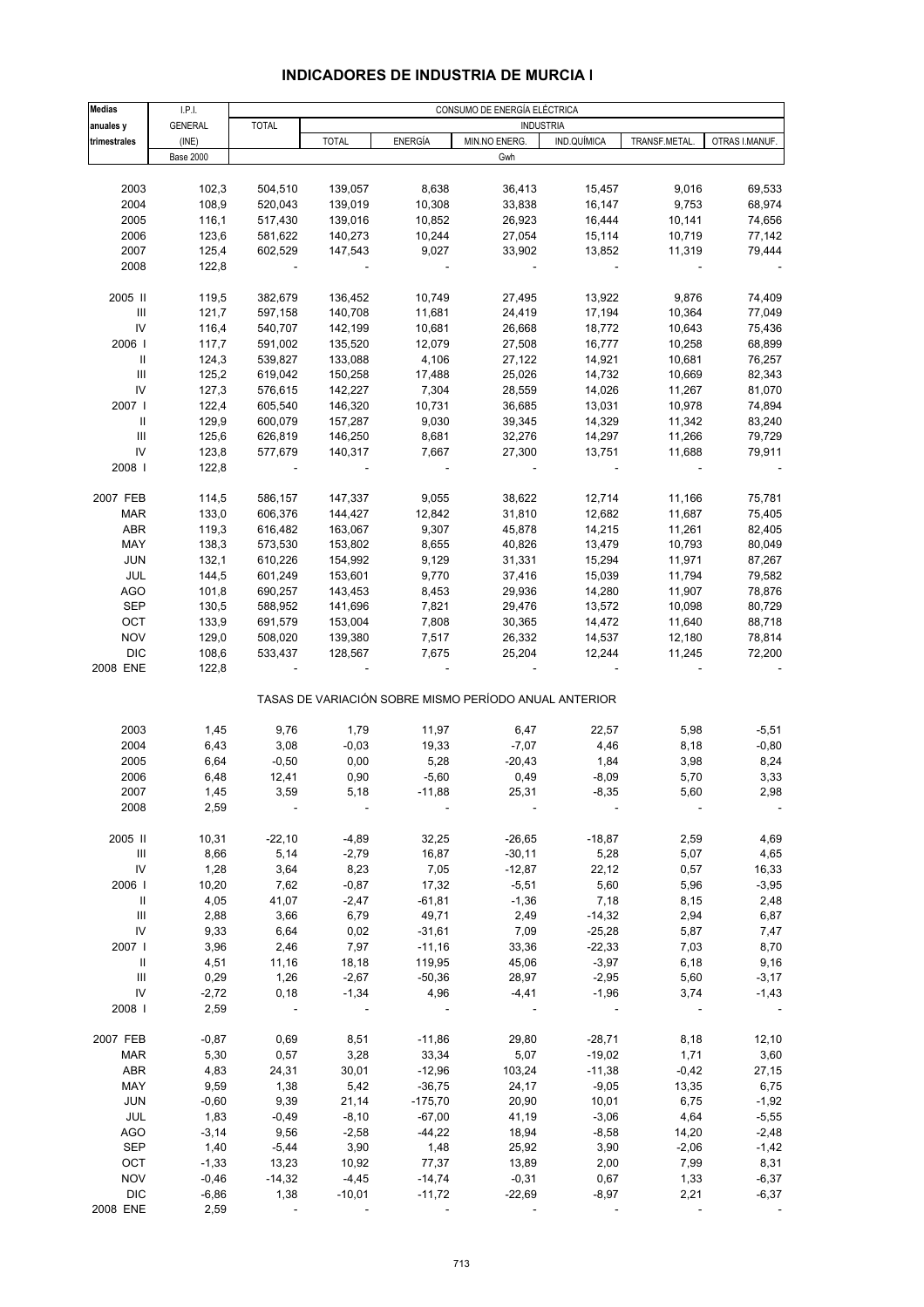## **INDICADORES DE INDUSTRIA DE MURCIA I**

| <b>Medias</b>                      | I.P.I.           |              | CONSUMO DE ENERGÍA ELÉCTRICA |                |                                                       |                  |               |                |  |
|------------------------------------|------------------|--------------|------------------------------|----------------|-------------------------------------------------------|------------------|---------------|----------------|--|
| anuales y                          | <b>GENERAL</b>   | <b>TOTAL</b> |                              |                |                                                       | <b>INDUSTRIA</b> |               |                |  |
| trimestrales                       | (INE)            |              | <b>TOTAL</b>                 | <b>ENERGÍA</b> | MIN.NO ENERG.                                         | IND.QUÍMICA      | TRANSF.METAL. | OTRAS I.MANUF. |  |
|                                    | <b>Base 2000</b> |              |                              |                | Gwh                                                   |                  |               |                |  |
|                                    |                  |              |                              |                |                                                       |                  |               |                |  |
| 2003                               | 102,3            | 504,510      | 139,057                      | 8,638          | 36,413                                                | 15,457           | 9,016         | 69,533         |  |
| 2004                               | 108,9            | 520,043      | 139,019                      | 10,308         | 33,838                                                | 16,147           | 9,753         | 68,974         |  |
| 2005                               | 116,1            | 517,430      | 139,016                      | 10,852         | 26,923                                                | 16,444           | 10,141        | 74,656         |  |
| 2006                               | 123,6            | 581,622      | 140,273                      | 10,244         | 27,054                                                | 15,114           | 10,719        | 77,142         |  |
| 2007                               | 125,4            | 602,529      | 147,543                      | 9,027          | 33,902                                                | 13,852           | 11,319        | 79,444         |  |
| 2008                               | 122,8            |              |                              |                |                                                       |                  |               |                |  |
|                                    |                  |              |                              |                |                                                       |                  |               |                |  |
| 2005 II                            | 119,5            | 382,679      | 136,452                      | 10,749         | 27,495                                                | 13,922           | 9,876         | 74,409         |  |
| Ш                                  | 121,7            | 597,158      | 140,708                      | 11,681         | 24,419                                                | 17,194           | 10,364        | 77,049         |  |
| IV                                 | 116,4            | 540,707      | 142,199                      | 10,681         | 26,668                                                | 18,772           | 10,643        | 75,436         |  |
| 2006                               | 117,7            | 591,002      | 135,520                      | 12,079         | 27,508                                                | 16,777           | 10,258        | 68,899         |  |
| Ш                                  | 124,3            | 539,827      | 133,088                      | 4,106          | 27,122                                                | 14,921           | 10,681        | 76,257         |  |
| Ш                                  | 125,2            | 619,042      | 150,258                      | 17,488         | 25,026                                                | 14,732           | 10,669        | 82,343         |  |
| IV                                 | 127,3            | 576,615      | 142,227                      | 7,304          | 28,559                                                | 14,026           | 11,267        | 81,070         |  |
| 2007                               | 122,4            | 605,540      | 146,320                      | 10,731         | 36,685                                                | 13,031           | 10,978        | 74,894         |  |
| Ш                                  | 129,9            | 600,079      | 157,287                      | 9,030          | 39,345                                                | 14,329           | 11,342        | 83,240         |  |
| $\ensuremath{\mathsf{III}}\xspace$ | 125,6            | 626,819      | 146,250                      | 8,681          | 32,276                                                | 14,297           | 11,266        | 79,729         |  |
| IV                                 | 123,8            | 577,679      | 140,317                      | 7,667          | 27,300                                                | 13,751           | 11,688        | 79,911         |  |
| 2008                               | 122,8            |              |                              |                |                                                       |                  |               |                |  |
|                                    |                  |              |                              |                |                                                       |                  |               |                |  |
| 2007 FEB                           | 114,5            | 586,157      | 147,337                      | 9,055          | 38,622                                                | 12,714           | 11,166        | 75,781         |  |
| <b>MAR</b>                         | 133,0            | 606,376      | 144,427                      | 12,842         | 31,810                                                | 12,682           | 11,687        | 75,405         |  |
| ABR                                | 119,3            | 616,482      | 163,067                      | 9,307          | 45,878                                                | 14,215           | 11,261        | 82,405         |  |
| MAY                                | 138,3            | 573,530      | 153,802                      | 8,655          | 40,826                                                | 13,479           | 10,793        | 80,049         |  |
| <b>JUN</b>                         |                  |              |                              |                |                                                       |                  |               |                |  |
|                                    | 132,1            | 610,226      | 154,992                      | 9,129          | 31,331                                                | 15,294           | 11,971        | 87,267         |  |
| JUL                                | 144,5            | 601,249      | 153,601                      | 9,770          | 37,416                                                | 15,039           | 11,794        | 79,582         |  |
| <b>AGO</b>                         | 101,8            | 690,257      | 143,453                      | 8,453          | 29,936                                                | 14,280           | 11,907        | 78,876         |  |
| SEP                                | 130,5            | 588,952      | 141,696                      | 7,821          | 29,476                                                | 13,572           | 10,098        | 80,729         |  |
| OCT                                | 133,9            | 691,579      | 153,004                      | 7,808          | 30,365                                                | 14,472           | 11,640        | 88,718         |  |
| <b>NOV</b>                         | 129,0            | 508,020      | 139,380                      | 7,517          | 26,332                                                | 14,537           | 12,180        | 78,814         |  |
| <b>DIC</b>                         | 108,6            | 533,437      | 128,567                      | 7,675          | 25,204                                                | 12,244           | 11,245        | 72,200         |  |
| 2008 ENE                           | 122,8            |              |                              |                |                                                       |                  |               |                |  |
|                                    |                  |              |                              |                | TASAS DE VARIACIÓN SOBRE MISMO PERÍODO ANUAL ANTERIOR |                  |               |                |  |
|                                    |                  |              |                              |                |                                                       |                  |               |                |  |
| 2003                               | 1,45             | 9,76         | 1,79                         | 11,97          | 6,47                                                  | 22,57            | 5,98          | $-5,51$        |  |
| 2004                               | 6,43             | 3,08         | $-0,03$                      | 19,33          | $-7,07$                                               | 4,46             | 8,18          | $-0,80$        |  |
| 2005                               | 6,64             | $-0,50$      | 0,00                         | 5,28           | $-20,43$                                              | 1,84             | 3,98          | 8,24           |  |
| 2006                               | 6,48             | 12,41        | 0,90                         | $-5,60$        | 0,49                                                  | $-8,09$          | 5,70          | 3,33           |  |
| 2007                               | 1,45             | 3.59         | 5.18                         | $-11,88$       | 25.31                                                 | $-8.35$          | 5.60          | 2.98           |  |
| 2008                               | 2,59             |              |                              |                |                                                       |                  |               |                |  |
| 2005 II                            | 10,31            | $-22,10$     | $-4,89$                      | 32,25          | $-26,65$                                              | $-18,87$         | 2,59          | 4,69           |  |
|                                    |                  |              |                              |                |                                                       |                  |               |                |  |
| Ш                                  | 8,66             | 5,14         | $-2,79$                      | 16,87          | $-30,11$                                              | 5,28             | 5,07          | 4,65           |  |
| IV                                 | 1,28             | 3,64         | 8,23                         | 7,05           | $-12,87$                                              | 22,12            | 0,57          | 16,33          |  |
| 2006                               | 10,20            | 7,62         | $-0,87$                      | 17,32          | $-5,51$                                               | 5,60             | 5,96          | $-3,95$        |  |
| Ш                                  | 4,05             | 41,07        | $-2,47$                      | $-61,81$       | $-1,36$                                               | 7,18             | 8,15          | 2,48           |  |
| $\ensuremath{\mathsf{III}}\xspace$ | 2,88             | 3,66         | 6,79                         | 49,71          | 2,49                                                  | $-14,32$         | 2,94          | 6,87           |  |
| IV                                 | 9,33             | 6,64         | 0,02                         | $-31,61$       | 7,09                                                  | $-25,28$         | 5,87          | 7,47           |  |
| 2007 l                             | 3,96             | 2,46         | 7,97                         | $-11,16$       | 33,36                                                 | $-22,33$         | 7,03          | 8,70           |  |
| $\, \parallel$                     | 4,51             | 11,16        | 18,18                        | 119,95         | 45,06                                                 | $-3,97$          | 6,18          | 9,16           |  |
| Ш                                  | 0,29             | 1,26         | $-2,67$                      | $-50,36$       | 28,97                                                 | $-2,95$          | 5,60          | $-3,17$        |  |
| IV                                 | $-2,72$          | 0,18         | $-1,34$                      | 4,96           | $-4, 41$                                              | $-1,96$          | 3,74          | $-1,43$        |  |
| 2008                               | 2,59             |              |                              |                |                                                       |                  |               |                |  |
|                                    |                  |              |                              |                |                                                       |                  |               |                |  |
| 2007 FEB                           | $-0,87$          | 0,69         | 8,51                         | $-11,86$       | 29,80                                                 | $-28,71$         | 8,18          | 12,10          |  |
| <b>MAR</b>                         | 5,30             | 0,57         | 3,28                         | 33,34          | 5,07                                                  | $-19,02$         | 1,71          | 3,60           |  |
| ABR                                | 4,83             | 24,31        | 30,01                        | $-12,96$       | 103,24                                                | $-11,38$         | $-0,42$       | 27,15          |  |
| MAY                                | 9,59             | 1,38         | 5,42                         | $-36,75$       | 24,17                                                 | $-9,05$          | 13,35         | 6,75           |  |
| <b>JUN</b>                         | $-0,60$          | 9,39         | 21,14                        | $-175,70$      | 20,90                                                 | 10,01            | 6,75          | $-1,92$        |  |
| JUL                                | 1,83             | $-0,49$      | $-8,10$                      | $-67,00$       | 41,19                                                 | $-3,06$          | 4,64          | $-5,55$        |  |
| <b>AGO</b>                         | $-3,14$          | 9,56         | $-2,58$                      | $-44,22$       | 18,94                                                 | $-8,58$          | 14,20         | $-2,48$        |  |
| SEP                                | 1,40             | $-5,44$      | 3,90                         | 1,48           | 25,92                                                 | 3,90             | $-2,06$       | $-1,42$        |  |
| OCT                                | $-1,33$          | 13,23        | 10,92                        | 77,37          | 13,89                                                 | 2,00             | 7,99          | 8,31           |  |
| <b>NOV</b>                         | $-0,46$          | $-14,32$     | $-4,45$                      | $-14,74$       | $-0,31$                                               | 0,67             | 1,33          | $-6,37$        |  |
| <b>DIC</b>                         | $-6,86$          | 1,38         | $-10,01$                     | $-11,72$       | $-22,69$                                              | $-8,97$          | 2,21          | $-6,37$        |  |
| 2008 ENE                           | 2,59             |              |                              |                |                                                       |                  |               |                |  |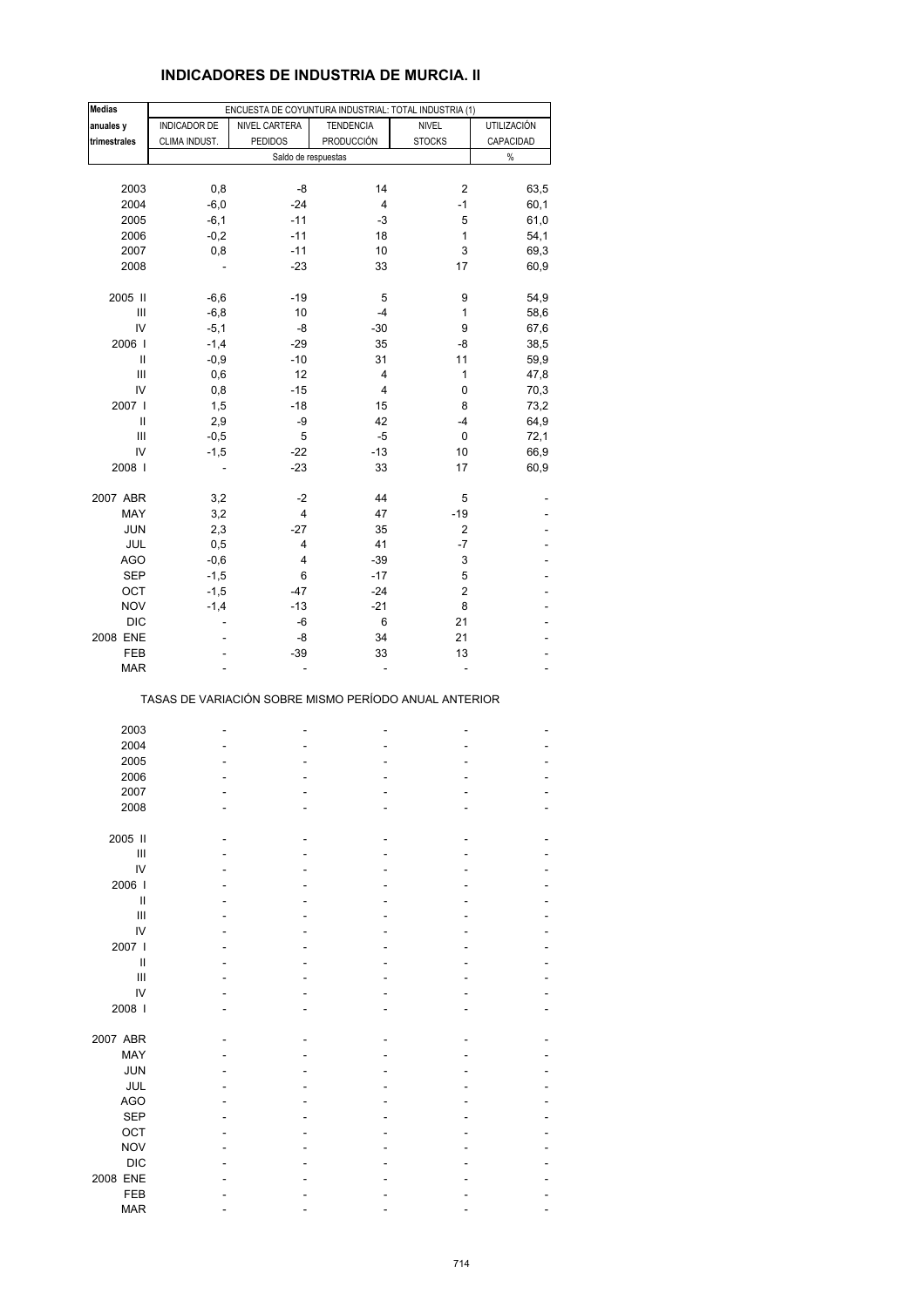## **INDICADORES DE INDUSTRIA DE MURCIA. II**

| <b>Medias</b>          |               | ENCUESTA DE COYUNTURA INDUSTRIAL: TOTAL INDUSTRIA (1) |                         |               |                    |
|------------------------|---------------|-------------------------------------------------------|-------------------------|---------------|--------------------|
| anuales y              | INDICADOR DE  | NIVEL CARTERA                                         | <b>TENDENCIA</b>        | <b>NIVEL</b>  | <b>UTILIZACIÓN</b> |
| trimestrales           | CLIMA INDUST. | <b>PEDIDOS</b>                                        | PRODUCCIÓN              | <b>STOCKS</b> | CAPACIDAD          |
|                        |               | Saldo de respuestas                                   |                         |               | $\%$               |
|                        |               |                                                       |                         |               |                    |
| 2003                   | 0,8           | -8                                                    | 14                      | 2             | 63,5               |
| 2004                   | $-6,0$        | $-24$                                                 | 4                       | $-1$          | 60,1               |
| 2005                   | $-6,1$        | $-11$                                                 | -3                      | 5             | 61,0               |
| 2006                   | $-0,2$        | $-11$                                                 | 18                      | 1             | 54,1               |
| 2007                   | 0,8           | $-11$                                                 | 10                      | 3             | 69,3               |
| 2008                   |               | $-23$                                                 | 33                      | 17            | 60,9               |
| 2005 II                | $-6,6$        | $-19$                                                 | 5                       | 9             | 54,9               |
| Ш                      | $-6,8$        | 10                                                    | $-4$                    | 1             | 58,6               |
| IV                     | $-5,1$        | -8                                                    | $-30$                   | 9             | 67,6               |
| 2006                   | $-1,4$        | $-29$                                                 | 35                      | -8            | 38,5               |
| Ш                      | $-0,9$        | $-10$                                                 | 31                      | 11            | 59,9               |
| Ш                      | 0,6           | 12                                                    | $\overline{\mathbf{4}}$ | 1             | 47,8               |
| IV                     | 0,8           | $-15$                                                 | $\overline{\mathbf{4}}$ | 0             | 70,3               |
| 2007 l                 | 1,5           | $-18$                                                 | 15                      | 8             | 73,2               |
| $\mathbf{I}$           | 2,9           | -9                                                    | 42                      | -4            | 64,9               |
| Ш                      | $-0,5$        | 5                                                     | -5                      | 0             | 72,1               |
| IV                     | $-1,5$        | $-22$                                                 | $-13$                   | 10            | 66,9               |
| 2008                   | ÷,            | $-23$                                                 | 33                      | 17            | 60,9               |
| 2007 ABR               | 3,2           | $-2$                                                  | 44                      | 5             |                    |
| MAY                    | 3,2           | 4                                                     | 47                      | $-19$         |                    |
| <b>JUN</b>             | 2,3           | $-27$                                                 | 35                      | 2             |                    |
| JUL                    | 0,5           | 4                                                     | 41                      | $-7$          |                    |
| <b>AGO</b>             | $-0,6$        | 4                                                     | $-39$                   | 3             | ä,                 |
| <b>SEP</b>             | $-1,5$        | 6                                                     | $-17$                   | 5             |                    |
| OCT                    | $-1,5$        | $-47$                                                 | $-24$                   | $\mathbf 2$   |                    |
| <b>NOV</b>             | $-1,4$        | $-13$                                                 | $-21$                   | 8             |                    |
| <b>DIC</b>             | ÷.            | -6                                                    | 6                       | 21            |                    |
| 2008 ENE               |               | -8                                                    | 34                      | 21            |                    |
| FEB                    |               | $-39$                                                 | 33                      | 13            |                    |
| <b>MAR</b>             |               |                                                       | L.                      |               |                    |
|                        |               | TASAS DE VARIACIÓN SOBRE MISMO PERÍODO ANUAL ANTERIOR |                         |               |                    |
| 2003                   |               |                                                       |                         |               |                    |
| 2004                   |               |                                                       |                         |               |                    |
| 2005                   |               |                                                       |                         |               |                    |
| 2006                   |               |                                                       |                         |               |                    |
| 2007                   |               |                                                       |                         |               |                    |
| 2008                   |               |                                                       |                         |               |                    |
|                        |               |                                                       |                         |               |                    |
| 2005 II<br>Ш           |               |                                                       |                         |               |                    |
| IV                     |               |                                                       |                         |               |                    |
| 2006                   |               |                                                       |                         |               |                    |
| Ш                      |               |                                                       |                         |               |                    |
| III                    |               |                                                       |                         |               |                    |
| IV                     |               |                                                       |                         |               |                    |
| 2007 l                 |               |                                                       |                         |               |                    |
| Ш                      |               |                                                       |                         |               |                    |
| Ш                      |               |                                                       |                         |               |                    |
| IV                     |               |                                                       |                         |               |                    |
| 2008                   |               |                                                       |                         |               |                    |
| 2007 ABR               |               |                                                       |                         |               |                    |
| MAY                    |               |                                                       |                         |               |                    |
| <b>JUN</b>             |               |                                                       |                         |               |                    |
|                        |               |                                                       |                         |               |                    |
| JUL<br><b>AGO</b>      |               |                                                       |                         |               |                    |
|                        |               |                                                       |                         |               |                    |
| <b>SEP</b>             |               |                                                       |                         |               |                    |
| OCT                    |               |                                                       |                         |               |                    |
| <b>NOV</b>             |               |                                                       |                         |               |                    |
| <b>DIC</b><br>2008 ENE |               |                                                       |                         |               |                    |
| FEB                    |               |                                                       |                         |               |                    |
| <b>MAR</b>             |               |                                                       |                         |               |                    |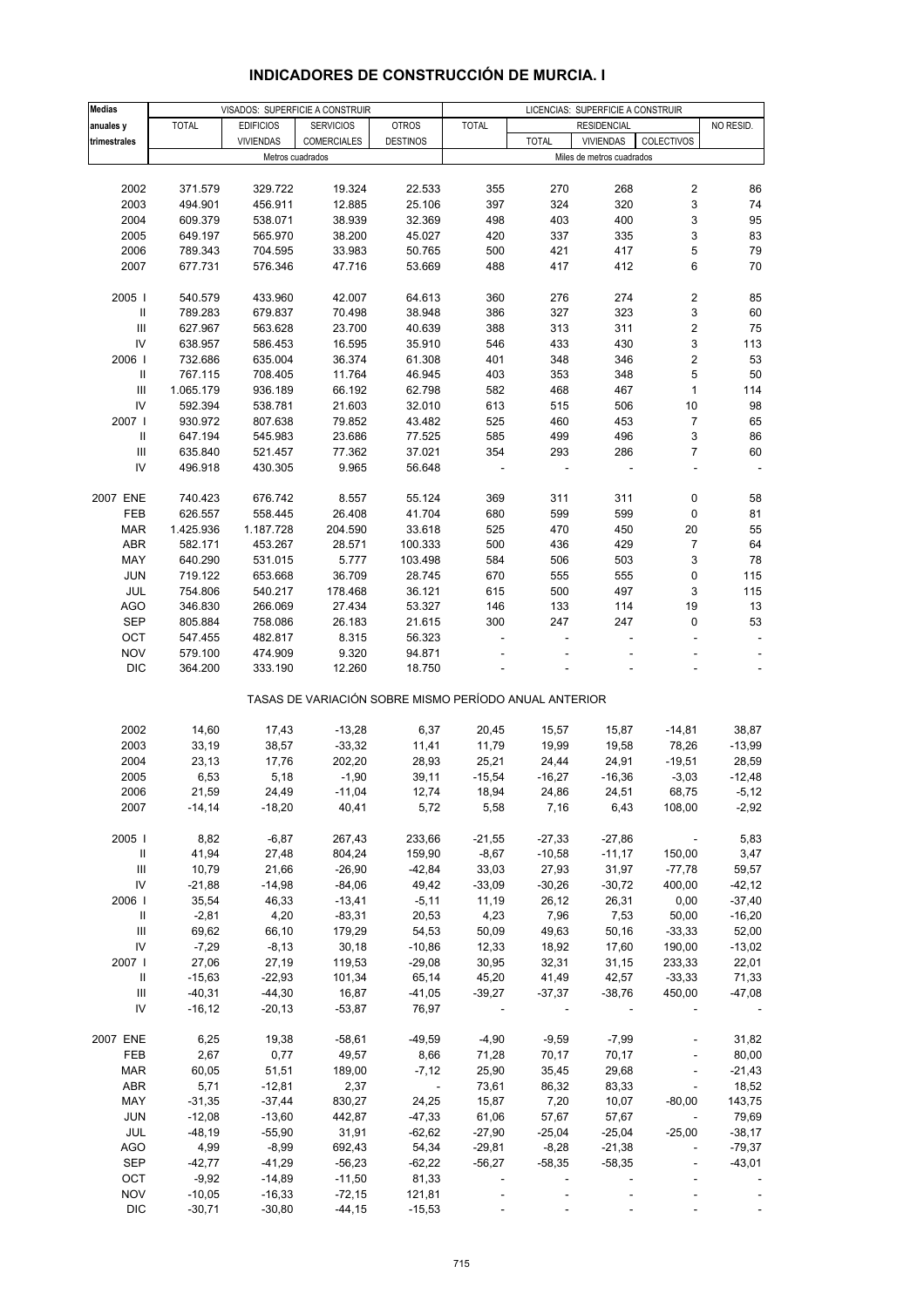| <b>Medias</b>                      |              |                  | VISADOS: SUPERFICIE A CONSTRUIR                       |                          |              |              | LICENCIAS: SUPERFICIE A CONSTRUIR |                          |           |
|------------------------------------|--------------|------------------|-------------------------------------------------------|--------------------------|--------------|--------------|-----------------------------------|--------------------------|-----------|
| anuales y                          | <b>TOTAL</b> | <b>EDIFICIOS</b> | <b>SERVICIOS</b>                                      | <b>OTROS</b>             | <b>TOTAL</b> |              | <b>RESIDENCIAL</b>                |                          | NO RESID. |
| trimestrales                       |              | <b>VIVIENDAS</b> | <b>COMERCIALES</b>                                    | <b>DESTINOS</b>          |              | <b>TOTAL</b> | <b>VIVIENDAS</b>                  | COLECTIVOS               |           |
|                                    |              |                  | Metros cuadrados                                      |                          |              |              | Miles de metros cuadrados         |                          |           |
|                                    |              |                  |                                                       |                          |              |              |                                   |                          |           |
|                                    |              |                  |                                                       |                          |              |              |                                   |                          |           |
| 2002                               | 371.579      | 329.722          | 19.324                                                | 22.533                   | 355          | 270          | 268                               | 2                        | 86        |
| 2003                               | 494.901      | 456.911          | 12.885                                                | 25.106                   | 397          | 324          | 320                               | 3                        | 74        |
| 2004                               | 609.379      | 538.071          | 38.939                                                | 32.369                   | 498          | 403          | 400                               | 3                        | 95        |
| 2005                               | 649.197      | 565.970          | 38.200                                                | 45.027                   | 420          | 337          | 335                               | 3                        | 83        |
| 2006                               | 789.343      | 704.595          | 33.983                                                | 50.765                   | 500          | 421          | 417                               | 5                        | 79        |
| 2007                               | 677.731      | 576.346          | 47.716                                                | 53.669                   | 488          | 417          | 412                               | 6                        | 70        |
|                                    |              |                  |                                                       |                          |              |              |                                   |                          |           |
| 2005                               | 540.579      | 433.960          | 42.007                                                | 64.613                   | 360          | 276          | 274                               | 2                        | 85        |
|                                    |              |                  |                                                       |                          |              |              |                                   |                          |           |
| $\, \parallel$                     | 789.283      | 679.837          | 70.498                                                | 38.948                   | 386          | 327          | 323                               | 3                        | 60        |
| III                                | 627.967      | 563.628          | 23.700                                                | 40.639                   | 388          | 313          | 311                               | 2                        | 75        |
| IV                                 | 638.957      | 586.453          | 16.595                                                | 35.910                   | 546          | 433          | 430                               | 3                        | 113       |
| 2006                               | 732.686      | 635.004          | 36.374                                                | 61.308                   | 401          | 348          | 346                               | $\overline{c}$           | 53        |
| $\, \parallel$                     | 767.115      | 708.405          | 11.764                                                | 46.945                   | 403          | 353          | 348                               | 5                        | 50        |
| $\ensuremath{\mathsf{III}}\xspace$ | 1.065.179    | 936.189          | 66.192                                                | 62.798                   | 582          | 468          | 467                               | $\mathbf{1}$             | 114       |
| IV                                 | 592.394      | 538.781          | 21.603                                                | 32.010                   | 613          | 515          | 506                               | 10                       | 98        |
|                                    |              |                  |                                                       |                          |              |              |                                   |                          |           |
| 2007                               | 930.972      | 807.638          | 79.852                                                | 43.482                   | 525          | 460          | 453                               | $\overline{7}$           | 65        |
| Ш                                  | 647.194      | 545.983          | 23.686                                                | 77.525                   | 585          | 499          | 496                               | 3                        | 86        |
| Ш                                  | 635.840      | 521.457          | 77.362                                                | 37.021                   | 354          | 293          | 286                               | $\overline{7}$           | 60        |
| IV                                 | 496.918      | 430.305          | 9.965                                                 | 56.648                   |              |              |                                   | $\overline{\phantom{a}}$ | ÷,        |
|                                    |              |                  |                                                       |                          |              |              |                                   |                          |           |
| 2007 ENE                           | 740.423      | 676.742          | 8.557                                                 | 55.124                   | 369          | 311          | 311                               | 0                        | 58        |
| FEB                                |              |                  | 26.408                                                |                          |              | 599          | 599                               |                          |           |
|                                    | 626.557      | 558.445          |                                                       | 41.704                   | 680          |              |                                   | 0                        | 81        |
| <b>MAR</b>                         | 1.425.936    | 1.187.728        | 204.590                                               | 33.618                   | 525          | 470          | 450                               | 20                       | 55        |
| <b>ABR</b>                         | 582.171      | 453.267          | 28.571                                                | 100.333                  | 500          | 436          | 429                               | $\overline{7}$           | 64        |
| MAY                                | 640.290      | 531.015          | 5.777                                                 | 103.498                  | 584          | 506          | 503                               | 3                        | 78        |
| JUN                                | 719.122      | 653.668          | 36.709                                                | 28.745                   | 670          | 555          | 555                               | 0                        | 115       |
| JUL                                | 754.806      | 540.217          | 178.468                                               | 36.121                   | 615          | 500          | 497                               | 3                        | 115       |
| <b>AGO</b>                         | 346.830      | 266.069          | 27.434                                                | 53.327                   | 146          | 133          | 114                               | 19                       | 13        |
|                                    |              |                  |                                                       |                          |              |              |                                   |                          |           |
| <b>SEP</b>                         | 805.884      | 758.086          | 26.183                                                | 21.615                   | 300          | 247          | 247                               | 0                        | 53        |
| OCT                                | 547.455      | 482.817          | 8.315                                                 | 56.323                   |              |              |                                   |                          | ÷         |
| <b>NOV</b>                         | 579.100      | 474.909          | 9.320                                                 | 94.871                   |              |              |                                   |                          |           |
| <b>DIC</b>                         | 364.200      | 333.190          | 12.260                                                | 18.750                   |              |              |                                   |                          |           |
|                                    |              |                  |                                                       |                          |              |              |                                   |                          |           |
|                                    |              |                  | TASAS DE VARIACIÓN SOBRE MISMO PERÍODO ANUAL ANTERIOR |                          |              |              |                                   |                          |           |
|                                    |              |                  |                                                       |                          |              |              |                                   |                          |           |
| 2002                               | 14,60        | 17,43            | $-13,28$                                              | 6,37                     | 20,45        | 15,57        | 15,87                             | $-14,81$                 | 38,87     |
| 2003                               |              |                  |                                                       |                          |              |              |                                   |                          |           |
|                                    | 33,19        | 38,57            | $-33,32$                                              | 11,41                    | 11,79        | 19,99        | 19,58                             | 78,26                    | $-13,99$  |
| 2004                               | 23,13        | 17,76            | 202,20                                                | 28,93                    | 25,21        | 24,44        | 24,91                             | $-19,51$                 | 28,59     |
| 2005                               | 6,53         | 5,18             | $-1,90$                                               | 39,11                    | $-15,54$     | $-16,27$     | $-16,36$                          | $-3,03$                  | $-12,48$  |
| 2006                               | 21,59        | 24,49            | $-11,04$                                              | 12,74                    | 18,94        | 24,86        | 24,51                             | 68,75                    | $-5,12$   |
| 2007                               | $-14,14$     | $-18,20$         | 40,41                                                 | 5,72                     | 5,58         | 7,16         | 6,43                              | 108,00                   | $-2,92$   |
|                                    |              |                  |                                                       |                          |              |              |                                   |                          |           |
| 2005                               | 8,82         | $-6,87$          | 267,43                                                | 233,66                   | $-21,55$     | $-27,33$     | $-27,86$                          | $\sim$                   | 5,83      |
|                                    |              |                  |                                                       |                          |              |              |                                   |                          |           |
| Ш                                  | 41,94        | 27,48            | 804,24                                                | 159,90                   | $-8,67$      | $-10,58$     | $-11,17$                          | 150,00                   | 3,47      |
| Ш                                  | 10,79        | 21,66            | $-26,90$                                              | $-42,84$                 | 33,03        | 27,93        | 31,97                             | $-77,78$                 | 59,57     |
| IV                                 | $-21,88$     | $-14,98$         | $-84,06$                                              | 49,42                    | $-33,09$     | $-30,26$     | $-30,72$                          | 400,00                   | $-42, 12$ |
| 2006                               | 35,54        | 46,33            | $-13,41$                                              | $-5,11$                  | 11,19        | 26,12        | 26,31                             | 0,00                     | $-37,40$  |
| $\mathbf{II}$                      | $-2,81$      | 4,20             | $-83,31$                                              | 20,53                    | 4,23         | 7,96         | 7,53                              | 50,00                    | $-16,20$  |
| $\ensuremath{\mathsf{III}}\xspace$ | 69,62        | 66,10            | 179,29                                                | 54,53                    | 50,09        | 49,63        | 50,16                             | $-33,33$                 | 52,00     |
| IV                                 | $-7,29$      | $-8,13$          | 30,18                                                 | $-10,86$                 | 12,33        | 18,92        | 17,60                             | 190,00                   | $-13,02$  |
| 2007                               | 27,06        | 27,19            | 119,53                                                | $-29,08$                 | 30,95        | 32,31        | 31,15                             | 233,33                   | 22,01     |
|                                    |              |                  |                                                       |                          |              |              |                                   |                          |           |
| Ш                                  | $-15,63$     | $-22,93$         | 101,34                                                | 65,14                    | 45,20        | 41,49        | 42,57                             | $-33,33$                 | 71,33     |
| Ш                                  | $-40,31$     | $-44,30$         | 16,87                                                 | $-41,05$                 | $-39,27$     | $-37,37$     | $-38,76$                          | 450,00                   | -47,08    |
| IV                                 | $-16, 12$    | $-20,13$         | $-53,87$                                              | 76,97                    |              |              |                                   |                          |           |
|                                    |              |                  |                                                       |                          |              |              |                                   |                          |           |
| 2007 ENE                           | 6,25         | 19,38            | $-58,61$                                              | $-49,59$                 | $-4,90$      | $-9,59$      | $-7,99$                           |                          | 31,82     |
| FEB                                | 2,67         | 0,77             | 49,57                                                 | 8,66                     | 71,28        | 70,17        | 70,17                             | $\Box$                   | 80,00     |
|                                    |              |                  |                                                       |                          |              |              |                                   |                          |           |
| <b>MAR</b>                         | 60,05        | 51,51            | 189,00                                                | $-7,12$                  | 25,90        | 35,45        | 29,68                             | $\overline{\phantom{a}}$ | $-21,43$  |
| ABR                                | 5,71         | $-12,81$         | 2,37                                                  | $\overline{\phantom{a}}$ | 73,61        | 86,32        | 83,33                             | $\overline{\phantom{a}}$ | 18,52     |
| MAY                                | $-31,35$     | $-37,44$         | 830,27                                                | 24,25                    | 15,87        | 7,20         | 10,07                             | $-80,00$                 | 143,75    |
| JUN                                | $-12,08$     | $-13,60$         | 442,87                                                | $-47,33$                 | 61,06        | 57,67        | 57,67                             | $\overline{\phantom{a}}$ | 79,69     |
| JUL                                | $-48,19$     | $-55,90$         | 31,91                                                 | $-62,62$                 | $-27,90$     | $-25,04$     | $-25,04$                          | $-25,00$                 | $-38,17$  |
| <b>AGO</b>                         | 4,99         | $-8,99$          | 692,43                                                | 54,34                    | $-29,81$     | $-8,28$      | $-21,38$                          | $\frac{1}{2}$            | $-79,37$  |
| <b>SEP</b>                         | $-42,77$     | $-41,29$         | $-56,23$                                              | $-62,22$                 | $-56,27$     | $-58,35$     | $-58,35$                          | $\blacksquare$           | $-43,01$  |
|                                    |              |                  |                                                       |                          |              |              |                                   |                          |           |
| OCT                                | $-9,92$      | $-14,89$         | $-11,50$                                              | 81,33                    |              |              |                                   |                          |           |
| <b>NOV</b>                         | $-10,05$     | $-16,33$         | $-72,15$                                              | 121,81                   |              |              |                                   |                          |           |
| <b>DIC</b>                         | $-30,71$     | $-30,80$         | $-44, 15$                                             | $-15,53$                 |              |              |                                   |                          |           |

# **INDICADORES DE CONSTRUCCIÓN DE MURCIA. I**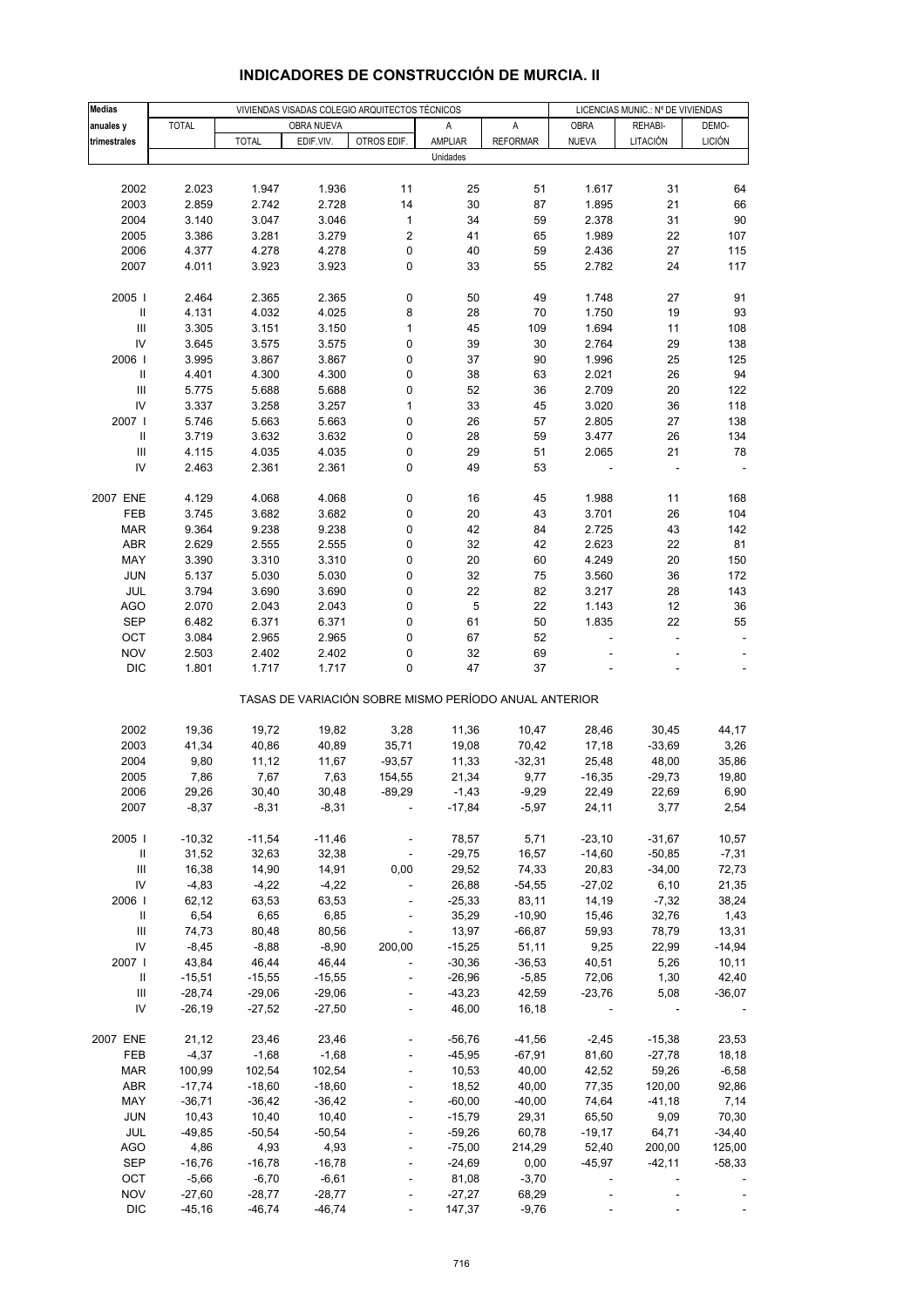| <b>Medias</b>                      |              |              |            | VIVIENDAS VISADAS COLEGIO ARQUITECTOS TÉCNICOS        |          |                 | LICENCIAS MUNIC.: Nº DE VIVIENDAS |          |                          |
|------------------------------------|--------------|--------------|------------|-------------------------------------------------------|----------|-----------------|-----------------------------------|----------|--------------------------|
| anuales y                          | <b>TOTAL</b> |              | OBRA NUEVA |                                                       | Α        | A               | OBRA                              | REHABI-  | DEMO-                    |
| trimestrales                       |              | <b>TOTAL</b> | EDIF.VIV.  | OTROS EDIF.                                           | AMPLIAR  | <b>REFORMAR</b> | <b>NUEVA</b>                      | LITACIÓN | <b>LICIÓN</b>            |
|                                    |              |              |            |                                                       | Unidades |                 |                                   |          |                          |
|                                    |              |              |            |                                                       |          |                 |                                   |          |                          |
| 2002                               | 2.023        | 1.947        | 1.936      | 11                                                    | 25       | 51              | 1.617                             | 31       | 64                       |
|                                    |              |              |            |                                                       |          |                 |                                   |          |                          |
| 2003                               | 2.859        | 2.742        | 2.728      | 14                                                    | 30       | 87              | 1.895                             | 21       | 66                       |
| 2004                               | 3.140        | 3.047        | 3.046      | 1                                                     | 34       | 59              | 2.378                             | 31       | 90                       |
| 2005                               | 3.386        | 3.281        | 3.279      | $\overline{\mathbf{c}}$                               | 41       | 65              | 1.989                             | 22       | 107                      |
| 2006                               | 4.377        | 4.278        | 4.278      | 0                                                     | 40       | 59              | 2.436                             | 27       | 115                      |
| 2007                               | 4.011        | 3.923        | 3.923      | 0                                                     | 33       | 55              | 2.782                             | 24       | 117                      |
|                                    |              |              |            |                                                       |          |                 |                                   |          |                          |
| 2005                               | 2.464        | 2.365        | 2.365      | 0                                                     | 50       | 49              | 1.748                             | 27       | 91                       |
| $\,$ II                            | 4.131        | 4.032        | 4.025      | 8                                                     | 28       | 70              | 1.750                             | 19       | 93                       |
| Ш                                  | 3.305        | 3.151        | 3.150      | $\mathbf{1}$                                          | 45       | 109             | 1.694                             | 11       | 108                      |
| IV                                 | 3.645        | 3.575        | 3.575      | 0                                                     | 39       | 30              | 2.764                             | 29       | 138                      |
| 2006                               | 3.995        | 3.867        | 3.867      | 0                                                     | 37       | 90              | 1.996                             | 25       | 125                      |
| Ш                                  | 4.401        | 4.300        | 4.300      | 0                                                     | 38       | 63              | 2.021                             | 26       | 94                       |
| $\ensuremath{\mathsf{III}}\xspace$ | 5.775        | 5.688        | 5.688      | 0                                                     | 52       | 36              | 2.709                             | 20       | 122                      |
| IV                                 | 3.337        | 3.258        | 3.257      | 1                                                     | 33       | 45              | 3.020                             | 36       | 118                      |
| 2007                               | 5.746        | 5.663        | 5.663      | 0                                                     | 26       | 57              | 2.805                             | 27       | 138                      |
| $\,$ II                            | 3.719        | 3.632        | 3.632      | 0                                                     | 28       | 59              | 3.477                             | 26       | 134                      |
| Ш                                  | 4.115        | 4.035        | 4.035      | 0                                                     | 29       | 51              | 2.065                             | 21       | 78                       |
| IV                                 | 2.463        | 2.361        | 2.361      | 0                                                     | 49       | 53              |                                   |          |                          |
|                                    |              |              |            |                                                       |          |                 |                                   |          |                          |
|                                    |              |              |            |                                                       |          |                 |                                   |          |                          |
| 2007 ENE                           | 4.129        | 4.068        | 4.068      | 0                                                     | 16       | 45              | 1.988                             | 11       | 168                      |
| FEB                                | 3.745        | 3.682        | 3.682      | 0                                                     | 20       | 43              | 3.701                             | 26       | 104                      |
| MAR                                | 9.364        | 9.238        | 9.238      | 0                                                     | 42       | 84              | 2.725                             | 43       | 142                      |
| ABR                                | 2.629        | 2.555        | 2.555      | 0                                                     | 32       | 42              | 2.623                             | 22       | 81                       |
| MAY                                | 3.390        | 3.310        | 3.310      | 0                                                     | 20       | 60              | 4.249                             | 20       | 150                      |
| <b>JUN</b>                         | 5.137        | 5.030        | 5.030      | 0                                                     | 32       | 75              | 3.560                             | 36       | 172                      |
| JUL                                | 3.794        | 3.690        | 3.690      | 0                                                     | 22       | 82              | 3.217                             | 28       | 143                      |
| <b>AGO</b>                         | 2.070        | 2.043        | 2.043      | 0                                                     | 5        | 22              | 1.143                             | 12       | 36                       |
| <b>SEP</b>                         | 6.482        | 6.371        | 6.371      | 0                                                     | 61       | 50              | 1.835                             | 22       | 55                       |
| OCT                                | 3.084        | 2.965        | 2.965      | 0                                                     | 67       | 52              |                                   | ÷        | $\overline{\phantom{a}}$ |
| <b>NOV</b>                         | 2.503        | 2.402        | 2.402      | 0                                                     | 32       | 69              |                                   |          |                          |
| <b>DIC</b>                         | 1.801        | 1.717        | 1.717      | 0                                                     | 47       | 37              |                                   |          |                          |
|                                    |              |              |            | TASAS DE VARIACIÓN SOBRE MISMO PERÍODO ANUAL ANTERIOR |          |                 |                                   |          |                          |
|                                    |              |              |            |                                                       |          |                 |                                   |          |                          |
| 2002                               | 19,36        | 19,72        | 19,82      | 3,28                                                  | 11,36    | 10,47           | 28,46                             | 30,45    | 44,17                    |
| 2003                               | 41,34        | 40,86        | 40,89      | 35,71                                                 | 19,08    | 70,42           | 17,18                             | $-33,69$ | 3,26                     |
| 2004                               | 9,80         | 11,12        | 11,67      | $-93,57$                                              | 11,33    | $-32,31$        | 25,48                             | 48,00    | 35,86                    |
| 2005                               | 7,86         | 7,67         | 7,63       | 154,55                                                | 21,34    | 9,77            | $-16,35$                          | $-29,73$ | 19,80                    |
| 2006                               | 29,26        | 30,40        | 30,48      | $-89,29$                                              | $-1,43$  | $-9,29$         | 22,49                             | 22,69    | 6,90                     |
| 2007                               |              | $-8,31$      | $-8,31$    |                                                       | $-17,84$ |                 | 24,11                             |          | 2,54                     |
|                                    | $-8,37$      |              |            |                                                       |          | $-5,97$         |                                   | 3,77     |                          |
| 2005                               | $-10,32$     | $-11,54$     | $-11,46$   |                                                       | 78,57    | 5,71            | $-23,10$                          | $-31,67$ | 10,57                    |
|                                    |              |              |            |                                                       |          |                 |                                   |          |                          |
| Ш                                  | 31,52        | 32,63        | 32,38      |                                                       | $-29,75$ | 16,57           | $-14,60$                          | $-50,85$ | $-7,31$                  |
| $\ensuremath{\mathsf{III}}\xspace$ | 16,38        | 14,90        | 14,91      | 0,00                                                  | 29,52    | 74,33           | 20,83                             | $-34,00$ | 72,73                    |
| IV                                 | $-4,83$      | $-4,22$      | $-4,22$    | ÷,                                                    | 26,88    | $-54,55$        | $-27,02$                          | 6,10     | 21,35                    |
| 2006                               | 62,12        | 63,53        | 63,53      |                                                       | $-25,33$ | 83,11           | 14,19                             | $-7,32$  | 38,24                    |
| $\, \parallel$                     | 6,54         | 6,65         | 6,85       |                                                       | 35,29    | $-10,90$        | 15,46                             | 32,76    | 1,43                     |
| Ш                                  | 74,73        | 80,48        | 80,56      | $\Box$                                                | 13,97    | $-66,87$        | 59,93                             | 78,79    | 13,31                    |
| IV                                 | $-8,45$      | $-8,88$      | $-8,90$    | 200,00                                                | $-15,25$ | 51,11           | 9,25                              | 22,99    | $-14,94$                 |
| 2007 l                             | 43,84        | 46,44        | 46,44      |                                                       | $-30,36$ | $-36,53$        | 40,51                             | 5,26     | 10, 11                   |
| Ш                                  | $-15,51$     | $-15,55$     | $-15,55$   | $\blacksquare$                                        | $-26,96$ | $-5,85$         | 72,06                             | 1,30     | 42,40                    |
| Ш                                  | $-28,74$     | $-29,06$     | $-29,06$   |                                                       | $-43,23$ | 42,59           | $-23,76$                          | 5,08     | $-36,07$                 |
| IV                                 | $-26,19$     | $-27,52$     | $-27,50$   |                                                       | 46,00    | 16,18           |                                   |          |                          |
| 2007 ENE                           | 21,12        | 23,46        | 23,46      |                                                       | $-56,76$ | $-41,56$        | $-2,45$                           | $-15,38$ | 23,53                    |
| FEB                                | $-4,37$      | $-1,68$      | $-1,68$    |                                                       | $-45,95$ | $-67,91$        | 81,60                             | $-27,78$ | 18,18                    |
|                                    |              | 102,54       |            |                                                       |          | 40,00           | 42,52                             | 59,26    |                          |
| MAR                                | 100,99       |              | 102,54     |                                                       | 10,53    |                 |                                   |          | $-6,58$                  |
| ABR                                | $-17,74$     | $-18,60$     | $-18,60$   |                                                       | 18,52    | 40,00           | 77,35                             | 120,00   | 92,86                    |
| MAY                                | $-36,71$     | $-36,42$     | $-36,42$   |                                                       | $-60,00$ | $-40,00$        | 74,64                             | $-41,18$ | 7,14                     |
| <b>JUN</b>                         | 10,43        | 10,40        | 10,40      | $\blacksquare$                                        | $-15,79$ | 29,31           | 65,50                             | 9,09     | 70,30                    |
| JUL                                | $-49,85$     | $-50,54$     | $-50,54$   |                                                       | $-59,26$ | 60,78           | $-19,17$                          | 64,71    | $-34,40$                 |
| <b>AGO</b>                         | 4,86         | 4,93         | 4,93       |                                                       | $-75,00$ | 214,29          | 52,40                             | 200,00   | 125,00                   |
| <b>SEP</b>                         | $-16,76$     | $-16,78$     | $-16,78$   |                                                       | $-24,69$ | 0,00            | $-45,97$                          | $-42,11$ | $-58,33$                 |
| OCT                                | $-5,66$      | $-6,70$      | $-6,61$    |                                                       | 81,08    | $-3,70$         |                                   |          |                          |
| <b>NOV</b>                         | $-27,60$     | $-28,77$     | $-28,77$   |                                                       | $-27,27$ | 68,29           |                                   |          |                          |
| <b>DIC</b>                         | $-45,16$     | $-46,74$     | $-46,74$   | $\overline{\phantom{a}}$                              | 147,37   | $-9,76$         |                                   |          |                          |

# **INDICADORES DE CONSTRUCCIÓN DE MURCIA. II**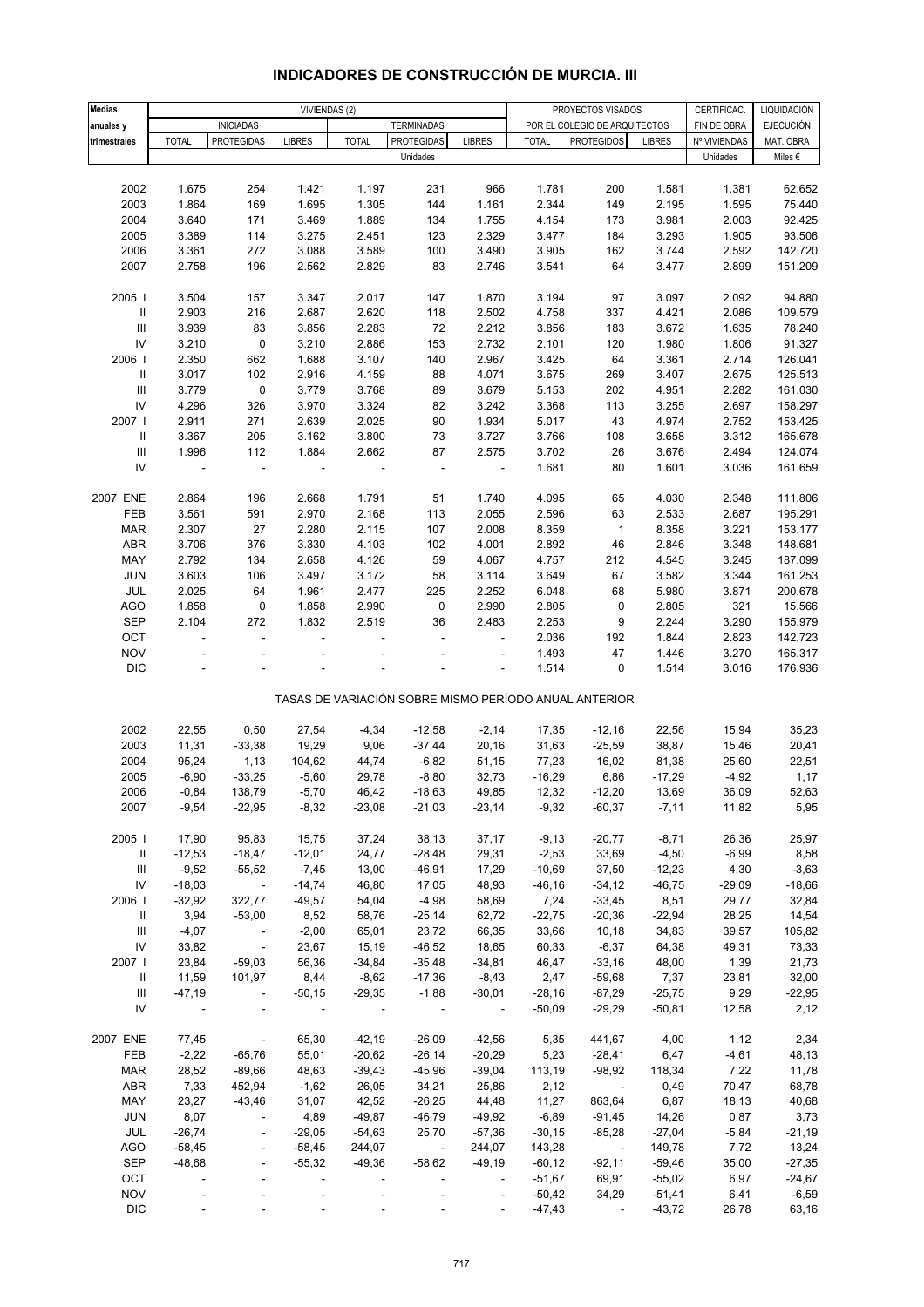| <b>Medias</b>                      |                          |                          | VIVIENDAS (2)            |                          |                         |                 |              | PROYECTOS VISADOS                                     |                      | CERTIFICAC.  | LIQUIDACIÓN      |
|------------------------------------|--------------------------|--------------------------|--------------------------|--------------------------|-------------------------|-----------------|--------------|-------------------------------------------------------|----------------------|--------------|------------------|
| anuales y                          |                          | <b>INICIADAS</b>         |                          |                          | <b>TERMINADAS</b>       |                 |              | POR EL COLEGIO DE ARQUITECTOS                         |                      | FIN DE OBRA  | <b>EJECUCIÓN</b> |
| trimestrales                       | <b>TOTAL</b>             | <b>PROTEGIDAS</b>        | <b>LIBRES</b>            | <b>TOTAL</b>             | PROTEGIDAS              | <b>LIBRES</b>   | <b>TOTAL</b> | <b>PROTEGIDOS</b>                                     | <b>LIBRES</b>        | Nº VIVIENDAS | MAT. OBRA        |
|                                    |                          |                          |                          |                          | Unidades                |                 |              |                                                       |                      | Unidades     | Miles $\epsilon$ |
|                                    |                          |                          |                          |                          |                         |                 |              |                                                       |                      |              |                  |
| 2002                               | 1.675                    | 254                      | 1.421                    | 1.197                    | 231                     | 966             | 1.781        | 200                                                   | 1.581                | 1.381        | 62.652           |
| 2003                               | 1.864                    | 169                      | 1.695                    | 1.305                    | 144                     | 1.161           | 2.344        | 149                                                   | 2.195                | 1.595        | 75.440           |
| 2004                               | 3.640                    | 171                      | 3.469                    | 1.889                    | 134                     | 1.755           | 4.154        | 173                                                   | 3.981                | 2.003        | 92.425           |
| 2005                               | 3.389                    | 114                      | 3.275                    | 2.451                    | 123                     | 2.329           | 3.477        | 184                                                   | 3.293                | 1.905        | 93.506           |
| 2006                               | 3.361                    | 272                      | 3.088                    | 3.589                    | 100                     | 3.490           | 3.905        | 162                                                   | 3.744                | 2.592        | 142.720          |
| 2007                               | 2.758                    | 196                      | 2.562                    | 2.829                    | 83                      | 2.746           | 3.541        | 64                                                    | 3.477                | 2.899        | 151.209          |
|                                    |                          |                          |                          |                          |                         |                 |              |                                                       |                      |              |                  |
| 2005 l                             | 3.504                    | 157                      | 3.347                    | 2.017                    | 147                     | 1.870           | 3.194        | 97                                                    | 3.097                | 2.092        | 94.880           |
| $\mathbf{II}$                      | 2.903                    | 216                      | 2.687                    | 2.620                    | 118                     | 2.502           | 4.758        | 337                                                   | 4.421                | 2.086        | 109.579          |
| $\ensuremath{\mathsf{III}}\xspace$ | 3.939                    | 83                       | 3.856                    | 2.283                    | 72                      | 2.212           | 3.856        | 183                                                   | 3.672                | 1.635        | 78.240           |
| ${\sf IV}$                         | 3.210                    | 0                        | 3.210                    | 2.886                    | 153                     | 2.732           | 2.101        | 120                                                   | 1.980                | 1.806        | 91.327           |
| 2006                               | 2.350                    | 662                      | 1.688                    | 3.107                    | 140                     | 2.967           | 3.425        | 64                                                    | 3.361                | 2.714        | 126.041          |
| $\ensuremath{\mathsf{II}}$         | 3.017                    | 102                      | 2.916                    | 4.159                    | 88                      | 4.071           | 3.675        | 269                                                   | 3.407                | 2.675        | 125.513          |
| $\ensuremath{\mathsf{III}}\xspace$ | 3.779                    | $\pmb{0}$                | 3.779                    | 3.768                    | 89                      | 3.679           | 5.153        | 202                                                   | 4.951                | 2.282        | 161.030          |
| IV                                 | 4.296                    | 326                      | 3.970                    | 3.324                    | 82                      | 3.242           | 3.368        | 113                                                   | 3.255                | 2.697        | 158.297          |
| 2007                               | 2.911                    | 271                      | 2.639                    | 2.025                    | 90                      | 1.934           | 5.017        | 43                                                    | 4.974                | 2.752        | 153.425          |
| Ш                                  | 3.367                    | 205                      | 3.162                    | 3.800                    | 73                      | 3.727           | 3.766        | 108                                                   | 3.658                | 3.312        | 165.678          |
| $\ensuremath{\mathsf{III}}\xspace$ | 1.996                    | 112                      | 1.884                    | 2.662                    | 87                      | 2.575           | 3.702        | 26                                                    | 3.676                | 2.494        | 124.074          |
| IV                                 |                          | ä,                       |                          |                          |                         |                 | 1.681        | 80                                                    | 1.601                | 3.036        | 161.659          |
|                                    |                          |                          |                          |                          |                         |                 |              |                                                       |                      |              |                  |
| 2007 ENE                           | 2.864                    | 196                      | 2.668                    | 1.791                    | 51                      | 1.740           | 4.095        | 65                                                    | 4.030                | 2.348        | 111.806          |
| FEB                                | 3.561                    | 591                      | 2.970                    | 2.168                    | 113                     | 2.055           | 2.596        | 63                                                    | 2.533                | 2.687        | 195.291          |
| <b>MAR</b>                         | 2.307                    | 27                       | 2.280                    | 2.115                    | 107                     | 2.008           | 8.359        | $\mathbf 1$                                           | 8.358                | 3.221        | 153.177          |
| ABR                                | 3.706                    | 376                      | 3.330                    | 4.103                    | 102                     | 4.001           | 2.892        | 46                                                    | 2.846                | 3.348        | 148.681          |
| MAY                                | 2.792                    | 134                      | 2.658                    | 4.126                    | 59                      | 4.067           | 4.757        | 212                                                   | 4.545                | 3.245        | 187.099          |
| JUN                                | 3.603                    | 106                      | 3.497                    | 3.172                    | 58                      | 3.114           | 3.649        | 67                                                    | 3.582                | 3.344        | 161.253          |
| JUL                                | 2.025                    | 64                       | 1.961                    | 2.477                    | 225                     | 2.252           | 6.048        | 68                                                    | 5.980                | 3.871        | 200.678          |
| <b>AGO</b>                         | 1.858                    | $\pmb{0}$                | 1.858                    | 2.990                    | 0                       | 2.990           | 2.805        | 0                                                     | 2.805                | 321          | 15.566           |
| <b>SEP</b>                         | 2.104                    | 272                      | 1.832                    | 2.519                    | 36                      | 2.483           | 2.253        | 9                                                     | 2.244                | 3.290        | 155.979          |
| OCT                                | $\overline{\phantom{a}}$ | $\overline{\phantom{a}}$ | ä,                       | $\overline{\phantom{a}}$ | ÷,                      | $\Box$          | 2.036        | 192                                                   | 1.844                | 2.823        | 142.723          |
| <b>NOV</b>                         |                          |                          |                          |                          |                         |                 | 1.493        | 47                                                    | 1.446                | 3.270        | 165.317          |
| $\mathsf{DIC}$                     |                          |                          |                          |                          |                         | ÷               | 1.514        | 0                                                     | 1.514                | 3.016        | 176.936          |
|                                    |                          |                          |                          |                          |                         |                 |              | TASAS DE VARIACIÓN SOBRE MISMO PERÍODO ANUAL ANTERIOR |                      |              |                  |
|                                    |                          |                          |                          |                          |                         |                 |              |                                                       |                      |              |                  |
| 2002                               | 22,55                    | 0,50                     | 27,54                    | $-4,34$                  | $-12,58$                | $-2,14$         | 17,35        | $-12,16$                                              | 22,56                | 15,94        | 35,23            |
| 2003                               | 11,31                    | $-33,38$                 | 19,29                    | 9,06                     | $-37,44$                | 20,16           | 31,63        | $-25,59$                                              | 38,87                | 15,46        | 20,41            |
| 2004                               | 95,24                    | 1,13                     | 104,62                   | 44,74                    | $-6,82$                 | 51,15           | 77,23        | 16,02                                                 | 81,38                | 25,60        | 22,51            |
| 2005                               | $-6,90$                  | $-33,25$                 | $-5,60$                  | 29,78                    | $-8,80$                 | 32,73           | $-16,29$     | 6,86                                                  | $-17,29$             | $-4,92$      | 1,17             |
| 2006                               | -0,84                    | 138,79                   | $-5,70$                  | 46,42                    | -18,63                  | 49,85           | 12,32        | -12,20                                                | 13,69                | 36,09        | 52,63            |
| 2007                               | $-9,54$                  | $-22,95$                 | $-8,32$                  | $-23,08$                 | $-21,03$                | $-23,14$        | $-9,32$      | $-60,37$                                              | $-7,11$              | 11,82        | 5,95             |
| 2005                               | 17,90                    | 95,83                    | 15,75                    | 37,24                    | 38,13                   | 37,17           | $-9,13$      | $-20,77$                                              | $-8,71$              | 26,36        | 25,97            |
| $\mathbf{H}$                       | $-12,53$                 | $-18,47$                 | $-12,01$                 | 24,77                    | $-28,48$                | 29,31           | $-2,53$      | 33,69                                                 | $-4,50$              | $-6,99$      | 8,58             |
| $\mathop{\mathsf{III}}\nolimits$   | $-9,52$                  | $-55,52$                 | $-7,45$                  | 13,00                    | $-46,91$                | 17,29           | $-10,69$     | 37,50                                                 | $-12,23$             | 4,30         | $-3,63$          |
| IV                                 | $-18,03$                 | $\sim 10^{11}$ m $^{-1}$ | $-14,74$                 | 46,80                    | 17,05                   | 48,93           | $-46,16$     | $-34,12$                                              | $-46,75$             | $-29,09$     | $-18,66$         |
| 2006                               | $-32,92$                 | 322,77                   | $-49,57$                 | 54,04                    | $-4,98$                 | 58,69           | 7,24         | $-33,45$                                              | 8,51                 | 29,77        | 32,84            |
| Ш                                  | 3,94                     | $-53,00$                 | 8,52                     | 58,76                    | $-25,14$                | 62,72           | $-22,75$     | $-20,36$                                              | $-22,94$             | 28,25        | 14,54            |
| Ш                                  | $-4,07$                  | $\sim 100$               | $-2,00$                  | 65,01                    | 23,72                   | 66,35           | 33,66        | 10,18                                                 | 34,83                | 39,57        | 105,82           |
| IV                                 | 33,82                    | $\sim 10$                | 23,67                    | 15,19                    | $-46,52$                | 18,65           | 60,33        | $-6,37$                                               | 64,38                | 49,31        | 73,33            |
| 2007                               | 23,84                    | $-59,03$                 | 56,36                    | $-34,84$                 | $-35,48$                | $-34,81$        | 46,47        | $-33,16$                                              | 48,00                | 1,39         | 21,73            |
| Ш                                  | 11,59                    | 101,97                   | 8,44                     | $-8,62$                  | $-17,36$                | $-8,43$         | 2,47         | $-59,68$                                              | 7,37                 | 23,81        | 32,00            |
| $\ensuremath{\mathsf{III}}\xspace$ | $-47,19$                 | $\blacksquare$           | $-50,15$                 | $-29,35$                 | $-1,88$                 | $-30,01$        | $-28,16$     | $-87,29$                                              | $-25,75$             | 9,29         | $-22,95$         |
| IV                                 | $\overline{\phantom{a}}$ | $\blacksquare$           | $\overline{\phantom{a}}$ | $\overline{\phantom{a}}$ | $\sim 10$               | $\sim$ 10 $\pm$ | $-50,09$     | $-29,29$                                              | $-50,81$             | 12,58        | 2,12             |
|                                    |                          |                          |                          |                          |                         |                 |              |                                                       |                      |              |                  |
| 2007 ENE                           | 77,45                    | $\sim 100$ km $^{-1}$    | 65,30                    | $-42,19$                 | $-26,09$                | $-42,56$        | 5,35         | 441,67                                                | 4,00                 | 1,12         | 2,34             |
| FEB                                | $-2,22$                  | $-65,76$                 | 55,01                    | $-20,62$                 | $-26,14$                | $-20,29$        | 5,23         | $-28,41$                                              | 6,47                 | $-4,61$      | 48,13            |
| <b>MAR</b>                         | 28,52                    | $-89,66$                 | 48,63                    | $-39,43$                 | $-45,96$                | $-39,04$        | 113,19       | $-98,92$                                              | 118,34               | 7,22         | 11,78            |
| ABR                                | 7,33                     | 452,94                   | $-1,62$                  | 26,05                    | 34,21                   | 25,86           | 2,12         | $\sim 100$                                            | 0,49                 | 70,47        | 68,78            |
| MAY                                | 23,27                    | $-43,46$                 | 31,07                    | 42,52                    | $-26,25$                | 44,48           | 11,27        | 863,64                                                | 6,87                 | 18,13        | 40,68            |
| JUN                                | 8,07                     | $\blacksquare$           | 4,89                     | $-49,87$                 | $-46,79$                | $-49,92$        | $-6,89$      | $-91,45$                                              | 14,26                | 0,87         | 3,73             |
| JUL                                | $-26,74$                 | $\overline{\phantom{a}}$ | $-29,05$                 | $-54,63$                 | 25,70                   | $-57,36$        | $-30,15$     | $-85,28$                                              | $-27,04$             | $-5,84$      | $-21,19$         |
| AGO                                | $-58,45$                 | $\overline{\phantom{a}}$ | $-58,45$                 | 244,07                   | $\sim 100$ km s $^{-1}$ | 244,07          | 143,28       | $\sim 100$ km $^{-1}$                                 | 149,78               | 7,72         | 13,24            |
| <b>SEP</b>                         | $-48,68$                 | $\blacksquare$           | $-55,32$                 | $-49,36$                 | $-58,62$                | $-49,19$        | $-60,12$     | $-92,11$                                              | $-59,46$             | 35,00        | $-27,35$         |
| OCT<br><b>NOV</b>                  | $\overline{\phantom{a}}$ | ÷,                       | $\overline{\phantom{a}}$ |                          |                         | $\blacksquare$  | $-51,67$     | 69,91                                                 | $-55,02$             | 6,97         | $-24,67$         |
| $\mathsf{DIC}$                     |                          |                          | $\overline{\phantom{a}}$ |                          |                         | $\blacksquare$  | $-50,42$     | 34,29                                                 | $-51,41$<br>$-43,72$ | 6,41         | $-6,59$          |
|                                    |                          |                          |                          |                          |                         |                 | $-47,43$     | $\overline{\phantom{a}}$                              |                      | 26,78        | 63,16            |

# **INDICADORES DE CONSTRUCCIÓN DE MURCIA. III**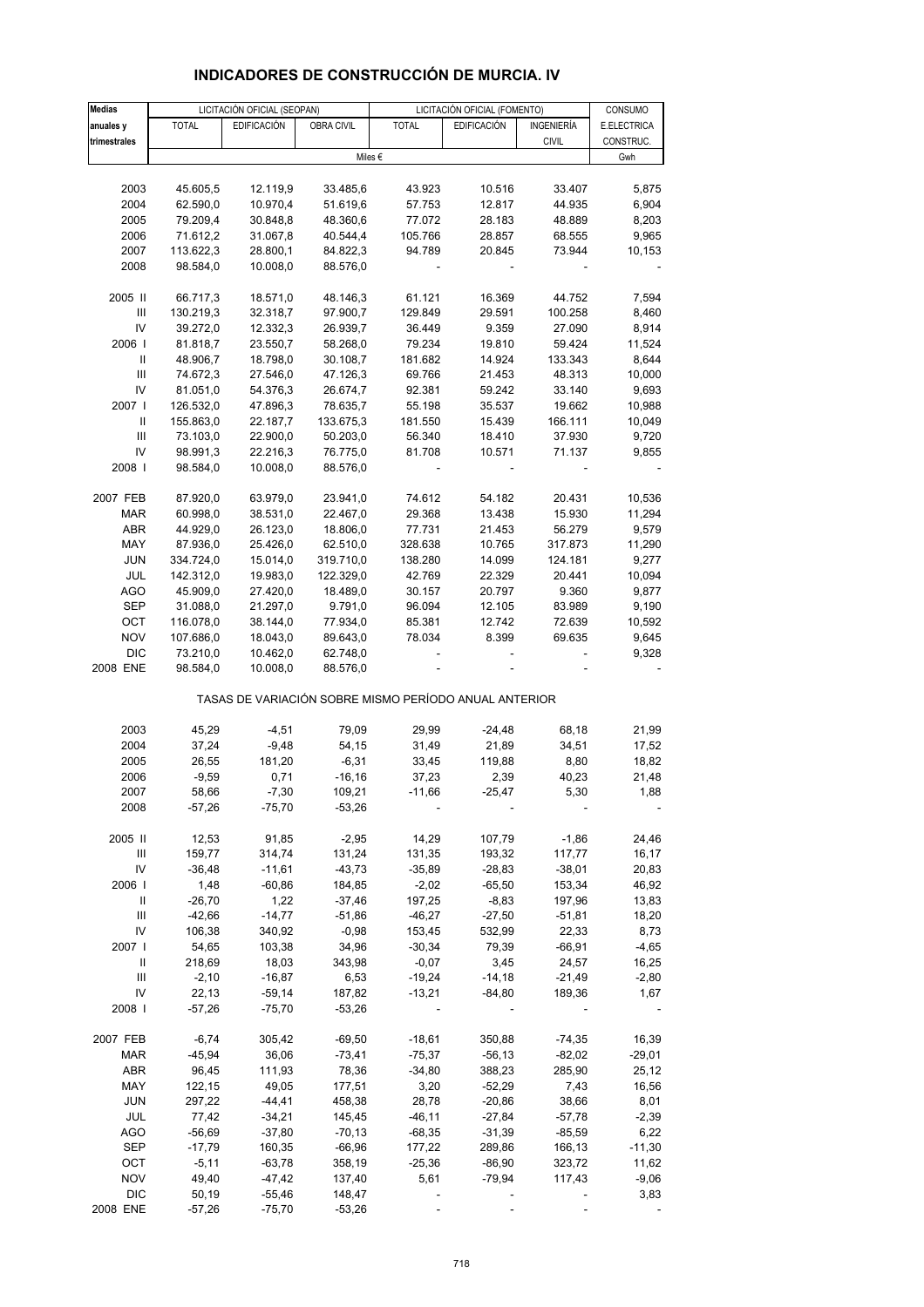| <b>Medias</b>  |              | LICITACIÓN OFICIAL (SEOPAN) |            |                                                       | LICITACIÓN OFICIAL (FOMENTO) |              | CONSUMO     |
|----------------|--------------|-----------------------------|------------|-------------------------------------------------------|------------------------------|--------------|-------------|
| anuales y      | <b>TOTAL</b> | <b>EDIFICACIÓN</b>          | OBRA CIVIL | <b>TOTAL</b>                                          | <b>EDIFICACIÓN</b>           | INGENIERÍA   | E.ELECTRICA |
| trimestrales   |              |                             |            |                                                       |                              | <b>CIVIL</b> | CONSTRUC.   |
|                |              |                             |            | Miles €                                               |                              |              | Gwh         |
|                |              |                             |            |                                                       |                              |              |             |
| 2003           | 45.605,5     | 12.119,9                    | 33.485,6   | 43.923                                                | 10.516                       | 33.407       | 5,875       |
| 2004           | 62.590,0     | 10.970,4                    | 51.619,6   | 57.753                                                | 12.817                       | 44.935       | 6,904       |
| 2005           | 79.209,4     | 30.848,8                    | 48.360,6   | 77.072                                                | 28.183                       | 48.889       | 8,203       |
| 2006           | 71.612,2     | 31.067,8                    | 40.544,4   | 105.766                                               | 28.857                       | 68.555       | 9,965       |
| 2007           | 113.622,3    | 28.800,1                    | 84.822,3   | 94.789                                                | 20.845                       | 73.944       | 10,153      |
| 2008           | 98.584,0     | 10.008,0                    | 88.576,0   |                                                       |                              |              |             |
|                |              |                             |            |                                                       |                              |              |             |
| 2005 II        | 66.717,3     | 18.571,0                    | 48.146,3   | 61.121                                                | 16.369                       | 44.752       | 7,594       |
| III            | 130.219,3    | 32.318,7                    | 97.900,7   | 129.849                                               | 29.591                       | 100.258      | 8,460       |
| IV             | 39.272,0     | 12.332,3                    | 26.939,7   | 36.449                                                | 9.359                        | 27.090       | 8,914       |
| 2006           | 81.818,7     | 23.550,7                    | 58.268,0   | 79.234                                                | 19.810                       | 59.424       | 11,524      |
| $\, \parallel$ | 48.906,7     | 18.798,0                    | 30.108,7   | 181.682                                               | 14.924                       | 133.343      | 8,644       |
| Ш              | 74.672,3     | 27.546,0                    | 47.126,3   | 69.766                                                | 21.453                       | 48.313       | 10,000      |
| IV             | 81.051,0     | 54.376,3                    | 26.674,7   | 92.381                                                | 59.242                       | 33.140       | 9,693       |
| 2007 l         | 126.532,0    | 47.896,3                    | 78.635,7   | 55.198                                                | 35.537                       | 19.662       | 10,988      |
| Ш              | 155.863,0    | 22.187,7                    | 133.675,3  | 181.550                                               | 15.439                       | 166.111      | 10,049      |
| III            | 73.103,0     | 22.900,0                    | 50.203,0   | 56.340                                                | 18.410                       | 37.930       | 9,720       |
| IV             | 98.991,3     | 22.216,3                    | 76.775,0   | 81.708                                                | 10.571                       | 71.137       | 9,855       |
| 2008           | 98.584,0     | 10.008,0                    | 88.576,0   |                                                       |                              |              |             |
|                |              |                             |            |                                                       |                              |              |             |
| 2007 FEB       | 87.920,0     | 63.979,0                    | 23.941,0   | 74.612                                                | 54.182                       | 20.431       | 10,536      |
| <b>MAR</b>     | 60.998,0     | 38.531,0                    | 22.467,0   | 29.368                                                | 13.438                       | 15.930       | 11,294      |
| ABR            | 44.929,0     | 26.123,0                    | 18.806,0   | 77.731                                                | 21.453                       | 56.279       | 9,579       |
| MAY            | 87.936,0     | 25.426,0                    | 62.510,0   | 328.638                                               | 10.765                       | 317.873      | 11,290      |
| <b>JUN</b>     | 334.724,0    | 15.014,0                    | 319.710,0  | 138.280                                               | 14.099                       | 124.181      | 9,277       |
| JUL            | 142.312,0    | 19.983,0                    | 122.329,0  | 42.769                                                | 22.329                       | 20.441       | 10,094      |
| <b>AGO</b>     | 45.909,0     | 27.420,0                    | 18.489,0   | 30.157                                                | 20.797                       | 9.360        | 9,877       |
| <b>SEP</b>     | 31.088,0     | 21.297,0                    | 9.791,0    | 96.094                                                | 12.105                       | 83.989       | 9,190       |
| OCT            | 116.078,0    | 38.144,0                    | 77.934,0   | 85.381                                                | 12.742                       | 72.639       | 10,592      |
| <b>NOV</b>     | 107.686,0    | 18.043,0                    | 89.643,0   | 78.034                                                | 8.399                        | 69.635       | 9,645       |
| <b>DIC</b>     | 73.210,0     | 10.462,0                    | 62.748,0   |                                                       |                              |              | 9,328       |
| 2008 ENE       | 98.584,0     | 10.008,0                    | 88.576,0   |                                                       |                              |              |             |
|                |              |                             |            |                                                       |                              |              |             |
|                |              |                             |            | TASAS DE VARIACIÓN SOBRE MISMO PERÍODO ANUAL ANTERIOR |                              |              |             |
| 2003           | 45,29        | $-4,51$                     | 79,09      | 29,99                                                 | $-24,48$                     | 68,18        | 21,99       |
| 2004           | 37,24        | $-9,48$                     | 54,15      | 31,49                                                 | 21,89                        | 34,51        | 17,52       |
| 2005           | 26,55        | 181,20                      | $-6,31$    | 33,45                                                 | 119,88                       | 8,80         | 18,82       |
| 2006           | $-9,59$      | 0,71                        | $-16, 16$  | 37,23                                                 | 2,39                         | 40,23        | 21,48       |
| 2007           | 58,66        | $-7,30$                     | 109,21     | $-11,66$                                              | $-25,47$                     | 5,30         | 1,88        |
| 2008           | $-57,26$     | $-75,70$                    | $-53,26$   |                                                       |                              |              |             |
|                |              |                             |            |                                                       |                              |              |             |
| 2005 II        | 12,53        | 91,85                       | $-2,95$    | 14,29                                                 | 107,79                       | $-1,86$      | 24,46       |
| Ш              | 159,77       | 314,74                      | 131,24     | 131,35                                                | 193,32                       | 117,77       | 16,17       |
| IV             | $-36,48$     | $-11,61$                    | $-43,73$   | $-35,89$                                              | $-28,83$                     | $-38,01$     | 20,83       |
| 2006           | 1,48         | $-60,86$                    | 184,85     | $-2,02$                                               | $-65,50$                     | 153,34       | 46,92       |
| Ш              | $-26,70$     | 1,22                        | $-37,46$   | 197,25                                                | $-8,83$                      | 197,96       | 13,83       |
| Ш              | $-42,66$     | $-14,77$                    | $-51,86$   | $-46,27$                                              | $-27,50$                     | $-51,81$     | 18,20       |
| IV             | 106,38       | 340,92                      | $-0,98$    | 153,45                                                | 532,99                       | 22,33        | 8,73        |
| 2007           | 54,65        | 103,38                      | 34,96      | $-30,34$                                              | 79,39                        | $-66,91$     | $-4,65$     |
| Ш              | 218,69       | 18,03                       | 343,98     | $-0,07$                                               | 3,45                         | 24,57        | 16,25       |
| Ш              | $-2,10$      | $-16,87$                    | 6,53       | $-19,24$                                              | $-14,18$                     | $-21,49$     | $-2,80$     |
| IV             | 22,13        | $-59,14$                    | 187,82     | $-13,21$                                              | $-84,80$                     | 189,36       | 1,67        |
| 2008           | $-57,26$     | $-75,70$                    | $-53,26$   |                                                       |                              |              |             |
|                |              |                             |            |                                                       |                              |              |             |
| 2007 FEB       | $-6,74$      | 305,42                      | $-69,50$   | $-18,61$                                              | 350,88                       | $-74,35$     | 16,39       |
| MAR            | $-45,94$     | 36,06                       | $-73,41$   | $-75,37$                                              | $-56,13$                     | $-82,02$     | $-29,01$    |
| ABR            | 96,45        | 111,93                      | 78,36      | $-34,80$                                              | 388,23                       | 285,90       | 25,12       |
| MAY            | 122,15       | 49,05                       | 177,51     | 3,20                                                  | $-52,29$                     | 7,43         | 16,56       |
| JUN            | 297,22       | $-44,41$                    | 458,38     | 28,78                                                 | $-20,86$                     | 38,66        | 8,01        |
| JUL            | 77,42        | $-34,21$                    | 145,45     | $-46,11$                                              | $-27,84$                     | $-57,78$     | $-2,39$     |
| <b>AGO</b>     | $-56,69$     | $-37,80$                    | $-70,13$   | $-68,35$                                              | $-31,39$                     | $-85,59$     | 6,22        |
| <b>SEP</b>     | $-17,79$     | 160,35                      | $-66,96$   | 177,22                                                | 289,86                       | 166,13       | $-11,30$    |
| OCT            | $-5,11$      | $-63,78$                    | 358,19     | $-25,36$                                              | $-86,90$                     | 323,72       | 11,62       |

## **INDICADORES DE CONSTRUCCIÓN DE MURCIA. IV**

 NOV 49,40 -47,42 137,40 5,61 -79,94 117,43 -9,06 DIC 50,19 -55,46 148,47 - - - - - 3,83 2008 ENE -57,26 -75,70 -53,26 ----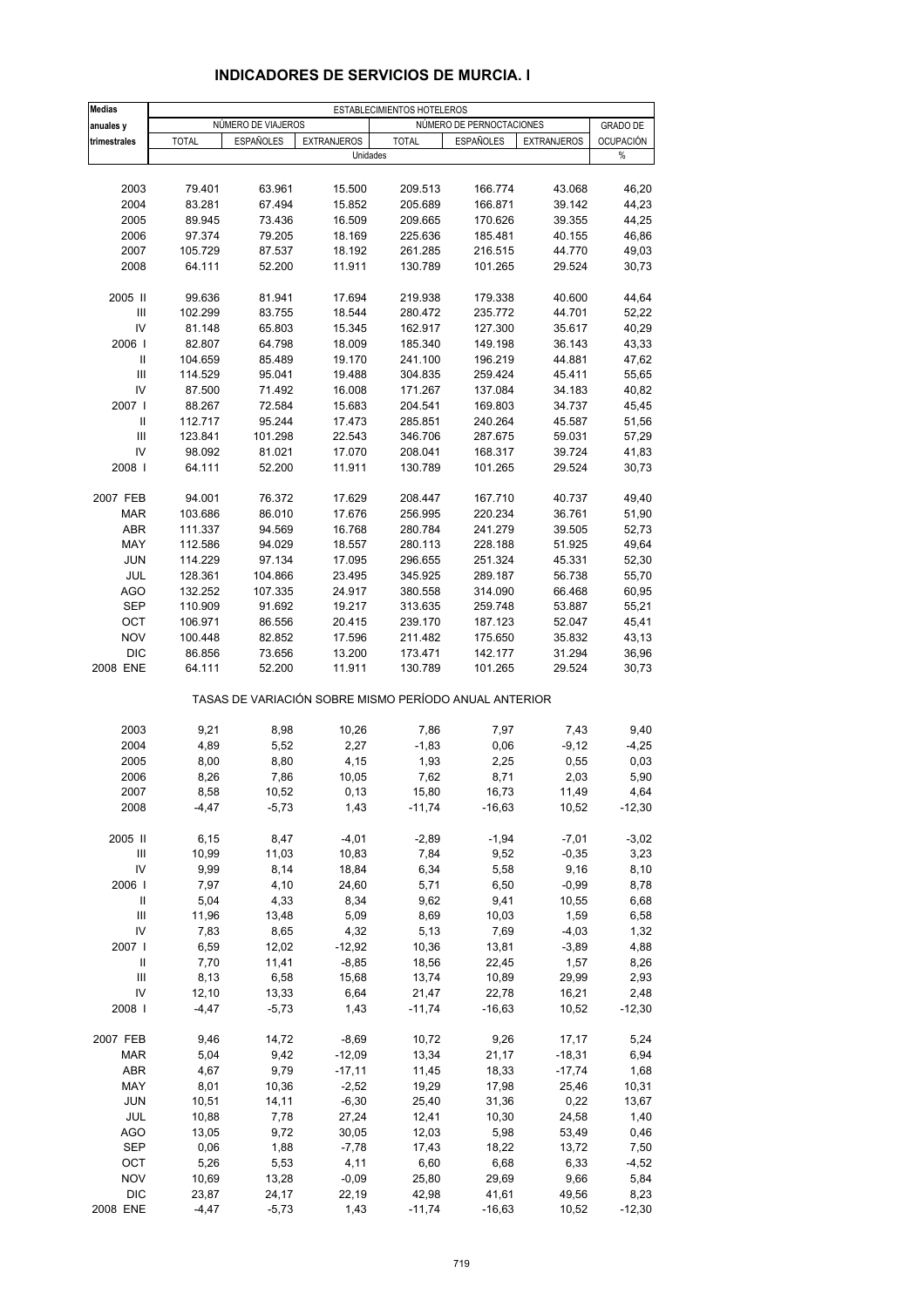| Medias                                  |              |                    |                    | ESTABLECIMIENTOS HOTELEROS                            |                          |                    |                  |
|-----------------------------------------|--------------|--------------------|--------------------|-------------------------------------------------------|--------------------------|--------------------|------------------|
| anuales y                               |              | NUMERO DE VIAJEROS |                    |                                                       | NÚMERO DE PERNOCTACIONES |                    | <b>GRADO DE</b>  |
| trimestrales                            | <b>TOTAL</b> | <b>ESPAÑOLES</b>   | <b>EXTRANJEROS</b> | <b>TOTAL</b>                                          | <b>ESPAÑOLES</b>         | <b>EXTRANJEROS</b> | <b>OCUPACIÓN</b> |
|                                         |              |                    | Unidades           |                                                       |                          |                    | %                |
|                                         |              |                    |                    |                                                       |                          |                    |                  |
| 2003                                    | 79.401       | 63.961             | 15.500             | 209.513                                               | 166.774                  | 43.068             | 46,20            |
| 2004                                    | 83.281       | 67.494             | 15.852             | 205.689                                               | 166.871                  | 39.142             | 44,23            |
| 2005                                    | 89.945       | 73.436             | 16.509             | 209.665                                               | 170.626                  | 39.355             | 44,25            |
| 2006                                    | 97.374       | 79.205             | 18.169             | 225.636                                               | 185.481                  | 40.155             | 46,86            |
| 2007                                    | 105.729      | 87.537             | 18.192             | 261.285                                               | 216.515                  | 44.770             | 49,03            |
| 2008                                    | 64.111       | 52.200             | 11.911             | 130.789                                               | 101.265                  | 29.524             | 30,73            |
|                                         |              |                    |                    |                                                       |                          |                    |                  |
| 2005 II                                 | 99.636       | 81.941             | 17.694             | 219.938                                               | 179.338                  | 40.600             | 44,64            |
| $\ensuremath{\mathsf{III}}\xspace$      | 102.299      | 83.755             | 18.544             | 280.472                                               | 235.772                  | 44.701             | 52,22            |
| IV                                      | 81.148       | 65.803             | 15.345             | 162.917                                               | 127.300                  | 35.617             | 40,29            |
| 2006                                    | 82.807       | 64.798             | 18.009             | 185.340                                               | 149.198                  | 36.143             | 43,33            |
| Ш                                       | 104.659      | 85.489             | 19.170             | 241.100                                               | 196.219                  | 44.881             | 47,62            |
| $\ensuremath{\mathsf{III}}\xspace$      | 114.529      | 95.041             | 19.488             | 304.835                                               | 259.424                  | 45.411             | 55,65            |
| IV                                      | 87.500       | 71.492             | 16.008             | 171.267                                               | 137.084                  | 34.183             | 40,82            |
| 2007 l                                  | 88.267       | 72.584             | 15.683             | 204.541                                               | 169.803                  | 34.737             | 45,45            |
| Ш<br>$\ensuremath{\mathsf{III}}\xspace$ | 112.717      | 95.244<br>101.298  | 17.473             | 285.851                                               | 240.264<br>287.675       | 45.587             | 51,56            |
|                                         | 123.841      |                    | 22.543             | 346.706                                               |                          | 59.031             | 57,29            |
| IV                                      | 98.092       | 81.021<br>52.200   | 17.070             | 208.041                                               | 168.317                  | 39.724             | 41,83            |
| 2008                                    | 64.111       |                    | 11.911             | 130.789                                               | 101.265                  | 29.524             | 30,73            |
| 2007 FEB                                | 94.001       | 76.372             | 17.629             | 208.447                                               | 167.710                  | 40.737             | 49,40            |
| <b>MAR</b>                              | 103.686      | 86.010             | 17.676             | 256.995                                               | 220.234                  | 36.761             | 51,90            |
| <b>ABR</b>                              | 111.337      | 94.569             | 16.768             | 280.784                                               | 241.279                  | 39.505             | 52,73            |
| MAY                                     | 112.586      | 94.029             | 18.557             | 280.113                                               | 228.188                  | 51.925             | 49,64            |
| <b>JUN</b>                              | 114.229      | 97.134             | 17.095             | 296.655                                               | 251.324                  | 45.331             | 52,30            |
| JUL                                     | 128.361      | 104.866            | 23.495             | 345.925                                               | 289.187                  | 56.738             | 55,70            |
| <b>AGO</b>                              | 132.252      | 107.335            | 24.917             | 380.558                                               | 314.090                  | 66.468             | 60,95            |
| <b>SEP</b>                              | 110.909      | 91.692             | 19.217             | 313.635                                               | 259.748                  | 53.887             | 55,21            |
| OCT                                     | 106.971      | 86.556             | 20.415             | 239.170                                               | 187.123                  | 52.047             | 45,41            |
| <b>NOV</b>                              | 100.448      | 82.852             | 17.596             | 211.482                                               | 175.650                  | 35.832             | 43,13            |
| <b>DIC</b>                              | 86.856       | 73.656             | 13.200             | 173.471                                               | 142.177                  | 31.294             | 36,96            |
| 2008 ENE                                | 64.111       | 52.200             | 11.911             | 130.789                                               | 101.265                  | 29.524             | 30,73            |
|                                         |              |                    |                    | TASAS DE VARIACIÓN SOBRE MISMO PERÍODO ANUAL ANTERIOR |                          |                    |                  |
|                                         |              |                    |                    |                                                       |                          |                    |                  |
| 2003                                    | 9,21         | 8,98               | 10,26              | 7,86                                                  | 7,97                     | 7,43               | 9,40             |
| 2004                                    | 4,89         | 5,52               | 2,27               | $-1,83$                                               | 0,06                     | $-9,12$            | $-4,25$          |
| 2005                                    | 8,00         | 8,80               | 4,15               | 1,93                                                  | 2,25                     | 0,55               | 0,03             |
| 2006                                    | 8,26         | 7,86               | 10,05              | 7,62                                                  | 8,71                     | 2,03               | 5,90             |
| 2007                                    | 8,58         | 10,52              | 0, 13              | 15,80                                                 | 16,73                    | 11,49              | 4,64             |
| 2008                                    | $-4,47$      | $-5,73$            | 1,43               | $-11,74$                                              | $-16,63$                 | 10,52              | $-12,30$         |
| 2005 II                                 | 6,15         | 8,47               | $-4,01$            | $-2,89$                                               | $-1,94$                  | $-7,01$            | $-3,02$          |
| Ш                                       | 10,99        | 11,03              | 10,83              | 7,84                                                  | 9,52                     | $-0,35$            | 3,23             |
| IV                                      | 9,99         | 8,14               | 18,84              | 6,34                                                  | 5,58                     | 9,16               | 8,10             |
| 2006                                    | 7,97         | 4,10               | 24,60              | 5,71                                                  | 6,50                     | $-0,99$            | 8,78             |
| Ш                                       | 5,04         | 4,33               | 8,34               | 9,62                                                  | 9,41                     | 10,55              | 6,68             |
| $\ensuremath{\mathsf{III}}\xspace$      | 11,96        | 13,48              | 5,09               | 8,69                                                  | 10,03                    | 1,59               | 6,58             |
| IV                                      | 7,83         | 8,65               | 4,32               | 5,13                                                  | 7,69                     | $-4,03$            | 1,32             |
| 2007 l                                  | 6,59         | 12,02              | $-12,92$           | 10,36                                                 | 13,81                    | $-3,89$            | 4,88             |
| Ш                                       | 7,70         | 11,41              | $-8,85$            | 18,56                                                 | 22,45                    | 1,57               | 8,26             |
| Ш                                       | 8,13         | 6,58               | 15,68              | 13,74                                                 | 10,89                    | 29,99              | 2,93             |
| IV                                      | 12,10        | 13,33              | 6,64               | 21,47                                                 | 22,78                    | 16,21              | 2,48             |
| 2008                                    | $-4,47$      | $-5,73$            | 1,43               | $-11,74$                                              | $-16,63$                 | 10,52              | $-12,30$         |
|                                         |              |                    |                    |                                                       |                          |                    |                  |
| 2007 FEB                                | 9,46         | 14,72              | $-8,69$            | 10,72                                                 | 9,26                     | 17,17              | 5,24             |
| <b>MAR</b>                              | 5,04         | 9,42               | $-12,09$           | 13,34                                                 | 21,17                    | $-18,31$           | 6,94             |
| ABR                                     | 4,67         | 9,79               | $-17,11$           | 11,45                                                 | 18,33                    | $-17,74$           | 1,68             |
| MAY                                     | 8,01         | 10,36              | $-2,52$            | 19,29                                                 | 17,98                    | 25,46              | 10,31            |
| <b>JUN</b>                              | 10,51        | 14,11              | $-6,30$            | 25,40                                                 | 31,36                    | 0,22               | 13,67            |
| JUL                                     | 10,88        | 7,78               | 27,24              | 12,41                                                 | 10,30                    | 24,58              | 1,40             |
| <b>AGO</b>                              | 13,05        | 9,72               | 30,05              | 12,03                                                 | 5,98                     | 53,49              | 0,46             |
| SEP                                     | 0,06         | 1,88               | $-7,78$            | 17,43                                                 | 18,22                    | 13,72              | 7,50             |
| OCT                                     | 5,26         | 5,53               | 4,11               | 6,60                                                  | 6,68                     | 6,33               | $-4,52$          |
| <b>NOV</b><br><b>DIC</b>                | 10,69        | 13,28              | $-0,09$            | 25,80                                                 | 29,69                    | 9,66               | 5,84             |
|                                         | 23,87        | 24,17              | 22,19              | 42,98                                                 | 41,61                    | 49,56              | 8,23<br>$-12,30$ |
| 2008 ENE                                | $-4,47$      | $-5,73$            | 1,43               | $-11,74$                                              | $-16,63$                 | 10,52              |                  |

## **INDICADORES DE SERVICIOS DE MURCIA. I**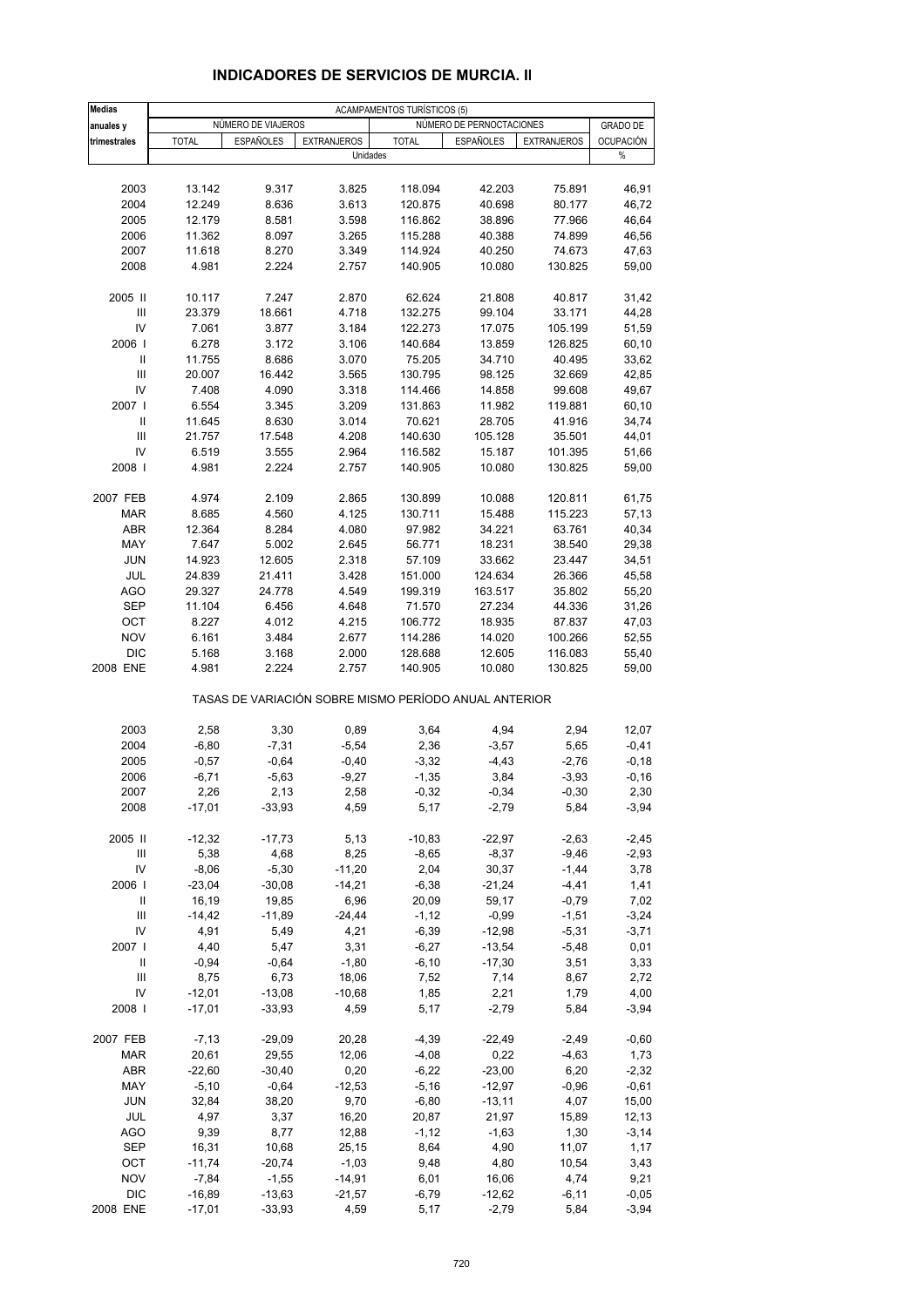| <b>Medias</b>                      |              |                    |                    | <b>ACAMPAMENTOS TURÍSTICOS (5)</b>                    |                          |                    |                  |
|------------------------------------|--------------|--------------------|--------------------|-------------------------------------------------------|--------------------------|--------------------|------------------|
| anuales y                          |              | NUMERO DE VIAJEROS |                    |                                                       | NÚMERO DE PERNOCTACIONES |                    | <b>GRADO DE</b>  |
| trimestrales                       | <b>TOTAL</b> | <b>ESPAÑOLES</b>   | <b>EXTRANJEROS</b> | <b>TOTAL</b>                                          | <b>ESPAÑOLES</b>         | <b>EXTRANJEROS</b> | <b>OCUPACIÓN</b> |
|                                    |              |                    | Unidades           |                                                       |                          |                    | $\%$             |
|                                    |              |                    |                    |                                                       |                          |                    |                  |
| 2003                               | 13.142       | 9.317              | 3.825              | 118.094                                               | 42.203                   | 75.891             | 46,91            |
| 2004                               | 12.249       | 8.636              | 3.613              | 120.875                                               | 40.698                   | 80.177             | 46,72            |
| 2005                               | 12.179       | 8.581              | 3.598              | 116.862                                               | 38.896                   | 77.966             | 46,64            |
| 2006                               | 11.362       | 8.097              | 3.265              | 115.288                                               | 40.388                   | 74.899             | 46,56            |
| 2007                               | 11.618       | 8.270              | 3.349              | 114.924                                               | 40.250                   | 74.673             | 47,63            |
| 2008                               | 4.981        | 2.224              | 2.757              | 140.905                                               | 10.080                   | 130.825            | 59,00            |
|                                    |              |                    |                    |                                                       |                          |                    |                  |
| 2005 II                            | 10.117       | 7.247              | 2.870              | 62.624                                                | 21.808                   | 40.817             | 31,42            |
| III                                | 23.379       | 18.661             | 4.718              | 132.275                                               | 99.104                   | 33.171             | 44,28            |
| IV                                 | 7.061        | 3.877              | 3.184              | 122.273                                               | 17.075                   | 105.199            | 51,59            |
| 2006                               | 6.278        | 3.172              | 3.106              | 140.684                                               | 13.859                   | 126.825            | 60,10            |
| Ш                                  | 11.755       | 8.686              | 3.070              | 75.205                                                | 34.710                   | 40.495             | 33,62            |
| $\ensuremath{\mathsf{III}}\xspace$ | 20.007       | 16.442             | 3.565              | 130.795                                               | 98.125                   | 32.669             | 42,85            |
| IV                                 | 7.408        | 4.090              | 3.318              | 114.466                                               | 14.858                   | 99.608             | 49,67            |
| 2007 l                             | 6.554        | 3.345              | 3.209              | 131.863                                               | 11.982                   | 119.881            | 60,10            |
| Ш                                  | 11.645       | 8.630              | 3.014              | 70.621                                                | 28.705                   | 41.916             | 34,74            |
| $\ensuremath{\mathsf{III}}\xspace$ | 21.757       | 17.548             | 4.208              | 140.630                                               | 105.128                  | 35.501             | 44,01            |
|                                    |              |                    |                    |                                                       |                          |                    |                  |
| IV                                 | 6.519        | 3.555              | 2.964              | 116.582                                               | 15.187                   | 101.395            | 51,66            |
| 2008                               | 4.981        | 2.224              | 2.757              | 140.905                                               | 10.080                   | 130.825            | 59,00            |
|                                    |              |                    |                    |                                                       |                          |                    |                  |
| 2007 FEB                           | 4.974        | 2.109              | 2.865              | 130.899                                               | 10.088                   | 120.811            | 61,75            |
| <b>MAR</b>                         | 8.685        | 4.560              | 4.125              | 130.711                                               | 15.488                   | 115.223            | 57,13            |
| <b>ABR</b>                         | 12.364       | 8.284              | 4.080              | 97.982                                                | 34.221                   | 63.761             | 40,34            |
| MAY                                | 7.647        | 5.002              | 2.645              | 56.771                                                | 18.231                   | 38.540             | 29,38            |
| <b>JUN</b>                         | 14.923       | 12.605             | 2.318              | 57.109                                                | 33.662                   | 23.447             | 34,51            |
| JUL                                | 24.839       | 21.411             | 3.428              | 151.000                                               | 124.634                  | 26.366             | 45,58            |
| <b>AGO</b>                         | 29.327       | 24.778             | 4.549              | 199.319                                               | 163.517                  | 35.802             | 55,20            |
| <b>SEP</b>                         | 11.104       | 6.456              | 4.648              | 71.570                                                | 27.234                   | 44.336             | 31,26            |
| OCT                                | 8.227        | 4.012              | 4.215              | 106.772                                               | 18.935                   | 87.837             | 47,03            |
| <b>NOV</b>                         | 6.161        | 3.484              | 2.677              | 114.286                                               | 14.020                   | 100.266            | 52,55            |
| <b>DIC</b>                         | 5.168        | 3.168              | 2.000              | 128.688                                               | 12.605                   | 116.083            | 55,40            |
| 2008 ENE                           | 4.981        | 2.224              | 2.757              | 140.905                                               | 10.080                   | 130.825            | 59,00            |
|                                    |              |                    |                    | TASAS DE VARIACIÓN SOBRE MISMO PERÍODO ANUAL ANTERIOR |                          |                    |                  |
|                                    |              |                    |                    |                                                       |                          |                    |                  |
| 2003                               | 2,58         | 3,30               | 0,89               | 3,64                                                  | 4,94                     | 2,94               | 12,07            |
| 2004                               | $-6,80$      | $-7,31$            | $-5,54$            | 2,36                                                  | $-3,57$                  | 5,65               | $-0,41$          |
| 2005                               | $-0,57$      | $-0,64$            | $-0,40$            | $-3,32$                                               | $-4,43$                  | $-2,76$            | $-0,18$          |
| 2006                               | $-6,71$      | $-5,63$            | $-9,27$            | $-1,35$                                               | 3,84                     | $-3,93$            | $-0,16$          |
| 2007                               | 2,26         | 2,13               | 2,58               | $-0,32$                                               | $-0,34$                  | $-0,30$            | 2,30             |
| 2008                               | $-17,01$     | $-33,93$           | 4,59               | 5,17                                                  | $-2,79$                  | 5,84               | $-3,94$          |
|                                    |              |                    |                    |                                                       |                          |                    |                  |
| 2005 II                            | $-12,32$     | $-17,73$           | 5,13               | $-10,83$                                              | $-22,97$                 | $-2,63$            | $-2,45$          |
| Ш                                  | 5,38         | 4,68               | 8,25               | $-8,65$                                               | $-8,37$                  | $-9,46$            | $-2,93$          |
| IV                                 | $-8,06$      | $-5,30$            | $-11,20$           | 2,04                                                  | 30,37                    | $-1,44$            | 3,78             |
| 2006                               | $-23,04$     | $-30,08$           | $-14,21$           | $-6,38$                                               | $-21,24$                 | $-4,41$            | 1,41             |
| Ш                                  | 16,19        | 19,85              | 6,96               | 20,09                                                 | 59,17                    | $-0,79$            | 7,02             |
| Ш                                  | $-14,42$     | $-11,89$           | $-24,44$           | $-1,12$                                               | $-0,99$                  | $-1,51$            | $-3,24$          |
| IV                                 | 4,91         | 5,49               | 4,21               | $-6,39$                                               | $-12,98$                 | $-5,31$            | $-3,71$          |
| 2007 l                             | 4,40         | 5,47               | 3,31               | $-6,27$                                               | $-13,54$                 | $-5,48$            | 0,01             |
| Ш                                  | $-0,94$      | $-0,64$            | $-1,80$            | $-6,10$                                               | $-17,30$                 | 3,51               | 3,33             |
| Ш                                  | 8,75         | 6,73               | 18,06              | 7,52                                                  | 7,14                     | 8,67               | 2,72             |
| IV                                 | $-12,01$     | $-13,08$           | $-10,68$           | 1,85                                                  | 2,21                     | 1,79               | 4,00             |
| 2008                               | $-17,01$     | $-33,93$           | 4,59               | 5,17                                                  | $-2,79$                  | 5,84               | $-3,94$          |
| 2007 FEB                           | $-7,13$      | $-29,09$           | 20,28              | $-4,39$                                               | $-22,49$                 | $-2,49$            | $-0,60$          |
| MAR                                | 20,61        | 29,55              | 12,06              | $-4,08$                                               | 0,22                     | $-4,63$            | 1,73             |
| ABR                                | $-22,60$     | $-30,40$           | 0,20               | $-6,22$                                               | $-23,00$                 | 6,20               | $-2,32$          |
| MAY                                | $-5,10$      | $-0,64$            | $-12,53$           | $-5,16$                                               | $-12,97$                 | $-0,96$            | $-0,61$          |
| <b>JUN</b>                         | 32,84        | 38,20              | 9,70               | $-6,80$                                               | $-13,11$                 | 4,07               | 15,00            |
| JUL                                | 4,97         | 3,37               | 16,20              | 20,87                                                 | 21,97                    | 15,89              | 12,13            |
| AGO                                | 9,39         | 8,77               | 12,88              | $-1, 12$                                              | $-1,63$                  | 1,30               | $-3,14$          |
| SEP                                | 16,31        | 10,68              | 25,15              | 8,64                                                  | 4,90                     | 11,07              | 1,17             |
| OCT                                | $-11,74$     | $-20,74$           | $-1,03$            | 9,48                                                  | 4,80                     | 10,54              | 3,43             |
| <b>NOV</b>                         | $-7,84$      | $-1,55$            | $-14,91$           | 6,01                                                  | 16,06                    | 4,74               | 9,21             |
| <b>DIC</b>                         | $-16,89$     | $-13,63$           | $-21,57$           | $-6,79$                                               | $-12,62$                 | $-6,11$            | $-0,05$          |
| 2008 ENE                           | $-17,01$     | $-33,93$           | 4,59               | 5,17                                                  | $-2,79$                  | 5,84               | $-3,94$          |
|                                    |              |                    |                    |                                                       |                          |                    |                  |

### **INDICADORES DE SERVICIOS DE MURCIA. II**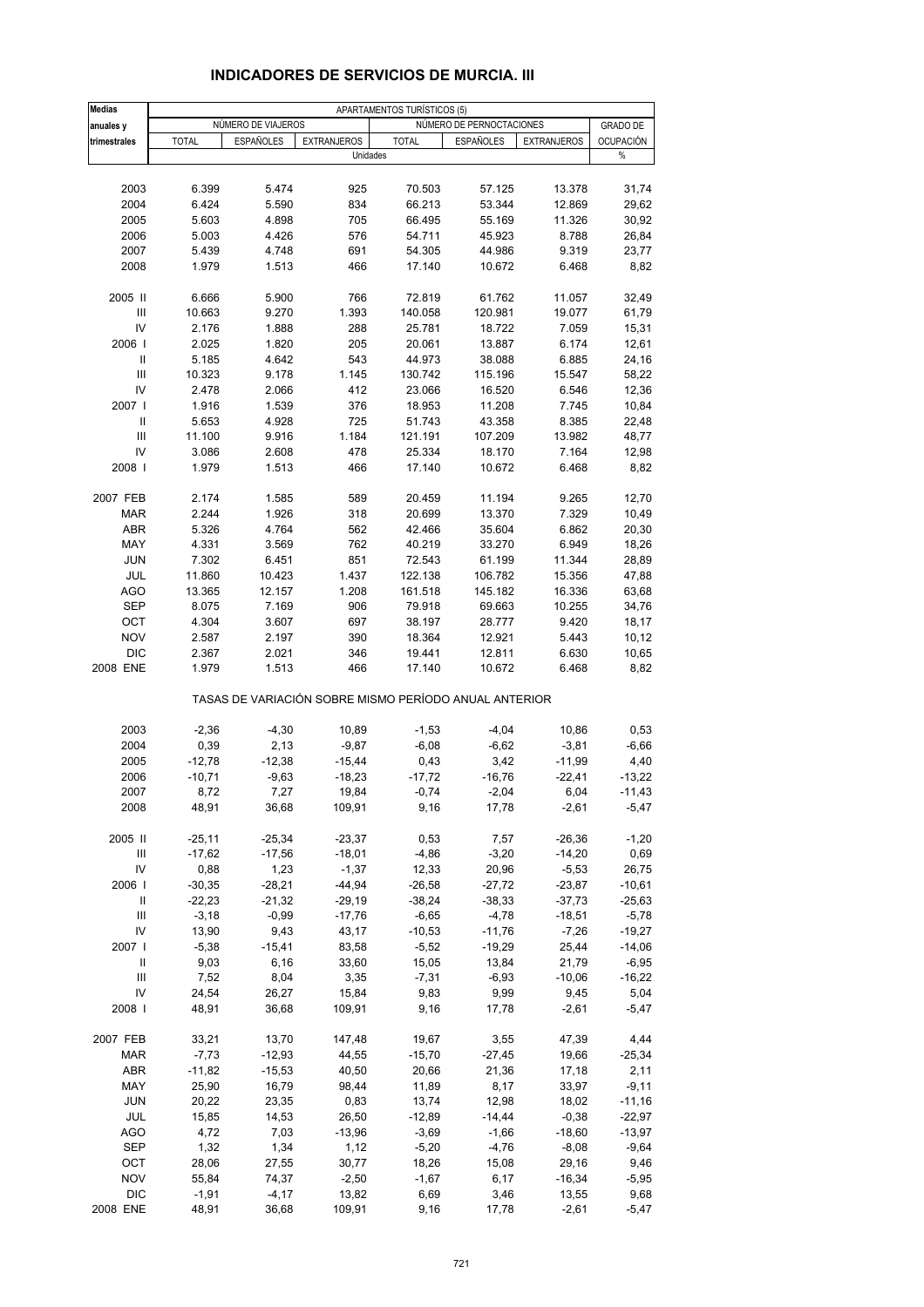| <b>Medias</b>                      |              |                    |                    | APARTAMENTOS TURÍSTICOS (5) |                                                       |                    |                  |
|------------------------------------|--------------|--------------------|--------------------|-----------------------------|-------------------------------------------------------|--------------------|------------------|
| anuales y                          |              | NÚMERO DE VIAJEROS |                    |                             | NÚMERO DE PERNOCTACIONES                              |                    | <b>GRADO DE</b>  |
| trimestrales                       | <b>TOTAL</b> | <b>ESPAÑOLES</b>   | <b>EXTRANJEROS</b> | <b>TOTAL</b>                | <b>ESPAÑOLES</b>                                      | <b>EXTRANJEROS</b> | <b>OCUPACIÓN</b> |
|                                    |              |                    | Unidades           |                             |                                                       |                    | %                |
|                                    |              |                    |                    |                             |                                                       |                    |                  |
| 2003                               | 6.399        | 5.474              | 925                | 70.503                      | 57.125                                                | 13.378             | 31,74            |
| 2004                               | 6.424        | 5.590              | 834                | 66.213                      | 53.344                                                | 12.869             | 29,62            |
| 2005                               | 5.603        | 4.898              | 705                | 66.495                      | 55.169                                                | 11.326             | 30,92            |
| 2006                               | 5.003        | 4.426              | 576                | 54.711                      | 45.923                                                | 8.788              | 26,84            |
| 2007                               | 5.439        | 4.748              | 691                | 54.305                      | 44.986                                                | 9.319              | 23,77            |
| 2008                               | 1.979        | 1.513              | 466                | 17.140                      | 10.672                                                | 6.468              | 8,82             |
| 2005 II                            | 6.666        | 5.900              | 766                | 72.819                      | 61.762                                                | 11.057             | 32,49            |
| Ш                                  | 10.663       | 9.270              | 1.393              | 140.058                     | 120.981                                               | 19.077             | 61,79            |
| IV                                 | 2.176        | 1.888              | 288                | 25.781                      | 18.722                                                | 7.059              | 15,31            |
| 2006                               | 2.025        | 1.820              | 205                | 20.061                      | 13.887                                                | 6.174              | 12,61            |
| Ш                                  | 5.185        | 4.642              | 543                | 44.973                      | 38.088                                                | 6.885              | 24,16            |
| $\ensuremath{\mathsf{III}}\xspace$ | 10.323       | 9.178              | 1.145              | 130.742                     | 115.196                                               | 15.547             | 58,22            |
| IV                                 | 2.478        | 2.066              | 412                | 23.066                      | 16.520                                                | 6.546              | 12,36            |
| 2007 l                             | 1.916        | 1.539              | 376                | 18.953                      | 11.208                                                | 7.745              | 10,84            |
| $\mathsf{I}$                       | 5.653        | 4.928              | 725                | 51.743                      | 43.358                                                | 8.385              | 22,48            |
| $\ensuremath{\mathsf{III}}\xspace$ | 11.100       | 9.916              | 1.184              | 121.191                     | 107.209                                               | 13.982             | 48,77            |
| IV                                 | 3.086        | 2.608              | 478                | 25.334                      | 18.170                                                | 7.164              | 12,98            |
| 2008                               | 1.979        | 1.513              | 466                | 17.140                      | 10.672                                                | 6.468              | 8,82             |
| 2007 FEB                           | 2.174        | 1.585              | 589                | 20.459                      | 11.194                                                | 9.265              | 12,70            |
| <b>MAR</b>                         | 2.244        | 1.926              | 318                | 20.699                      | 13.370                                                | 7.329              | 10,49            |
| <b>ABR</b>                         | 5.326        | 4.764              | 562                | 42.466                      | 35.604                                                | 6.862              | 20,30            |
| MAY                                | 4.331        | 3.569              | 762                | 40.219                      | 33.270                                                | 6.949              | 18,26            |
| <b>JUN</b>                         | 7.302        | 6.451              | 851                | 72.543                      | 61.199                                                | 11.344             | 28,89            |
| JUL                                | 11.860       | 10.423             | 1.437              | 122.138                     | 106.782                                               | 15.356             | 47,88            |
| <b>AGO</b>                         | 13.365       | 12.157             | 1.208              | 161.518                     | 145.182                                               | 16.336             | 63,68            |
| <b>SEP</b>                         | 8.075        | 7.169              | 906                | 79.918                      | 69.663                                                | 10.255             | 34,76            |
| OCT                                | 4.304        | 3.607              | 697                | 38.197                      | 28.777                                                | 9.420              | 18,17            |
| <b>NOV</b>                         | 2.587        | 2.197              | 390                | 18.364                      | 12.921                                                | 5.443              | 10,12            |
| <b>DIC</b>                         | 2.367        | 2.021              | 346                | 19.441                      | 12.811                                                | 6.630              | 10,65            |
| 2008 ENE                           | 1.979        | 1.513              | 466                | 17.140                      | 10.672                                                | 6.468              | 8,82             |
|                                    |              |                    |                    |                             | TASAS DE VARIACIÓN SOBRE MISMO PERÍODO ANUAL ANTERIOR |                    |                  |
| 2003                               | $-2,36$      | $-4,30$            | 10,89              | $-1,53$                     | $-4,04$                                               | 10,86              | 0,53             |
| 2004                               | 0,39         | 2,13               | $-9,87$            | $-6,08$                     | $-6,62$                                               | $-3,81$            | $-6,66$          |
| 2005                               | $-12,78$     | $-12,38$           | $-15,44$           | 0,43                        | 3,42                                                  | $-11,99$           | 4,40             |
| 2006                               | $-10,71$     | $-9,63$            | $-18,23$           | $-17,72$                    | $-16,76$                                              | $-22,41$           | $-13,22$         |
| 2007                               | 8,72         | 7,27               | 19,84              | $-0,74$                     | $-2,04$                                               | 6,04               | $-11,43$         |
| 2008                               | 48,91        | 36,68              | 109,91             | 9,16                        | 17,78                                                 | $-2,61$            | $-5,47$          |
| 2005 II                            | $-25,11$     | $-25,34$           | $-23,37$           | 0,53                        | 7,57                                                  | $-26,36$           | $-1,20$          |
| Ш                                  | $-17,62$     | $-17,56$           | $-18,01$           | $-4,86$                     | $-3,20$                                               | $-14,20$           | 0,69             |
| IV                                 | 0,88         | 1,23               | $-1,37$            | 12,33                       | 20,96                                                 | $-5,53$            | 26,75            |
| 2006                               | $-30,35$     | $-28,21$           | $-44,94$           | $-26,58$                    | $-27,72$                                              | $-23,87$           | $-10,61$         |
| Ш                                  | $-22,23$     | $-21,32$           | $-29,19$           | $-38,24$                    | $-38,33$                                              | $-37,73$           | $-25,63$         |
| Ш                                  | $-3,18$      | $-0,99$            | $-17,76$           | $-6,65$                     | $-4,78$                                               | $-18,51$           | $-5,78$          |
| IV                                 | 13,90        | 9,43               | 43,17              | $-10,53$                    | $-11,76$                                              | $-7,26$            | $-19,27$         |
| 2007 l                             | $-5,38$      | $-15,41$           | 83,58              | $-5,52$                     | $-19,29$                                              | 25,44              | $-14,06$         |
| Ш                                  | 9,03         | 6,16               | 33,60              | 15,05                       | 13,84                                                 | 21,79              | $-6,95$          |
| Ш                                  | 7,52         | 8,04               | 3,35               | $-7,31$                     | $-6,93$                                               | $-10,06$           | $-16,22$         |
| IV                                 | 24,54        |                    | 15,84              |                             |                                                       |                    | 5,04             |
| 2008                               | 48,91        | 26,27<br>36,68     | 109,91             | 9,83<br>9,16                | 9,99<br>17,78                                         | 9,45<br>$-2,61$    | $-5,47$          |
|                                    |              |                    |                    |                             |                                                       |                    |                  |
| 2007 FEB                           | 33,21        | 13,70              | 147,48             | 19,67                       | 3,55                                                  | 47,39              | 4,44             |
| <b>MAR</b>                         | $-7,73$      | $-12,93$           | 44,55              | $-15,70$                    | $-27,45$                                              | 19,66              | $-25,34$         |
| ABR                                | $-11,82$     | $-15,53$           | 40,50              | 20,66                       | 21,36                                                 | 17,18              | 2,11             |
| MAY                                | 25,90        | 16,79              | 98,44              | 11,89                       | 8,17                                                  | 33,97              | $-9,11$          |
| <b>JUN</b>                         | 20,22        | 23,35              | 0,83               | 13,74                       | 12,98                                                 | 18,02              | $-11,16$         |
| JUL                                | 15,85        | 14,53              | 26,50              | $-12,89$                    | $-14,44$                                              | $-0,38$            | $-22,97$         |
| <b>AGO</b>                         | 4,72         | 7,03               | $-13,96$           | $-3,69$                     | $-1,66$                                               | $-18,60$           | $-13,97$         |
| SEP                                | 1,32         | 1,34               | 1,12               | $-5,20$                     | $-4,76$                                               | $-8,08$            | $-9,64$          |
| OCT                                | 28,06        | 27,55              | 30,77              | 18,26                       | 15,08                                                 | 29,16              | 9,46             |
| <b>NOV</b>                         | 55,84        | 74,37              | $-2,50$            | $-1,67$                     | 6,17                                                  | $-16,34$           | $-5,95$          |
| <b>DIC</b>                         | $-1,91$      | $-4,17$            | 13,82              | 6,69                        | 3,46                                                  | 13,55              | 9,68             |
| 2008 ENE                           | 48,91        | 36,68              | 109,91             | 9,16                        | 17,78                                                 | $-2,61$            | $-5,47$          |

### **INDICADORES DE SERVICIOS DE MURCIA. III**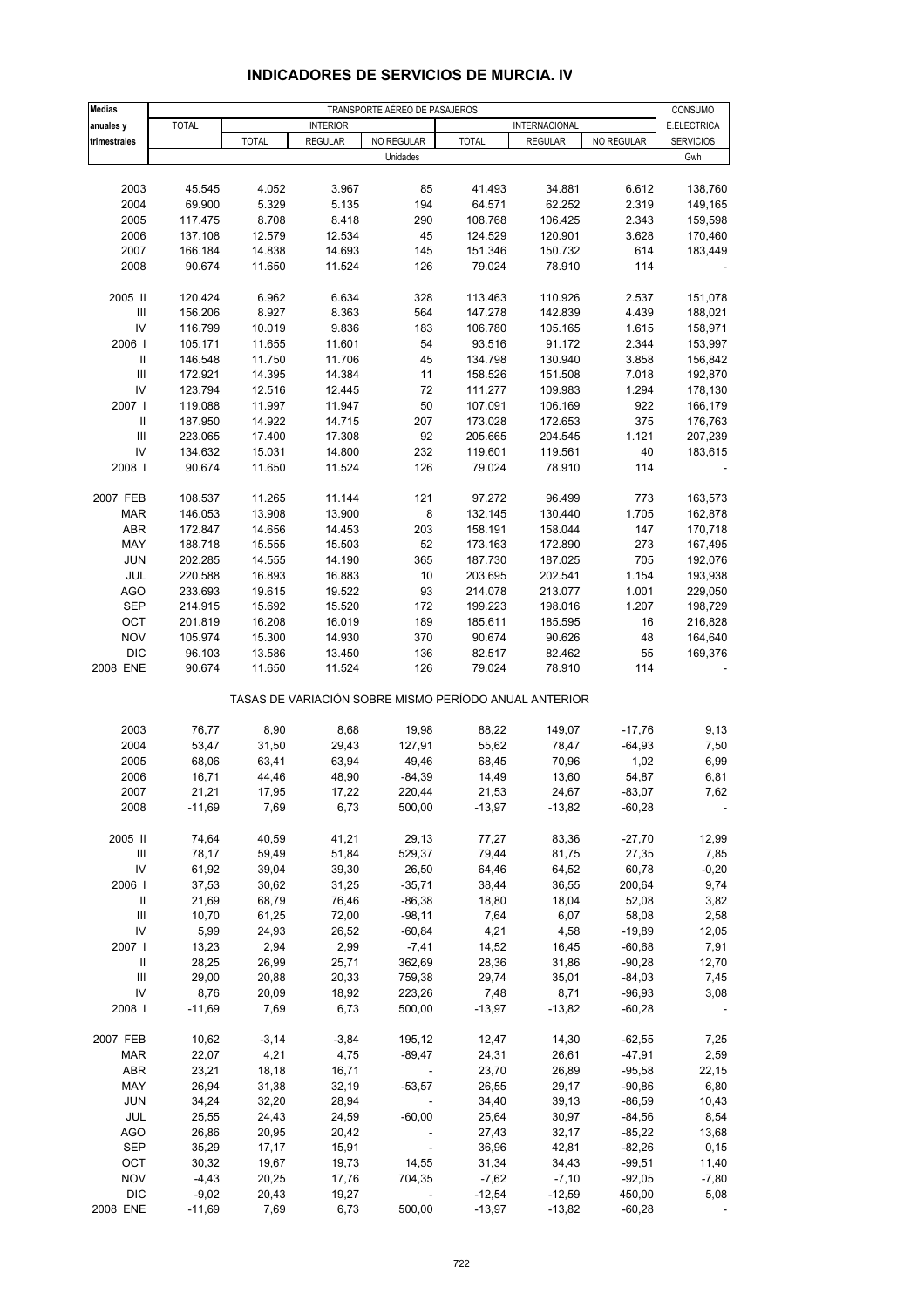| <b>Medias</b>                      | TRANSPORTE AÉREO DE PASAJEROS |              |                 |                                                       |              |                |            |                  |
|------------------------------------|-------------------------------|--------------|-----------------|-------------------------------------------------------|--------------|----------------|------------|------------------|
| anuales y                          | <b>TOTAL</b>                  |              | <b>INTERIOR</b> |                                                       |              | INTERNACIONAL  |            | E.ELECTRICA      |
| trimestrales                       |                               | <b>TOTAL</b> | <b>REGULAR</b>  | NO REGULAR                                            | <b>TOTAL</b> | <b>REGULAR</b> | NO REGULAR | <b>SERVICIOS</b> |
|                                    |                               |              |                 | Unidades                                              |              |                |            | Gwh              |
|                                    |                               |              |                 |                                                       |              |                |            |                  |
| 2003                               | 45.545                        | 4.052        | 3.967           | 85                                                    | 41.493       | 34.881         | 6.612      | 138,760          |
| 2004                               | 69.900                        | 5.329        | 5.135           | 194                                                   | 64.571       | 62.252         | 2.319      | 149,165          |
| 2005                               | 117.475                       | 8.708        | 8.418           | 290                                                   | 108.768      | 106.425        | 2.343      | 159,598          |
| 2006                               | 137.108                       | 12.579       | 12.534          | 45                                                    | 124.529      | 120.901        | 3.628      | 170,460          |
| 2007                               | 166.184                       | 14.838       | 14.693          | 145                                                   | 151.346      | 150.732        | 614        | 183,449          |
| 2008                               | 90.674                        | 11.650       | 11.524          | 126                                                   | 79.024       | 78.910         | 114        |                  |
|                                    |                               |              |                 |                                                       |              |                |            |                  |
| 2005 II                            | 120.424                       | 6.962        | 6.634           | 328                                                   | 113.463      | 110.926        | 2.537      | 151,078          |
| $\ensuremath{\mathsf{III}}\xspace$ | 156.206                       | 8.927        | 8.363           | 564                                                   | 147.278      | 142.839        | 4.439      | 188,021          |
| IV                                 | 116.799                       | 10.019       | 9.836           | 183                                                   | 106.780      | 105.165        | 1.615      | 158,971          |
| 2006                               | 105.171                       | 11.655       | 11.601          | 54                                                    | 93.516       | 91.172         | 2.344      | 153,997          |
| Ш                                  | 146.548                       | 11.750       | 11.706          | 45                                                    | 134.798      | 130.940        | 3.858      | 156,842          |
| $\ensuremath{\mathsf{III}}\xspace$ | 172.921                       | 14.395       | 14.384          | 11                                                    | 158.526      | 151.508        | 7.018      | 192,870          |
| IV                                 | 123.794                       | 12.516       | 12.445          | 72                                                    | 111.277      |                | 1.294      | 178,130          |
| 2007 l                             |                               |              | 11.947          | 50                                                    |              | 109.983        |            |                  |
|                                    | 119.088                       | 11.997       |                 |                                                       | 107.091      | 106.169        | 922        | 166,179          |
| Ш                                  | 187.950                       | 14.922       | 14.715          | 207                                                   | 173.028      | 172.653        | 375        | 176,763          |
| $\ensuremath{\mathsf{III}}\xspace$ | 223.065                       | 17.400       | 17.308          | 92                                                    | 205.665      | 204.545        | 1.121      | 207,239          |
| IV                                 | 134.632                       | 15.031       | 14.800          | 232                                                   | 119.601      | 119.561        | 40         | 183,615          |
| 2008                               | 90.674                        | 11.650       | 11.524          | 126                                                   | 79.024       | 78.910         | 114        |                  |
|                                    |                               |              |                 |                                                       |              |                |            |                  |
| 2007 FEB                           | 108.537                       | 11.265       | 11.144          | 121                                                   | 97.272       | 96.499         | 773        | 163,573          |
| <b>MAR</b>                         | 146.053                       | 13.908       | 13.900          | $\bf 8$                                               | 132.145      | 130.440        | 1.705      | 162,878          |
| ABR                                | 172.847                       | 14.656       | 14.453          | 203                                                   | 158.191      | 158.044        | 147        | 170,718          |
| MAY                                | 188.718                       | 15.555       | 15.503          | 52                                                    | 173.163      | 172.890        | 273        | 167,495          |
| <b>JUN</b>                         | 202.285                       | 14.555       | 14.190          | 365                                                   | 187.730      | 187.025        | 705        | 192,076          |
| JUL                                | 220.588                       | 16.893       | 16.883          | 10                                                    | 203.695      | 202.541        | 1.154      | 193,938          |
| <b>AGO</b>                         | 233.693                       | 19.615       | 19.522          | 93                                                    | 214.078      | 213.077        | 1.001      | 229,050          |
| <b>SEP</b>                         | 214.915                       | 15.692       | 15.520          | 172                                                   | 199.223      | 198.016        | 1.207      | 198,729          |
| OCT                                | 201.819                       | 16.208       | 16.019          | 189                                                   | 185.611      | 185.595        | 16         | 216,828          |
| <b>NOV</b>                         | 105.974                       | 15.300       | 14.930          | 370                                                   | 90.674       | 90.626         | 48         | 164,640          |
| <b>DIC</b>                         | 96.103                        | 13.586       | 13.450          | 136                                                   | 82.517       | 82.462         | 55         | 169,376          |
| 2008 ENE                           | 90.674                        | 11.650       | 11.524          | 126                                                   | 79.024       | 78.910         | 114        |                  |
|                                    |                               |              |                 | TASAS DE VARIACIÓN SOBRE MISMO PERÍODO ANUAL ANTERIOR |              |                |            |                  |
|                                    |                               |              |                 |                                                       |              |                |            |                  |
| 2003                               | 76,77                         | 8,90         | 8,68            | 19,98                                                 | 88,22        | 149,07         | $-17,76$   | 9,13             |
| 2004                               | 53,47                         | 31,50        | 29,43           | 127,91                                                | 55,62        | 78,47          | $-64,93$   | 7,50             |
| 2005                               | 68,06                         | 63,41        | 63,94           | 49,46                                                 | 68,45        | 70,96          | 1,02       | 6,99             |
| 2006                               | 16,71                         | 44,46        | 48,90           | $-84,39$                                              | 14,49        | 13,60          | 54,87      | 6,81             |
| 2007                               | 21,21                         | 17,95        | 17,22           | 220,44                                                | 21,53        | 24,67          | $-83,07$   | 7,62             |
| 2008                               | $-11,69$                      | 7,69         | 6,73            | 500,00                                                | $-13,97$     | $-13,82$       | $-60,28$   |                  |
|                                    |                               |              |                 |                                                       |              |                |            |                  |
| 2005 II                            | 74,64                         | 40,59        | 41,21           | 29,13                                                 | 77,27        | 83,36          | $-27,70$   | 12,99            |
| $\ensuremath{\mathsf{III}}\xspace$ | 78,17                         | 59,49        | 51,84           | 529,37                                                | 79,44        | 81,75          | 27,35      | 7,85             |
| IV                                 | 61,92                         | 39,04        | 39,30           | 26,50                                                 | 64,46        | 64,52          | 60,78      | $-0,20$          |
| 2006                               | 37,53                         | 30,62        | 31,25           | $-35,71$                                              | 38,44        | 36,55          | 200,64     | 9,74             |
| $\mathbf{II}$                      | 21,69                         | 68,79        | 76,46           | $-86,38$                                              | 18,80        | 18,04          | 52,08      | 3,82             |
| $\ensuremath{\mathsf{III}}\xspace$ | 10,70                         | 61,25        | 72,00           | $-98,11$                                              | 7,64         | 6,07           | 58,08      | 2,58             |
| IV                                 | 5,99                          | 24,93        | 26,52           | $-60,84$                                              | 4,21         | 4,58           | $-19,89$   | 12,05            |
| 2007 l                             | 13,23                         | 2,94         | 2,99            | $-7,41$                                               | 14,52        | 16,45          | $-60,68$   | 7,91             |
| Ш                                  | 28,25                         | 26,99        | 25,71           | 362,69                                                | 28,36        | 31,86          | $-90,28$   | 12,70            |
| $\mathbf{III}$                     | 29,00                         | 20,88        | 20,33           | 759,38                                                | 29,74        | 35,01          | $-84,03$   | 7,45             |
| IV                                 | 8,76                          | 20,09        | 18,92           | 223,26                                                | 7,48         | 8,71           | $-96,93$   | 3,08             |
| 2008                               | $-11,69$                      | 7,69         | 6,73            | 500,00                                                | $-13,97$     | $-13,82$       | $-60,28$   |                  |
|                                    |                               |              |                 |                                                       |              |                |            |                  |
| 2007 FEB                           | 10,62                         | $-3,14$      | $-3,84$         | 195,12                                                | 12,47        | 14,30          | $-62,55$   | 7,25             |
| <b>MAR</b>                         | 22,07                         | 4,21         | 4,75            | $-89,47$                                              | 24,31        | 26,61          | $-47,91$   | 2,59             |
| ABR                                | 23,21                         | 18,18        | 16,71           | $\sim$                                                | 23,70        | 26,89          | $-95,58$   | 22,15            |
| MAY                                | 26,94                         | 31,38        | 32,19           | $-53,57$                                              | 26,55        | 29,17          | $-90,86$   | 6,80             |
| <b>JUN</b>                         | 34,24                         | 32,20        | 28,94           |                                                       | 34,40        | 39,13          | $-86,59$   | 10,43            |
| JUL                                | 25,55                         | 24,43        | 24,59           | $-60,00$                                              | 25,64        | 30,97          | $-84,56$   | 8,54             |
| <b>AGO</b>                         | 26,86                         | 20,95        | 20,42           |                                                       | 27,43        | 32,17          | $-85,22$   | 13,68            |
| <b>SEP</b>                         | 35,29                         | 17,17        | 15,91           | $\blacksquare$                                        | 36,96        | 42,81          | $-82,26$   | 0, 15            |
| OCT                                | 30,32                         | 19,67        | 19,73           | 14,55                                                 | 31,34        | 34,43          | $-99,51$   | 11,40            |
| <b>NOV</b>                         | $-4,43$                       | 20,25        | 17,76           | 704,35                                                | $-7,62$      | $-7,10$        | $-92,05$   | $-7,80$          |
| <b>DIC</b>                         | $-9,02$                       | 20,43        | 19,27           |                                                       | $-12,54$     | $-12,59$       | 450,00     | 5,08             |
| 2008 ENE                           | $-11,69$                      | 7,69         | 6,73            | 500,00                                                | $-13,97$     | $-13,82$       | $-60,28$   |                  |

## **INDICADORES DE SERVICIOS DE MURCIA. IV**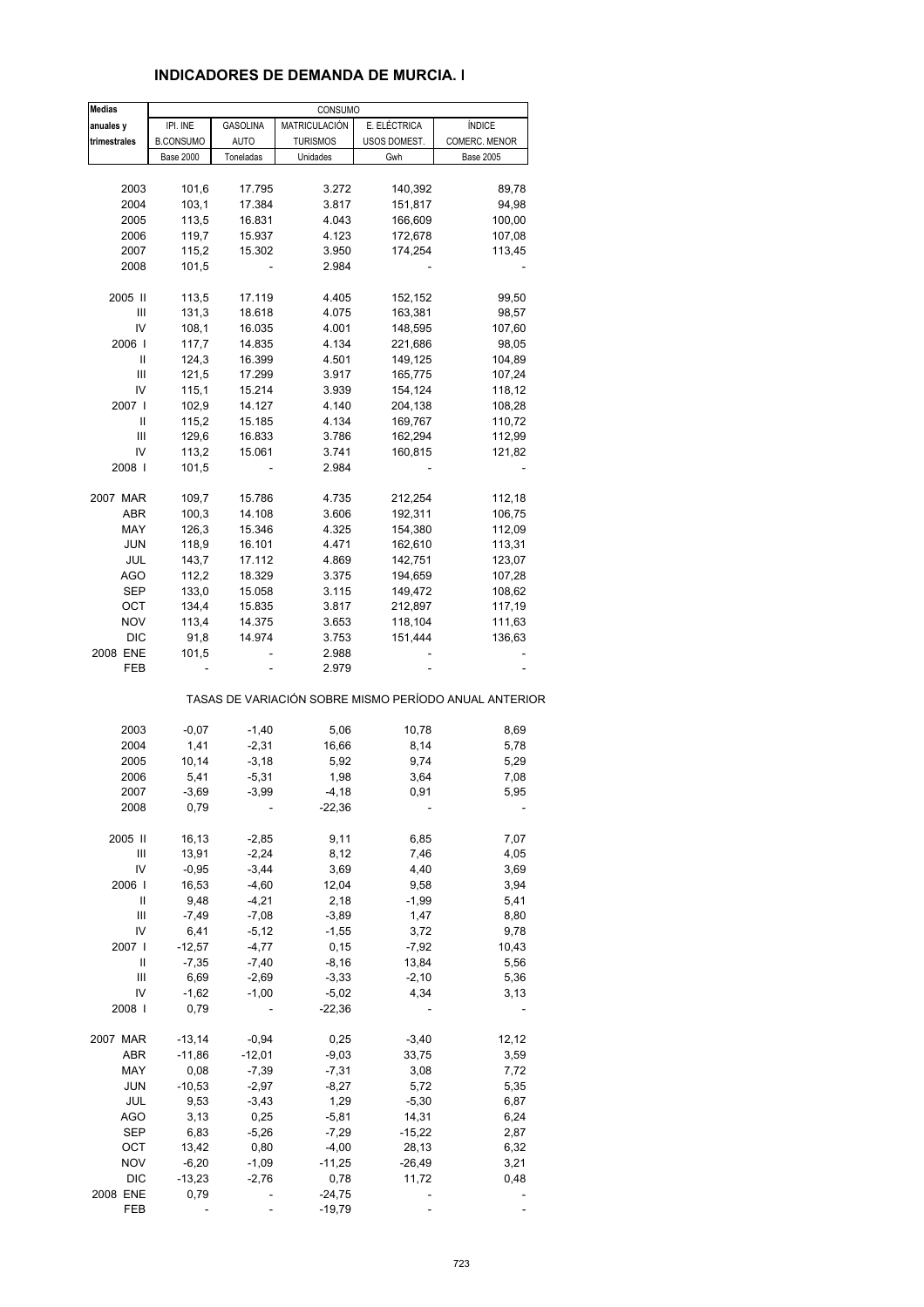### **INDICADORES DE DEMANDA DE MURCIA. I**

| <b>Medias</b> |                  |                 | CONSUMO         |              |                                                       |
|---------------|------------------|-----------------|-----------------|--------------|-------------------------------------------------------|
| anuales y     | IPI. INE         | <b>GASOLINA</b> | MATRICULACIÓN   | E. ELÉCTRICA | <b>ÍNDICE</b>                                         |
| trimestrales  | <b>B.CONSUMO</b> | <b>AUTO</b>     | <b>TURISMOS</b> | USOS DOMEST. | COMERC. MENOR                                         |
|               | <b>Base 2000</b> | Toneladas       | Unidades        | Gwh          | <b>Base 2005</b>                                      |
|               |                  |                 |                 |              |                                                       |
| 2003          | 101,6            | 17.795          | 3.272           | 140,392      | 89,78                                                 |
| 2004          | 103,1            | 17.384          | 3.817           | 151,817      | 94,98                                                 |
| 2005          | 113,5            | 16.831          | 4.043           | 166,609      | 100,00                                                |
| 2006          | 119,7            | 15.937          | 4.123           | 172,678      | 107,08                                                |
| 2007          | 115,2            | 15.302          | 3.950           | 174,254      | 113,45                                                |
| 2008          | 101,5            |                 | 2.984           |              |                                                       |
| 2005 II       | 113,5            | 17.119          | 4.405           | 152,152      | 99,50                                                 |
| Ш             |                  |                 |                 |              | 98,57                                                 |
|               | 131,3            | 18.618          | 4.075           | 163,381      |                                                       |
| IV            | 108,1            | 16.035          | 4.001           | 148,595      | 107,60                                                |
| 2006          | 117,7            | 14.835          | 4.134           | 221,686      | 98,05                                                 |
| Ш             | 124,3            | 16.399          | 4.501           | 149,125      | 104,89                                                |
| Ш             | 121,5            | 17.299          | 3.917           | 165,775      | 107,24                                                |
| IV            | 115,1            | 15.214          | 3.939           | 154,124      | 118,12                                                |
| 2007          | 102,9            | 14.127          | 4.140           | 204,138      | 108,28                                                |
| $\sf II$      | 115,2            | 15.185          | 4.134           | 169,767      | 110,72                                                |
| Ш             | 129,6            | 16.833          | 3.786           | 162,294      | 112,99                                                |
| IV            | 113,2            | 15.061          | 3.741           | 160,815      | 121,82                                                |
| 2008          | 101,5            |                 | 2.984           |              |                                                       |
|               |                  |                 |                 |              |                                                       |
| 2007 MAR      | 109,7            | 15.786          | 4.735           | 212,254      | 112,18                                                |
| ABR           | 100,3            | 14.108          | 3.606           | 192,311      | 106,75                                                |
| MAY           | 126,3            | 15.346          | 4.325           | 154,380      | 112,09                                                |
| JUN           | 118,9            | 16.101          | 4.471           | 162,610      | 113,31                                                |
| JUL           | 143,7            | 17.112          | 4.869           | 142,751      | 123,07                                                |
| <b>AGO</b>    | 112,2            | 18.329          | 3.375           | 194,659      | 107,28                                                |
| SEP           | 133,0            | 15.058          | 3.115           | 149,472      | 108,62                                                |
| OCT           | 134,4            | 15.835          | 3.817           | 212,897      | 117,19                                                |
| <b>NOV</b>    | 113,4            | 14.375          | 3.653           | 118,104      | 111,63                                                |
|               |                  |                 |                 |              |                                                       |
| DIC           | 91,8             | 14.974          | 3.753           | 151,444      | 136,63                                                |
| 2008 ENE      | 101,5            |                 | 2.988           |              |                                                       |
| FEB           |                  |                 | 2.979           |              | TASAS DE VARIACIÓN SOBRE MISMO PERÍODO ANUAL ANTERIOR |
|               |                  |                 |                 |              |                                                       |
| 2003          | $-0,07$          | $-1,40$         | 5,06            | 10,78        | 8,69                                                  |
| 2004          | 1,41             | $-2,31$         | 16,66           | 8,14         | 5,78                                                  |
| 2005          | 10,14            | $-3,18$         | 5,92            | 9,74         | 5,29                                                  |
| 2006          | 5,41             | $-5,31$         | 1,98            | 3,64         | 7,08                                                  |
| 2007          | $-3,69$          | $-3,99$         | -4,18           | 0,91         | 5,95                                                  |
| 2008          | 0,79             |                 | $-22,36$        |              |                                                       |
|               |                  |                 |                 |              |                                                       |
| 2005 II       | 16,13            | $-2,85$         | 9,11            | 6,85         | 7,07                                                  |
| Ш             | 13,91            | $-2,24$         | 8,12            | 7,46         | 4,05                                                  |
| IV            | $-0,95$          | $-3,44$         | 3,69            | 4,40         | 3,69                                                  |
| 2006          | 16,53            | $-4,60$         | 12,04           | 9,58         | 3,94                                                  |
| Ш             | 9,48             | $-4,21$         | 2,18            | $-1,99$      | 5,41                                                  |
| Ш             | $-7,49$          | $-7,08$         | $-3,89$         | 1,47         | 8,80                                                  |
| IV            | 6,41             | $-5,12$         | $-1,55$         | 3,72         | 9,78                                                  |
| 2007 l        | $-12,57$         | $-4,77$         | 0, 15           | $-7,92$      | 10,43                                                 |
| Ш             | $-7,35$          | $-7,40$         | $-8,16$         | 13,84        | 5,56                                                  |
| Ш             | 6,69             | $-2,69$         | $-3,33$         | $-2,10$      | 5,36                                                  |
| IV            | $-1,62$          | $-1,00$         | $-5,02$         | 4,34         | 3,13                                                  |
| 2008          | 0,79             |                 | $-22,36$        |              |                                                       |
|               |                  |                 |                 |              |                                                       |
| 2007 MAR      | $-13,14$         | $-0,94$         | 0,25            | $-3,40$      | 12,12                                                 |
| ABR           | $-11,86$         | $-12,01$        | $-9,03$         | 33,75        | 3,59                                                  |
| MAY           | 0,08             | $-7,39$         | $-7,31$         | 3,08         | 7,72                                                  |
| <b>JUN</b>    | $-10,53$         | $-2,97$         | $-8,27$         | 5,72         | 5,35                                                  |
| JUL           | 9,53             | $-3,43$         | 1,29            | $-5,30$      | 6,87                                                  |
| <b>AGO</b>    | 3,13             | 0,25            | $-5,81$         | 14,31        | 6,24                                                  |
| <b>SEP</b>    | 6,83             | $-5,26$         | $-7,29$         | $-15,22$     | 2,87                                                  |
|               |                  |                 |                 |              |                                                       |
| OCT           | 13,42            | 0,80            | $-4,00$         | 28,13        | 6,32                                                  |
| <b>NOV</b>    | $-6,20$          | $-1,09$         | $-11,25$        | $-26,49$     | 3,21                                                  |
| DIC           | $-13,23$         | $-2,76$         | 0,78            | 11,72        | 0,48                                                  |
| 2008 ENE      | 0,79             |                 | $-24,75$        |              | ÷,                                                    |
| FEB           |                  |                 | $-19,79$        |              |                                                       |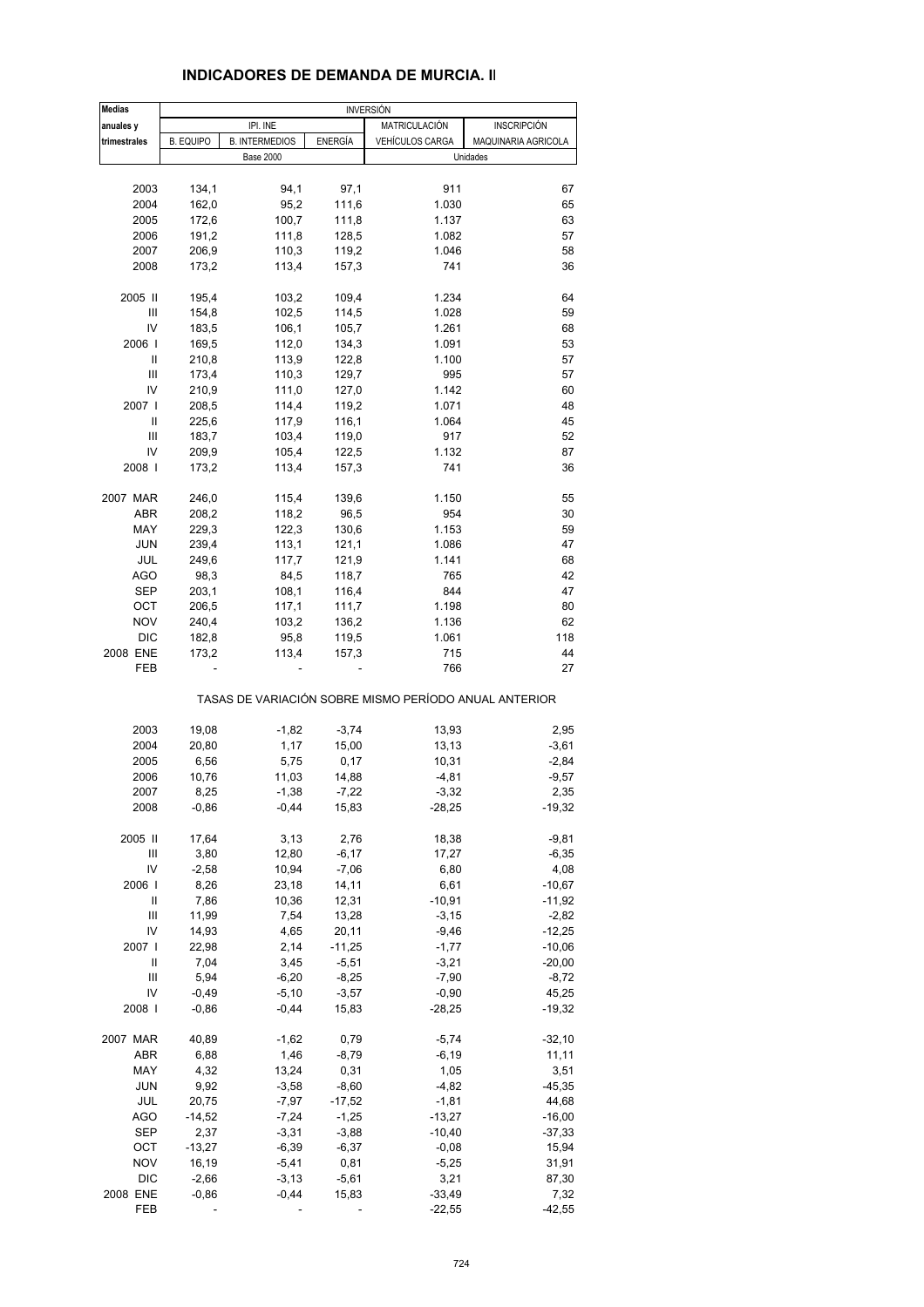| <b>Medias</b> | <b>INVERSIÓN</b> |                       |                |                                                       |                     |  |
|---------------|------------------|-----------------------|----------------|-------------------------------------------------------|---------------------|--|
| anuales y     |                  | IPI. INE              |                | MATRICULACIÓN<br><b>INSCRIPCIÓN</b>                   |                     |  |
| trimestrales  | <b>B. EQUIPO</b> | <b>B. INTERMEDIOS</b> | <b>ENERGÍA</b> | <b>VEHÍCULOS CARGA</b>                                | MAQUINARIA AGRICOLA |  |
|               |                  | <b>Base 2000</b>      |                |                                                       | Unidades            |  |
| 2003          | 134,1            | 94,1                  | 97,1           | 911                                                   | 67                  |  |
| 2004          | 162,0            | 95,2                  | 111,6          | 1.030                                                 | 65                  |  |
| 2005          | 172,6            | 100,7                 | 111,8          | 1.137                                                 | 63                  |  |
| 2006          | 191,2            | 111,8                 | 128,5          | 1.082                                                 | 57                  |  |
| 2007          | 206,9            | 110,3                 | 119,2          | 1.046                                                 | 58                  |  |
| 2008          | 173,2            | 113,4                 | 157,3          | 741                                                   | 36                  |  |
| 2005 II       | 195,4            | 103,2                 | 109,4          | 1.234                                                 | 64                  |  |
| Ш             | 154,8            | 102,5                 | 114,5          | 1.028                                                 | 59                  |  |
| IV            | 183,5            | 106,1                 | 105,7          | 1.261                                                 | 68                  |  |
| 2006          | 169,5            | 112,0                 | 134,3          | 1.091                                                 | 53                  |  |
| Ш             | 210,8            | 113,9                 | 122,8          | 1.100                                                 | 57                  |  |
| Ш             | 173,4            | 110,3                 | 129,7          | 995                                                   | 57                  |  |
| IV            | 210,9            | 111,0                 | 127,0          | 1.142                                                 | 60                  |  |
| 2007          | 208,5            | 114,4                 | 119,2          | 1.071                                                 | 48                  |  |
| Ш             | 225,6            | 117,9                 | 116,1          | 1.064                                                 | 45                  |  |
| Ш             | 183,7            | 103,4                 | 119,0          | 917                                                   | 52                  |  |
| IV            | 209,9            | 105,4                 | 122,5          | 1.132                                                 | 87                  |  |
| 2008          | 173,2            | 113,4                 | 157,3          | 741                                                   | 36                  |  |
| 2007 MAR      | 246,0            | 115,4                 | 139,6          | 1.150                                                 | 55                  |  |
| ABR           | 208,2            | 118,2                 | 96,5           | 954                                                   | 30                  |  |
| MAY           | 229,3            | 122,3                 | 130,6          | 1.153                                                 | 59                  |  |
| <b>JUN</b>    | 239,4            | 113,1                 | 121,1          | 1.086                                                 | 47                  |  |
| JUL           | 249,6            | 117,7                 | 121,9          | 1.141                                                 | 68                  |  |
| <b>AGO</b>    | 98,3             | 84,5                  | 118,7          | 765                                                   | 42                  |  |
| <b>SEP</b>    | 203,1            | 108,1                 | 116,4          | 844                                                   | 47                  |  |
| OCT           | 206,5            | 117,1                 | 111,7          | 1.198                                                 | 80                  |  |
| <b>NOV</b>    | 240,4            | 103,2                 | 136,2          | 1.136                                                 | 62                  |  |
| <b>DIC</b>    | 182,8            | 95,8                  | 119,5          | 1.061                                                 | 118                 |  |
| 2008 ENE      | 173,2            | 113,4                 | 157,3          | 715                                                   | 44                  |  |
| FEB           |                  |                       |                | 766                                                   | 27                  |  |
|               |                  |                       |                | TASAS DE VARIACIÓN SOBRE MISMO PERÍODO ANUAL ANTERIOR |                     |  |
| 2003          | 19,08            | $-1,82$               | $-3,74$        | 13,93                                                 | 2,95                |  |
| 2004          | 20,80            | 1,17                  | 15,00          | 13,13                                                 | $-3,61$             |  |
| 2005          | 6,56             | 5,75                  | 0,17           | 10,31                                                 | $-2,84$             |  |
| 2006          | 10,76            | 11,03                 | 14,88          | $-4,81$                                               | $-9,57$             |  |
| 2007          | 8,25             | $-1,38$               | $-7,22$        | $-3,32$                                               | 2,35                |  |
| 2008          | $-0.86$          | $-0,44$               | 15,83          | $-28,25$                                              | $-19,32$            |  |
| 2005 II       | 17,64            | 3,13                  | 2,76           | 18,38                                                 | $-9,81$             |  |
| Ш             | 3,80             | 12,80                 | $-6,17$        | 17,27                                                 | $-6,35$             |  |
| IV            | $-2,58$          | 10,94                 | $-7,06$        | 6,80                                                  | 4,08                |  |
| 2006          | 8,26             | 23,18                 | 14,11          | 6,61                                                  | $-10,67$            |  |
| Ш             | 7,86             | 10,36                 | 12,31          | $-10,91$                                              | $-11,92$            |  |
| Ш             | 11,99            | 7,54                  | 13,28          | $-3,15$                                               | $-2,82$             |  |
| IV            | 14,93            | 4,65                  | 20,11          | $-9,46$                                               | $-12,25$            |  |
| 2007          | 22,98            | 2,14                  | $-11,25$       | $-1,77$                                               | $-10,06$            |  |
| Ш             | 7,04             | 3,45                  | $-5,51$        | $-3,21$                                               | $-20,00$            |  |
| Ш             | 5,94             | $-6,20$               | $-8,25$        | $-7,90$                                               | $-8,72$             |  |
| IV            | $-0,49$          | $-5,10$               | $-3,57$        | $-0,90$                                               | 45,25               |  |
| 2008          | $-0,86$          | $-0,44$               | 15,83          | $-28,25$                                              | $-19,32$            |  |
| 2007 MAR      | 40,89            | $-1,62$               | 0,79           | $-5,74$                                               | $-32,10$            |  |
| ABR           | 6,88             | 1,46                  | $-8,79$        | $-6,19$                                               | 11,11               |  |
| MAY           | 4,32             | 13,24                 | 0,31           | 1,05                                                  | 3,51                |  |
| <b>JUN</b>    | 9,92             | $-3,58$               | $-8,60$        | $-4,82$                                               | $-45,35$            |  |
| JUL           | 20,75            | $-7,97$               | $-17,52$       | $-1,81$                                               | 44,68               |  |
| <b>AGO</b>    | $-14,52$         | $-7,24$               | $-1,25$        | $-13,27$                                              | $-16,00$            |  |
| <b>SEP</b>    | 2,37             | $-3,31$               | $-3,88$        | $-10,40$                                              | $-37,33$            |  |
| OCT           | $-13,27$         | $-6,39$               | $-6,37$        | $-0,08$                                               | 15,94               |  |
| <b>NOV</b>    | 16,19            | $-5,41$               | 0,81           | $-5,25$                                               | 31,91               |  |
| <b>DIC</b>    | $-2,66$          | $-3,13$               | $-5,61$        | 3,21                                                  | 87,30               |  |
| 2008 ENE      | $-0,86$          | $-0,44$               | 15,83          | $-33,49$                                              | 7,32                |  |
| FEB           |                  |                       |                | $-22,55$                                              | $-42,55$            |  |

#### **INDICADORES DE DEMANDA DE MURCIA. II**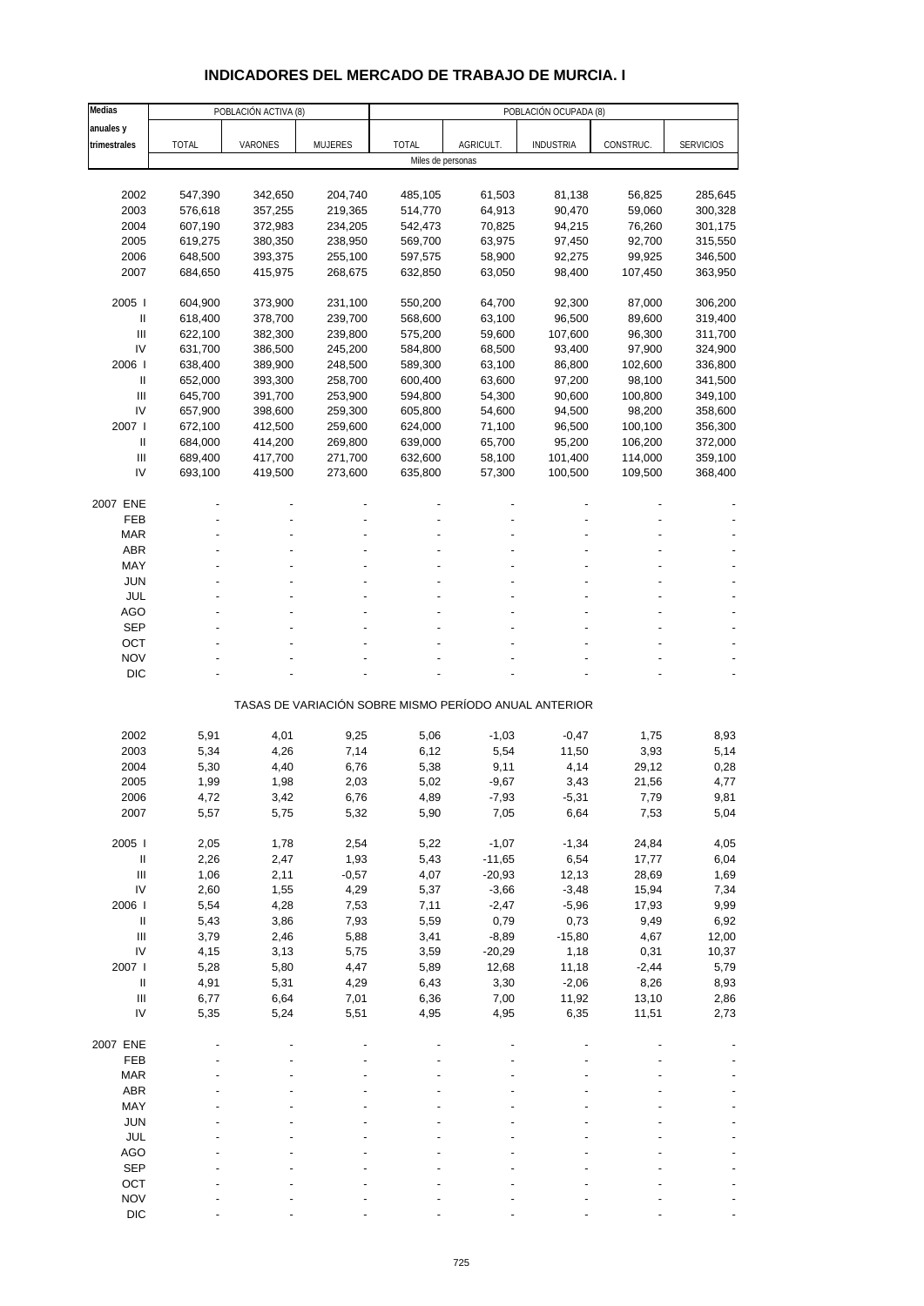# **INDICADORES DEL MERCADO DE TRABAJO DE MURCIA. I**

| Medias                             |              | POBLACIÓN ACTIVA (8) |                |                   |                                                       | POBLACIÓN OCUPADA (8) |              |                  |
|------------------------------------|--------------|----------------------|----------------|-------------------|-------------------------------------------------------|-----------------------|--------------|------------------|
| anuales y                          |              |                      |                |                   |                                                       |                       |              |                  |
| trimestrales                       | <b>TOTAL</b> | VARONES              | <b>MUJERES</b> | <b>TOTAL</b>      | AGRICULT.                                             | <b>INDUSTRIA</b>      | CONSTRUC.    | <b>SERVICIOS</b> |
|                                    |              |                      |                | Miles de personas |                                                       |                       |              |                  |
|                                    |              |                      |                |                   |                                                       |                       |              |                  |
| 2002                               | 547,390      | 342,650              | 204,740        | 485,105           | 61,503                                                | 81,138                | 56,825       | 285,645          |
| 2003                               | 576,618      | 357,255              | 219,365        | 514,770           | 64,913                                                | 90,470                | 59,060       | 300,328          |
| 2004                               | 607,190      | 372,983              | 234,205        | 542,473           | 70,825                                                | 94,215                | 76,260       | 301,175          |
| 2005                               | 619,275      | 380,350              | 238,950        | 569,700           | 63,975                                                | 97,450                | 92,700       | 315,550          |
| 2006                               | 648,500      | 393,375              | 255,100        | 597,575           | 58,900                                                | 92,275                | 99,925       | 346,500          |
| 2007                               | 684,650      | 415,975              | 268,675        | 632,850           | 63,050                                                | 98,400                | 107,450      | 363,950          |
| 2005                               | 604,900      | 373,900              | 231,100        | 550,200           | 64,700                                                | 92,300                | 87,000       | 306,200          |
| $\mathbf{II}$                      | 618,400      | 378,700              | 239,700        | 568,600           | 63,100                                                | 96,500                | 89,600       | 319,400          |
| III                                | 622,100      | 382,300              | 239,800        | 575,200           | 59,600                                                | 107,600               | 96,300       | 311,700          |
| IV                                 | 631,700      | 386,500              | 245,200        | 584,800           | 68,500                                                | 93,400                | 97,900       | 324,900          |
| 2006                               | 638,400      | 389,900              | 248,500        | 589,300           | 63,100                                                | 86,800                | 102,600      | 336,800          |
| Ш                                  | 652,000      | 393,300              | 258,700        | 600,400           | 63,600                                                | 97,200                | 98,100       | 341,500          |
| Ш                                  | 645,700      | 391,700              | 253,900        | 594,800           | 54,300                                                | 90,600                | 100,800      | 349,100          |
| IV                                 | 657,900      | 398,600              | 259,300        | 605,800           | 54,600                                                | 94,500                | 98,200       | 358,600          |
| 2007 l                             | 672,100      | 412,500              | 259,600        | 624,000           | 71,100                                                | 96,500                | 100,100      | 356,300          |
| $\mathbf{I}$                       | 684,000      | 414,200              | 269,800        | 639,000           | 65,700                                                | 95,200                | 106,200      | 372,000          |
| $\ensuremath{\mathsf{III}}\xspace$ | 689,400      | 417,700              | 271,700        | 632,600           | 58,100                                                | 101,400               | 114,000      | 359,100          |
| IV                                 | 693,100      | 419,500              | 273,600        | 635,800           | 57,300                                                | 100,500               | 109,500      | 368,400          |
|                                    |              |                      |                |                   |                                                       |                       |              |                  |
| 2007 ENE                           |              |                      |                |                   |                                                       |                       |              |                  |
| FEB                                |              |                      |                |                   |                                                       |                       |              |                  |
| <b>MAR</b>                         |              |                      |                |                   |                                                       |                       |              |                  |
| <b>ABR</b>                         |              |                      |                |                   |                                                       |                       |              |                  |
| MAY                                |              |                      |                |                   |                                                       |                       |              |                  |
| <b>JUN</b>                         |              |                      |                |                   |                                                       |                       |              |                  |
| <b>JUL</b>                         |              |                      |                |                   |                                                       |                       |              |                  |
| AGO                                |              |                      |                |                   |                                                       |                       |              |                  |
| <b>SEP</b>                         |              |                      |                |                   |                                                       |                       |              |                  |
| OCT                                |              |                      |                |                   |                                                       |                       |              |                  |
| <b>NOV</b>                         |              |                      |                |                   |                                                       |                       |              |                  |
| <b>DIC</b>                         |              |                      |                |                   |                                                       |                       |              |                  |
|                                    |              |                      |                |                   |                                                       |                       |              |                  |
|                                    |              |                      |                |                   | TASAS DE VARIACIÓN SOBRE MISMO PERÍODO ANUAL ANTERIOR |                       |              |                  |
| 2002                               | 5,91         | 4,01                 | 9,25           | 5,06              | $-1,03$                                               | $-0,47$               | 1,75         | 8,93             |
| 2003                               | 5,34         | 4,26                 | 7,14           | 6,12              | 5,54                                                  | 11,50                 | 3,93         | 5,14             |
| 2004                               |              |                      |                | 5,38              |                                                       | 4,14                  | 29,12        | 0,28             |
| 2005                               | 5,30<br>1,99 | 4,40<br>1,98         | 6,76           | 5,02              | 9,11                                                  | 3,43                  | 21,56        | 4,77             |
|                                    |              |                      | 2,03           |                   | $-9,67$                                               |                       |              |                  |
| 2006<br>2007                       | 4,72<br>5,57 | 3,42<br>5,75         | 6,76<br>5,32   | 4,89<br>5,90      | -7,93<br>7,05                                         | -5,31<br>6,64         | 7,79<br>7,53 | 9,81<br>5,04     |
|                                    |              |                      |                |                   |                                                       |                       |              |                  |
| 2005 l                             | 2,05         | 1,78                 | 2,54           | 5,22              | $-1,07$                                               | $-1,34$               | 24,84        | 4,05             |
| $\, \parallel$                     | 2,26         | 2,47                 | 1,93           | 5,43              | $-11,65$                                              | 6,54                  | 17,77        | 6,04             |
| $\ensuremath{\mathsf{III}}\xspace$ | 1,06         | 2,11                 | $-0,57$        | 4,07              | $-20,93$                                              | 12,13                 | 28,69        | 1,69             |
| IV                                 | 2,60         | 1,55                 | 4,29           | 5,37              | $-3,66$                                               | $-3,48$               | 15,94        | 7,34             |
| 2006                               | 5,54         | 4,28                 | 7,53           | 7,11              | $-2,47$                                               | $-5,96$               | 17,93        | 9,99             |
| $\ensuremath{\mathsf{II}}$         | 5,43         | 3,86                 | 7,93           | 5,59              | 0,79                                                  | 0,73                  | 9,49         | 6,92             |
| $\ensuremath{\mathsf{III}}\xspace$ | 3,79         | 2,46                 | 5,88           | 3,41              | $-8,89$                                               | $-15,80$              | 4,67         | 12,00            |
| IV                                 | 4,15         | 3,13                 | 5,75           | 3,59              | $-20,29$                                              | 1,18                  | 0,31         | 10,37            |
| 2007 l                             | 5,28         | 5,80                 | 4,47           | 5,89              | 12,68                                                 | 11,18                 | $-2,44$      | 5,79             |
| $\, \parallel$                     | 4,91         | 5,31                 | 4,29           | 6,43              | 3,30                                                  | $-2,06$               | 8,26         | 8,93             |
| $\ensuremath{\mathsf{III}}\xspace$ | 6,77         | 6,64                 | 7,01           | 6,36              | 7,00                                                  | 11,92                 | 13,10        | 2,86             |
| IV                                 | 5,35         | 5,24                 | 5,51           | 4,95              | 4,95                                                  | 6,35                  | 11,51        | 2,73             |
|                                    |              |                      |                |                   |                                                       |                       |              |                  |
| 2007 ENE                           |              |                      |                |                   |                                                       |                       |              |                  |
| FEB                                |              |                      |                |                   |                                                       |                       |              |                  |
| <b>MAR</b>                         |              |                      |                |                   |                                                       |                       |              |                  |
| <b>ABR</b>                         |              |                      |                |                   |                                                       |                       |              |                  |
| MAY                                |              |                      |                |                   |                                                       |                       |              |                  |
| <b>JUN</b>                         |              |                      |                |                   |                                                       |                       |              |                  |
| JUL                                |              |                      |                |                   |                                                       |                       |              |                  |
| <b>AGO</b>                         |              |                      |                |                   |                                                       |                       |              |                  |
| <b>SEP</b>                         |              |                      |                |                   |                                                       |                       |              |                  |
| OCT                                |              |                      |                |                   |                                                       |                       |              |                  |
| <b>NOV</b>                         |              |                      |                |                   |                                                       |                       |              |                  |
| <b>DIC</b>                         |              |                      |                |                   |                                                       |                       |              |                  |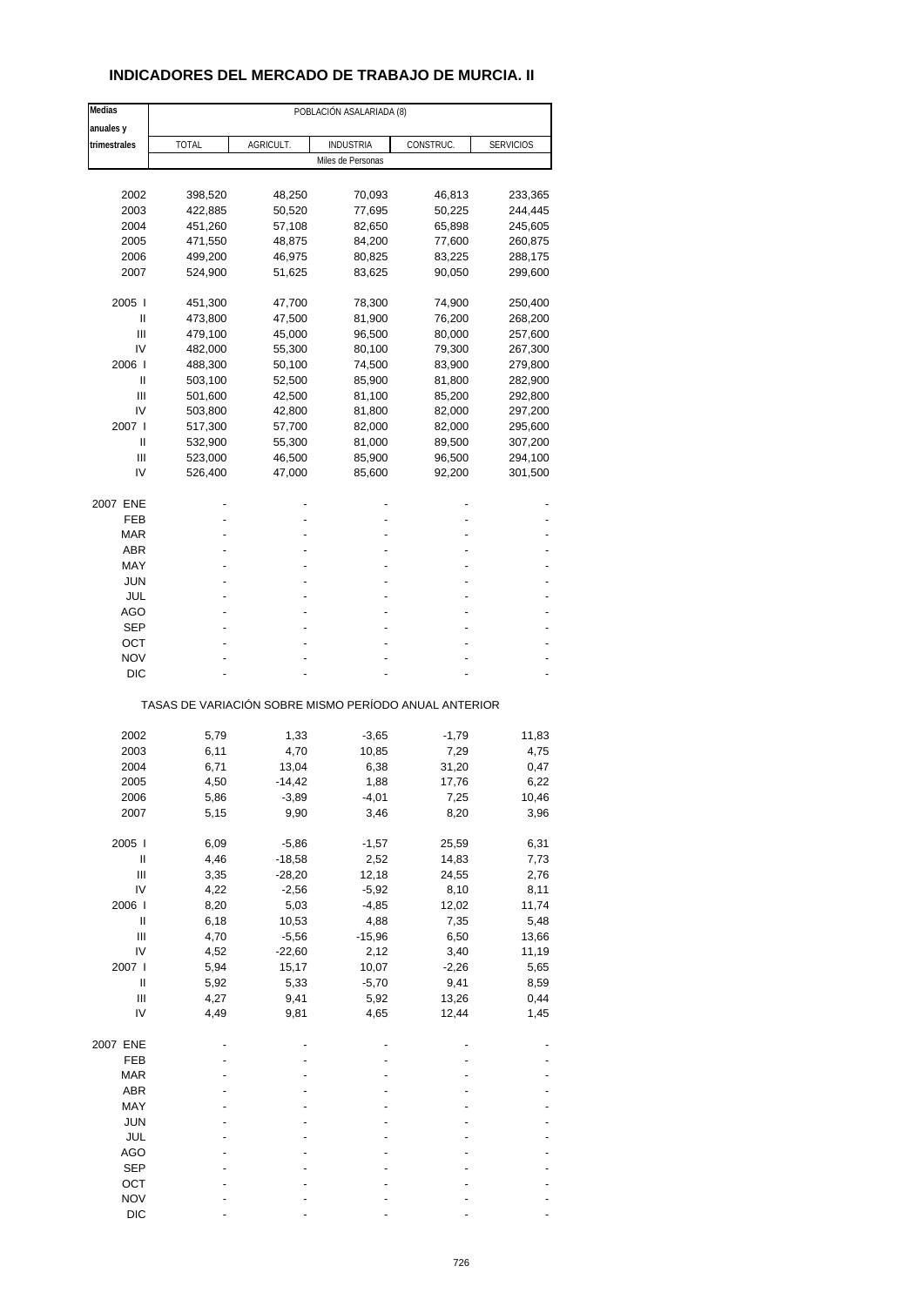## **INDICADORES DEL MERCADO DE TRABAJO DE MURCIA. II**

| Medias                                                                                                                                                                                                                                                                                                                                                                                                                                                                                                                                   | POBLACIÓN ASALARIADA (8)                              |           |                   |           |                  |  |
|------------------------------------------------------------------------------------------------------------------------------------------------------------------------------------------------------------------------------------------------------------------------------------------------------------------------------------------------------------------------------------------------------------------------------------------------------------------------------------------------------------------------------------------|-------------------------------------------------------|-----------|-------------------|-----------|------------------|--|
| anuales y                                                                                                                                                                                                                                                                                                                                                                                                                                                                                                                                |                                                       |           |                   |           |                  |  |
| trimestrales                                                                                                                                                                                                                                                                                                                                                                                                                                                                                                                             | <b>TOTAL</b>                                          | AGRICULT. | <b>INDUSTRIA</b>  | CONSTRUC. | <b>SERVICIOS</b> |  |
|                                                                                                                                                                                                                                                                                                                                                                                                                                                                                                                                          |                                                       |           | Miles de Personas |           |                  |  |
|                                                                                                                                                                                                                                                                                                                                                                                                                                                                                                                                          |                                                       |           |                   |           |                  |  |
| 2002                                                                                                                                                                                                                                                                                                                                                                                                                                                                                                                                     | 398,520                                               | 48,250    | 70,093            | 46,813    | 233,365          |  |
| 2003                                                                                                                                                                                                                                                                                                                                                                                                                                                                                                                                     | 422,885                                               | 50,520    | 77,695            | 50,225    | 244,445          |  |
| 2004                                                                                                                                                                                                                                                                                                                                                                                                                                                                                                                                     | 451,260                                               | 57,108    | 82,650            | 65,898    | 245,605          |  |
| 2005                                                                                                                                                                                                                                                                                                                                                                                                                                                                                                                                     | 471,550                                               | 48,875    | 84,200            | 77,600    | 260,875          |  |
| 2006                                                                                                                                                                                                                                                                                                                                                                                                                                                                                                                                     | 499,200                                               | 46,975    | 80,825            | 83,225    | 288,175          |  |
| 2007                                                                                                                                                                                                                                                                                                                                                                                                                                                                                                                                     | 524,900                                               | 51,625    | 83,625            | 90,050    | 299,600          |  |
| 2005                                                                                                                                                                                                                                                                                                                                                                                                                                                                                                                                     | 451,300                                               | 47,700    | 78,300            | 74,900    | 250,400          |  |
| Ш                                                                                                                                                                                                                                                                                                                                                                                                                                                                                                                                        | 473,800                                               | 47,500    | 81,900            | 76,200    | 268,200          |  |
| Ш                                                                                                                                                                                                                                                                                                                                                                                                                                                                                                                                        | 479,100                                               | 45,000    | 96,500            | 80,000    | 257,600          |  |
| IV                                                                                                                                                                                                                                                                                                                                                                                                                                                                                                                                       | 482,000                                               | 55,300    | 80,100            | 79,300    | 267,300          |  |
| 2006                                                                                                                                                                                                                                                                                                                                                                                                                                                                                                                                     | 488,300                                               | 50,100    | 74,500            | 83,900    | 279,800          |  |
| Ш                                                                                                                                                                                                                                                                                                                                                                                                                                                                                                                                        | 503,100                                               | 52,500    | 85,900            | 81,800    | 282,900          |  |
| Ш                                                                                                                                                                                                                                                                                                                                                                                                                                                                                                                                        | 501,600                                               | 42,500    | 81,100            | 85,200    | 292,800          |  |
| IV                                                                                                                                                                                                                                                                                                                                                                                                                                                                                                                                       | 503,800                                               | 42,800    | 81,800            | 82,000    | 297,200          |  |
| 2007 l                                                                                                                                                                                                                                                                                                                                                                                                                                                                                                                                   | 517,300                                               | 57,700    | 82,000            | 82,000    | 295,600          |  |
| Ш                                                                                                                                                                                                                                                                                                                                                                                                                                                                                                                                        | 532,900                                               | 55,300    | 81,000            | 89,500    | 307,200          |  |
| Ш                                                                                                                                                                                                                                                                                                                                                                                                                                                                                                                                        | 523,000                                               | 46,500    | 85,900            | 96,500    | 294,100          |  |
| IV                                                                                                                                                                                                                                                                                                                                                                                                                                                                                                                                       | 526,400                                               | 47,000    | 85,600            | 92,200    | 301,500          |  |
|                                                                                                                                                                                                                                                                                                                                                                                                                                                                                                                                          |                                                       |           |                   |           |                  |  |
| 2007 ENE                                                                                                                                                                                                                                                                                                                                                                                                                                                                                                                                 |                                                       |           |                   |           |                  |  |
| FEB                                                                                                                                                                                                                                                                                                                                                                                                                                                                                                                                      |                                                       |           |                   |           |                  |  |
| MAR                                                                                                                                                                                                                                                                                                                                                                                                                                                                                                                                      |                                                       |           |                   |           |                  |  |
| <b>ABR</b>                                                                                                                                                                                                                                                                                                                                                                                                                                                                                                                               |                                                       |           |                   |           |                  |  |
| MAY                                                                                                                                                                                                                                                                                                                                                                                                                                                                                                                                      |                                                       |           |                   |           |                  |  |
| <b>JUN</b>                                                                                                                                                                                                                                                                                                                                                                                                                                                                                                                               |                                                       |           |                   |           |                  |  |
| JUL                                                                                                                                                                                                                                                                                                                                                                                                                                                                                                                                      |                                                       |           |                   |           |                  |  |
| AGO                                                                                                                                                                                                                                                                                                                                                                                                                                                                                                                                      |                                                       |           |                   |           |                  |  |
| SEP                                                                                                                                                                                                                                                                                                                                                                                                                                                                                                                                      |                                                       |           |                   |           |                  |  |
| ОСТ                                                                                                                                                                                                                                                                                                                                                                                                                                                                                                                                      |                                                       |           |                   |           |                  |  |
| <b>NOV</b>                                                                                                                                                                                                                                                                                                                                                                                                                                                                                                                               |                                                       |           |                   |           |                  |  |
| <b>DIC</b>                                                                                                                                                                                                                                                                                                                                                                                                                                                                                                                               |                                                       |           |                   |           |                  |  |
|                                                                                                                                                                                                                                                                                                                                                                                                                                                                                                                                          |                                                       |           |                   |           |                  |  |
|                                                                                                                                                                                                                                                                                                                                                                                                                                                                                                                                          | TASAS DE VARIACIÓN SOBRE MISMO PERÍODO ANUAL ANTERIOR |           |                   |           |                  |  |
|                                                                                                                                                                                                                                                                                                                                                                                                                                                                                                                                          |                                                       |           |                   |           |                  |  |
| 2002                                                                                                                                                                                                                                                                                                                                                                                                                                                                                                                                     | 5,79                                                  | 1,33      | $-3,65$           | $-1,79$   | 11,83            |  |
| 2003                                                                                                                                                                                                                                                                                                                                                                                                                                                                                                                                     | 6,11                                                  | 4,70      | 10,85             | 7,29      | 4,75             |  |
| 2004                                                                                                                                                                                                                                                                                                                                                                                                                                                                                                                                     | 6,71                                                  | 13,04     | 6,38              | 31,20     | 0,47             |  |
| 2005                                                                                                                                                                                                                                                                                                                                                                                                                                                                                                                                     | 4,50                                                  | -14,42    | 1,88              | 17,76     | 6,22             |  |
| 2006                                                                                                                                                                                                                                                                                                                                                                                                                                                                                                                                     | 5,86                                                  | -3,89     | -4,01             | 7,25      | 10,46            |  |
| 2007                                                                                                                                                                                                                                                                                                                                                                                                                                                                                                                                     | 5,15                                                  | 9,90      | 3,46              | 8,20      | 3,96             |  |
| 2005 l                                                                                                                                                                                                                                                                                                                                                                                                                                                                                                                                   | 6,09                                                  | $-5,86$   | $-1,57$           | 25,59     | 6,31             |  |
| $\sf II$                                                                                                                                                                                                                                                                                                                                                                                                                                                                                                                                 | 4,46                                                  | $-18,58$  | 2,52              | 14,83     | 7,73             |  |
| Ш                                                                                                                                                                                                                                                                                                                                                                                                                                                                                                                                        | 3,35                                                  | $-28,20$  | 12,18             | 24,55     | 2,76             |  |
| IV                                                                                                                                                                                                                                                                                                                                                                                                                                                                                                                                       | 4,22                                                  | $-2,56$   | $-5,92$           | 8,10      | 8,11             |  |
| 2006                                                                                                                                                                                                                                                                                                                                                                                                                                                                                                                                     | 8,20                                                  |           | $-4,85$           | 12,02     |                  |  |
| $\sf II$                                                                                                                                                                                                                                                                                                                                                                                                                                                                                                                                 |                                                       | 5,03      | 4,88              | 7,35      | 11,74            |  |
|                                                                                                                                                                                                                                                                                                                                                                                                                                                                                                                                          | 6,18                                                  | 10,53     |                   |           | 5,48             |  |
| $\begin{array}{c} \Pi \end{array}$<br>IV                                                                                                                                                                                                                                                                                                                                                                                                                                                                                                 | 4,70<br>4,52                                          | $-5,56$   | $-15,96$          | 6,50      | 13,66            |  |
|                                                                                                                                                                                                                                                                                                                                                                                                                                                                                                                                          |                                                       | $-22,60$  | 2,12              | 3,40      | 11,19            |  |
| 2007 l                                                                                                                                                                                                                                                                                                                                                                                                                                                                                                                                   | 5,94                                                  | 15,17     | 10,07             | $-2,26$   | 5,65             |  |
| $\mathop{\mathrm{II}}% \nolimits_{\mathop{\mathrm{II}}% \nolimits} \mathop{\mathrm{II}}% \nolimits_{\mathop{\mathrm{II}}% \nolimits} \mathop{\mathrm{II}}% \nolimits_{\mathop{\mathrm{II}}% \nolimits} \mathop{\mathrm{II}}% \nolimits_{\mathop{\mathrm{II}}% \nolimits} \mathop{\mathrm{II}}% \nolimits_{\mathop{\mathrm{II}}% \nolimits} \mathop{\mathrm{II}}% \nolimits_{\mathop{\mathrm{II}}% \nolimits} \mathop{\mathrm{II}}% \nolimits_{\mathop{\mathrm{II}}% \nolimits} \mathop{\mathrm{II}}% \nolimits_{\mathop{\mathrm{II}}% \$ | 5,92                                                  | 5,33      | $-5,70$           | 9,41      | 8,59             |  |
| Ш                                                                                                                                                                                                                                                                                                                                                                                                                                                                                                                                        | 4,27                                                  | 9,41      | 5,92              | 13,26     | 0,44             |  |
| IV                                                                                                                                                                                                                                                                                                                                                                                                                                                                                                                                       | 4,49                                                  | 9,81      | 4,65              | 12,44     | 1,45             |  |
| 2007 ENE                                                                                                                                                                                                                                                                                                                                                                                                                                                                                                                                 |                                                       |           |                   |           |                  |  |
| FEB                                                                                                                                                                                                                                                                                                                                                                                                                                                                                                                                      |                                                       |           |                   |           |                  |  |
| <b>MAR</b>                                                                                                                                                                                                                                                                                                                                                                                                                                                                                                                               |                                                       |           |                   |           |                  |  |
| ABR                                                                                                                                                                                                                                                                                                                                                                                                                                                                                                                                      |                                                       |           |                   |           |                  |  |
| MAY                                                                                                                                                                                                                                                                                                                                                                                                                                                                                                                                      |                                                       |           |                   |           |                  |  |
| <b>JUN</b>                                                                                                                                                                                                                                                                                                                                                                                                                                                                                                                               |                                                       |           |                   |           |                  |  |
|                                                                                                                                                                                                                                                                                                                                                                                                                                                                                                                                          |                                                       |           |                   |           |                  |  |
| JUL                                                                                                                                                                                                                                                                                                                                                                                                                                                                                                                                      |                                                       |           |                   |           |                  |  |
| AGO                                                                                                                                                                                                                                                                                                                                                                                                                                                                                                                                      |                                                       |           |                   |           |                  |  |
| <b>SEP</b>                                                                                                                                                                                                                                                                                                                                                                                                                                                                                                                               |                                                       |           |                   |           |                  |  |
| OCT                                                                                                                                                                                                                                                                                                                                                                                                                                                                                                                                      |                                                       |           |                   |           |                  |  |
| <b>NOV</b>                                                                                                                                                                                                                                                                                                                                                                                                                                                                                                                               |                                                       |           |                   |           |                  |  |
| <b>DIC</b>                                                                                                                                                                                                                                                                                                                                                                                                                                                                                                                               |                                                       |           |                   |           |                  |  |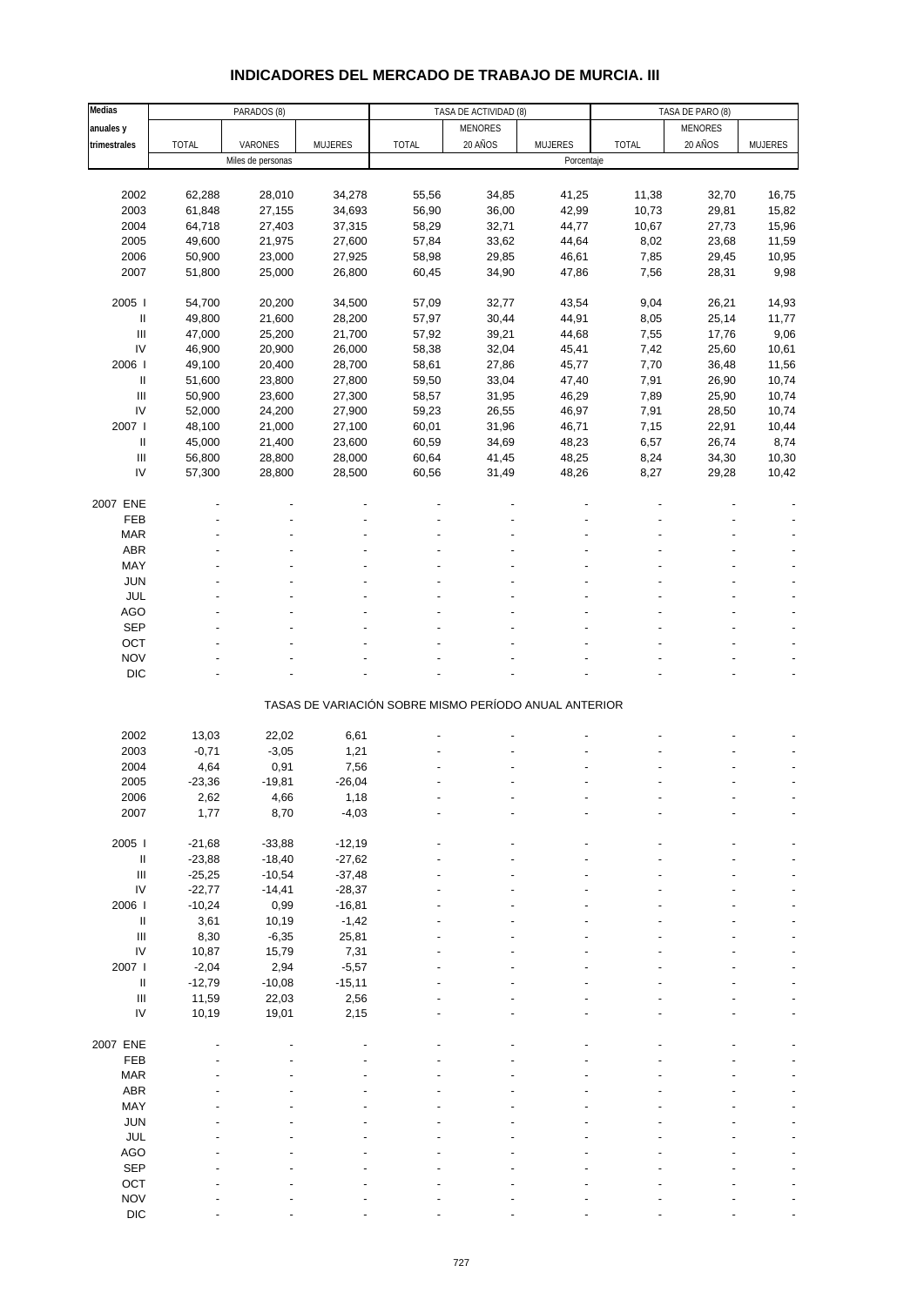# **INDICADORES DEL MERCADO DE TRABAJO DE MURCIA. III**

| Medias                             |              | PARADOS (8)       |                | TASA DE ACTIVIDAD (8)                                 |                | TASA DE PARO (8) |              |                |                |
|------------------------------------|--------------|-------------------|----------------|-------------------------------------------------------|----------------|------------------|--------------|----------------|----------------|
| anuales y                          |              |                   |                |                                                       | <b>MENORES</b> |                  |              | <b>MENORES</b> |                |
| trimestrales                       | <b>TOTAL</b> | VARONES           | <b>MUJERES</b> | <b>TOTAL</b>                                          | 20 AÑOS        | <b>MUJERES</b>   | <b>TOTAL</b> | 20 AÑOS        | <b>MUJERES</b> |
|                                    |              | Miles de personas |                |                                                       |                | Porcentaje       |              |                |                |
|                                    |              |                   |                |                                                       |                |                  |              |                |                |
|                                    |              |                   |                |                                                       |                |                  |              |                |                |
| 2002                               | 62,288       | 28,010            | 34,278         | 55,56                                                 | 34,85          | 41,25            | 11,38        | 32,70          | 16,75          |
| 2003                               | 61,848       | 27,155            | 34,693         | 56,90                                                 | 36,00          | 42,99            | 10,73        | 29,81          | 15,82          |
| 2004                               | 64,718       | 27,403            | 37,315         | 58,29                                                 | 32,71          | 44,77            | 10,67        | 27,73          | 15,96          |
| 2005                               | 49,600       | 21,975            | 27,600         | 57,84                                                 | 33,62          | 44,64            | 8,02         | 23,68          | 11,59          |
| 2006                               | 50,900       | 23,000            | 27,925         | 58,98                                                 | 29,85          | 46,61            | 7,85         | 29,45          | 10,95          |
| 2007                               | 51,800       | 25,000            | 26,800         | 60,45                                                 | 34,90          | 47,86            | 7,56         | 28,31          | 9,98           |
|                                    |              |                   |                |                                                       |                |                  |              |                |                |
| 2005 l                             | 54,700       | 20,200            | 34,500         | 57,09                                                 | 32,77          | 43,54            | 9,04         | 26,21          | 14,93          |
| Ш                                  | 49,800       | 21,600            | 28,200         | 57,97                                                 | 30,44          | 44,91            | 8,05         | 25,14          | 11,77          |
|                                    |              |                   |                |                                                       |                |                  |              |                |                |
| $\ensuremath{\mathsf{III}}\xspace$ | 47,000       | 25,200            | 21,700         | 57,92                                                 | 39,21          | 44,68            | 7,55         | 17,76          | 9,06           |
| ${\sf IV}$                         | 46,900       | 20,900            | 26,000         | 58,38                                                 | 32,04          | 45,41            | 7,42         | 25,60          | 10,61          |
| 2006                               | 49,100       | 20,400            | 28,700         | 58,61                                                 | 27,86          | 45,77            | 7,70         | 36,48          | 11,56          |
| Ш                                  | 51,600       | 23,800            | 27,800         | 59,50                                                 | 33,04          | 47,40            | 7,91         | 26,90          | 10,74          |
| $\ensuremath{\mathsf{III}}\xspace$ | 50,900       | 23,600            | 27,300         | 58,57                                                 | 31,95          | 46,29            | 7,89         | 25,90          | 10,74          |
| IV                                 | 52,000       | 24,200            | 27,900         | 59,23                                                 | 26,55          | 46,97            | 7,91         | 28,50          | 10,74          |
| 2007 l                             | 48,100       | 21,000            | 27,100         | 60,01                                                 | 31,96          | 46,71            | 7,15         | 22,91          | 10,44          |
|                                    |              |                   |                |                                                       |                |                  |              |                |                |
| Ш                                  | 45,000       | 21,400            | 23,600         | 60,59                                                 | 34,69          | 48,23            | 6,57         | 26,74          | 8,74           |
| Ш                                  | 56,800       | 28,800            | 28,000         | 60,64                                                 | 41,45          | 48,25            | 8,24         | 34,30          | 10,30          |
| IV                                 | 57,300       | 28,800            | 28,500         | 60,56                                                 | 31,49          | 48,26            | 8,27         | 29,28          | 10,42          |
|                                    |              |                   |                |                                                       |                |                  |              |                |                |
| 2007 ENE                           |              |                   |                |                                                       |                |                  |              |                |                |
| FEB                                |              |                   |                |                                                       |                |                  |              |                |                |
| <b>MAR</b>                         |              |                   |                |                                                       |                |                  |              |                |                |
| ABR                                |              |                   |                |                                                       |                |                  |              |                |                |
|                                    |              |                   |                |                                                       |                |                  |              |                |                |
| MAY                                |              |                   |                |                                                       |                |                  |              |                |                |
| JUN                                |              |                   |                |                                                       |                |                  |              |                |                |
| JUL                                |              |                   |                |                                                       |                |                  |              |                |                |
| AGO                                |              |                   |                |                                                       |                |                  |              |                |                |
| <b>SEP</b>                         |              |                   |                |                                                       |                |                  |              |                |                |
| OCT                                |              |                   |                |                                                       |                |                  |              |                |                |
| <b>NOV</b>                         |              |                   |                |                                                       |                |                  |              |                |                |
|                                    |              |                   |                |                                                       |                |                  |              |                |                |
| DIC                                |              |                   |                |                                                       |                |                  |              |                |                |
|                                    |              |                   |                |                                                       |                |                  |              |                |                |
|                                    |              |                   |                | TASAS DE VARIACIÓN SOBRE MISMO PERÍODO ANUAL ANTERIOR |                |                  |              |                |                |
|                                    |              |                   |                |                                                       |                |                  |              |                |                |
| 2002                               | 13,03        | 22,02             | 6,61           |                                                       |                |                  |              |                |                |
| 2003                               | $-0,71$      | $-3,05$           | 1,21           |                                                       |                |                  |              |                |                |
| 2004                               | 4,64         | 0,91              | 7,56           |                                                       |                |                  |              |                |                |
| 2005                               | $-23,36$     | $-19,81$          | $-26,04$       |                                                       |                |                  |              |                |                |
| 2006                               | 2,62         | 4,66              | 1,18           |                                                       |                |                  |              |                |                |
| 2007                               | 1,77         | 8,70              | $-4,03$        |                                                       |                |                  |              |                |                |
|                                    |              |                   |                |                                                       |                |                  |              |                |                |
|                                    | $-21,68$     |                   |                |                                                       |                |                  |              |                |                |
| 2005                               |              | $-33,88$          | $-12,19$       |                                                       |                |                  |              |                |                |
| Ш                                  | $-23,88$     | $-18,40$          | $-27,62$       |                                                       |                |                  |              |                |                |
| Ш                                  | $-25,25$     | $-10,54$          | $-37,48$       |                                                       |                |                  |              |                |                |
| ${\sf IV}$                         | $-22,77$     | $-14,41$          | $-28,37$       |                                                       |                |                  |              |                |                |
| 2006                               | $-10,24$     | 0,99              | $-16,81$       |                                                       |                |                  |              |                |                |
| Ш                                  | 3,61         | 10,19             | $-1,42$        |                                                       |                |                  |              |                |                |
| $\ensuremath{\mathsf{III}}\xspace$ | 8,30         | $-6,35$           | 25,81          |                                                       |                |                  |              |                |                |
| ${\sf IV}$                         | 10,87        | 15,79             | 7,31           |                                                       |                |                  |              |                |                |
| 2007                               |              |                   |                |                                                       |                |                  |              |                |                |
|                                    | $-2,04$      | 2,94              | $-5,57$        |                                                       |                |                  |              |                |                |
| $\ensuremath{\mathsf{II}}$         | $-12,79$     | $-10,08$          | $-15,11$       |                                                       |                |                  |              |                |                |
| $\ensuremath{\mathsf{III}}\xspace$ | 11,59        | 22,03             | 2,56           |                                                       |                |                  |              |                |                |
| IV                                 | 10,19        | 19,01             | 2,15           |                                                       |                |                  |              |                |                |
|                                    |              |                   |                |                                                       |                |                  |              |                |                |
| 2007 ENE                           |              |                   |                |                                                       |                |                  |              |                |                |
| FEB                                |              |                   |                |                                                       |                |                  |              |                |                |
| <b>MAR</b>                         |              |                   |                |                                                       |                |                  |              |                |                |
| <b>ABR</b>                         |              |                   |                |                                                       |                |                  |              |                |                |
|                                    |              |                   |                |                                                       |                |                  |              |                |                |
| MAY                                |              |                   |                |                                                       |                |                  |              |                |                |
| JUN                                |              |                   |                |                                                       |                |                  |              |                |                |
| JUL                                |              |                   |                |                                                       |                |                  |              |                |                |
| <b>AGO</b>                         |              |                   |                |                                                       |                |                  |              |                |                |
| <b>SEP</b>                         |              |                   |                |                                                       |                |                  |              |                |                |
| OCT                                |              |                   |                |                                                       |                |                  |              |                |                |
| <b>NOV</b>                         |              |                   |                |                                                       |                |                  |              |                |                |
| DIC                                |              |                   |                |                                                       |                |                  |              |                |                |
|                                    |              |                   |                |                                                       |                |                  |              |                |                |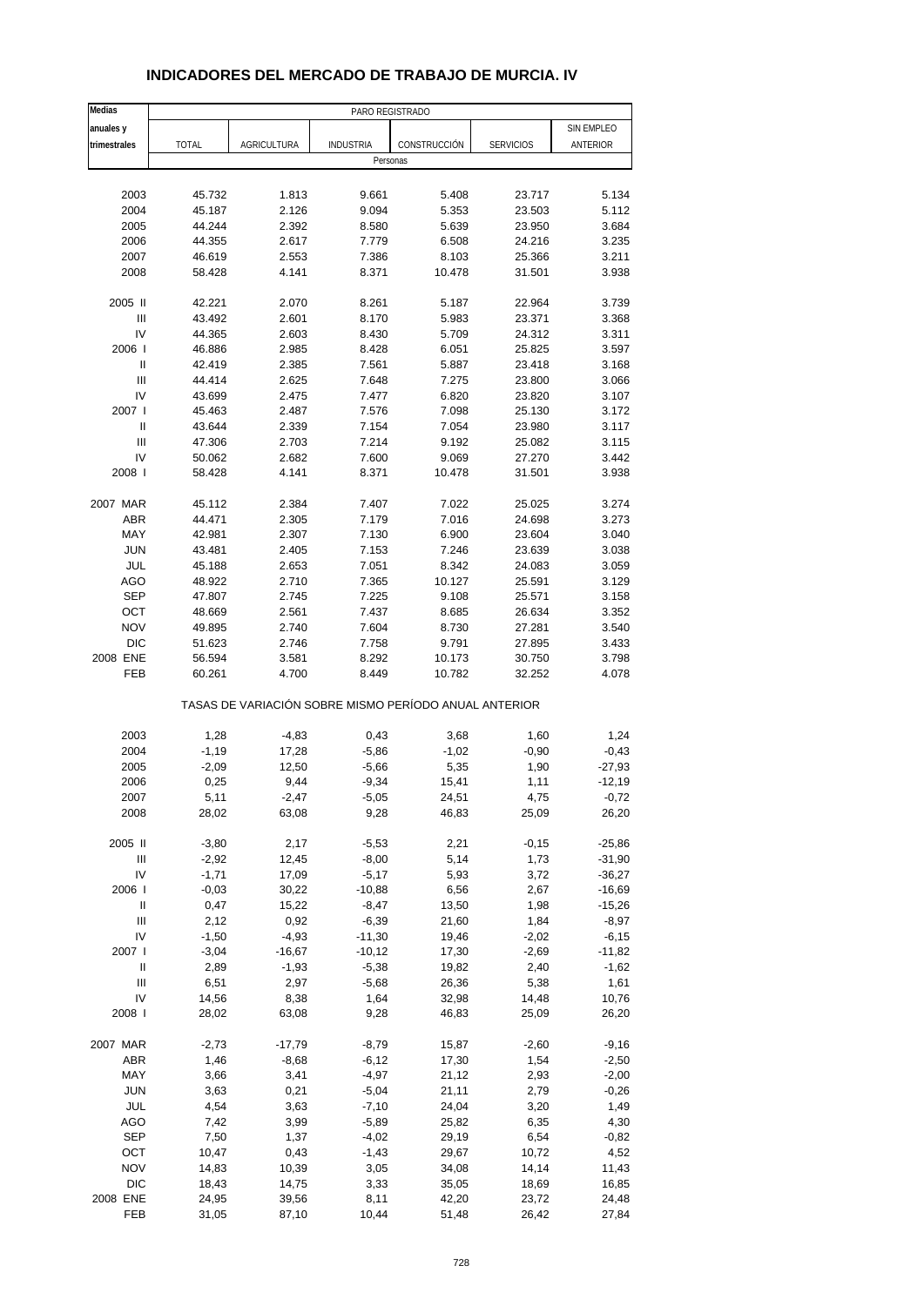| Medias                             |              |             |                  | PARO REGISTRADO                                       |                  |            |
|------------------------------------|--------------|-------------|------------------|-------------------------------------------------------|------------------|------------|
| anuales y                          |              |             |                  |                                                       |                  | SIN EMPLEO |
| trimestrales                       | <b>TOTAL</b> | AGRICULTURA | <b>INDUSTRIA</b> | CONSTRUCCIÓN                                          | <b>SERVICIOS</b> | ANTERIOR   |
|                                    |              |             |                  | Personas                                              |                  |            |
|                                    |              |             |                  |                                                       |                  |            |
| 2003                               | 45.732       | 1.813       | 9.661            | 5.408                                                 | 23.717           | 5.134      |
| 2004                               | 45.187       | 2.126       | 9.094            | 5.353                                                 | 23.503           | 5.112      |
| 2005                               | 44.244       | 2.392       | 8.580            | 5.639                                                 | 23.950           | 3.684      |
| 2006                               | 44.355       | 2.617       | 7.779            | 6.508                                                 | 24.216           | 3.235      |
| 2007                               | 46.619       | 2.553       | 7.386            | 8.103                                                 | 25.366           | 3.211      |
| 2008                               | 58.428       | 4.141       | 8.371            | 10.478                                                | 31.501           | 3.938      |
| 2005 II                            | 42.221       | 2.070       | 8.261            | 5.187                                                 | 22.964           | 3.739      |
| Ш                                  | 43.492       | 2.601       | 8.170            | 5.983                                                 | 23.371           | 3.368      |
| IV                                 | 44.365       | 2.603       | 8.430            | 5.709                                                 | 24.312           | 3.311      |
| 2006                               | 46.886       | 2.985       | 8.428            | 6.051                                                 | 25.825           | 3.597      |
| Ш                                  | 42.419       | 2.385       | 7.561            | 5.887                                                 | 23.418           | 3.168      |
| Ш                                  | 44.414       | 2.625       | 7.648            | 7.275                                                 | 23.800           | 3.066      |
| IV                                 | 43.699       | 2.475       | 7.477            | 6.820                                                 | 23.820           | 3.107      |
| 2007 l                             | 45.463       | 2.487       | 7.576            | 7.098                                                 | 25.130           | 3.172      |
| $\mathbf{I}$                       | 43.644       | 2.339       | 7.154            | 7.054                                                 | 23.980           | 3.117      |
| Ш                                  | 47.306       | 2.703       | 7.214            | 9.192                                                 | 25.082           | 3.115      |
| IV                                 | 50.062       | 2.682       | 7.600            | 9.069                                                 | 27.270           | 3.442      |
| 2008                               | 58.428       | 4.141       | 8.371            | 10.478                                                | 31.501           | 3.938      |
| 2007 MAR                           | 45.112       | 2.384       | 7.407            | 7.022                                                 | 25.025           | 3.274      |
| <b>ABR</b>                         | 44.471       | 2.305       | 7.179            | 7.016                                                 | 24.698           | 3.273      |
| MAY                                | 42.981       | 2.307       | 7.130            | 6.900                                                 | 23.604           | 3.040      |
| <b>JUN</b>                         | 43.481       | 2.405       | 7.153            | 7.246                                                 | 23.639           | 3.038      |
| JUL                                | 45.188       | 2.653       | 7.051            | 8.342                                                 | 24.083           | 3.059      |
| AGO                                | 48.922       | 2.710       | 7.365            | 10.127                                                | 25.591           | 3.129      |
| <b>SEP</b>                         | 47.807       | 2.745       | 7.225            | 9.108                                                 | 25.571           | 3.158      |
| OCT                                | 48.669       | 2.561       | 7.437            | 8.685                                                 | 26.634           | 3.352      |
| <b>NOV</b>                         | 49.895       | 2.740       | 7.604            | 8.730                                                 | 27.281           | 3.540      |
| <b>DIC</b>                         | 51.623       | 2.746       | 7.758            | 9.791                                                 | 27.895           | 3.433      |
| 2008 ENE                           | 56.594       | 3.581       | 8.292            | 10.173                                                | 30.750           | 3.798      |
| FEB                                | 60.261       | 4.700       | 8.449            | 10.782                                                | 32.252           | 4.078      |
|                                    |              |             |                  | TASAS DE VARIACIÓN SOBRE MISMO PERÍODO ANUAL ANTERIOR |                  |            |
| 2003                               | 1,28         | $-4,83$     | 0,43             | 3,68                                                  | 1,60             | 1,24       |
| 2004                               | $-1,19$      | 17,28       | $-5,86$          | $-1,02$                                               | $-0,90$          | $-0,43$    |
| 2005                               | $-2,09$      | 12,50       | $-5,66$          | 5,35                                                  | 1,90             | $-27,93$   |
| 2006                               | 0,25         | 9,44        | $-9,34$          | 15,41                                                 | 1,11             | $-12,19$   |
| 2007                               | 5,11         | $-2,47$     | $-5,05$          | 24,51                                                 | 4,75             | $-0,72$    |
| 2008                               | 28,02        | 63,08       | 9,28             | 46,83                                                 | 25,09            | 26,20      |
| 2005 II                            | $-3,80$      | 2,17        | $-5,53$          | 2,21                                                  | $-0,15$          | $-25,86$   |
| $\ensuremath{\mathsf{III}}\xspace$ | $-2,92$      | 12,45       | $-8,00$          | 5,14                                                  | 1,73             | -31,90     |
| IV                                 | $-1,71$      | 17,09       | $-5,17$          | 5,93                                                  | 3,72             | $-36,27$   |
| 2006                               | $-0,03$      | 30,22       | $-10,88$         | 6,56                                                  | 2,67             | $-16,69$   |
| Ш                                  | 0,47         | 15,22       | $-8,47$          | 13,50                                                 | 1,98             | $-15,26$   |
| Ш                                  | 2,12         | 0,92        | $-6,39$          | 21,60                                                 | 1,84             | $-8,97$    |
| IV                                 | $-1,50$      | $-4,93$     | $-11,30$         | 19,46                                                 | $-2,02$          | $-6,15$    |
| 2007 l                             | $-3,04$      | $-16,67$    | $-10,12$         | 17,30                                                 | $-2,69$          | $-11,82$   |
| $\sf II$                           | 2,89         | $-1,93$     | $-5,38$          | 19,82                                                 | 2,40             | $-1,62$    |
| Ш                                  | 6,51         | 2,97        | $-5,68$          | 26,36                                                 | 5,38             | 1,61       |
| IV                                 | 14,56        | 8,38        | 1,64             | 32,98                                                 | 14,48            | 10,76      |
| 2008                               | 28,02        | 63,08       | 9,28             | 46,83                                                 | 25,09            | 26,20      |
| 2007 MAR                           | $-2,73$      | $-17,79$    | $-8,79$          | 15,87                                                 | $-2,60$          | $-9,16$    |
| <b>ABR</b>                         | 1,46         | $-8,68$     | $-6, 12$         | 17,30                                                 | 1,54             | $-2,50$    |
| MAY                                | 3,66         | 3,41        | $-4,97$          | 21,12                                                 | 2,93             | $-2,00$    |
| <b>JUN</b>                         | 3,63         | 0,21        | $-5,04$          | 21,11                                                 | 2,79             | $-0,26$    |
| JUL                                | 4,54         | 3,63        | $-7,10$          | 24,04                                                 | 3,20             | 1,49       |
| <b>AGO</b>                         | 7,42         | 3,99        | $-5,89$          | 25,82                                                 | 6,35             | 4,30       |
| <b>SEP</b>                         | 7,50         | 1,37        | $-4,02$          | 29,19                                                 | 6,54             | $-0,82$    |
| OCT                                | 10,47        | 0,43        | $-1,43$          | 29,67                                                 | 10,72            | 4,52       |
| <b>NOV</b>                         | 14,83        | 10,39       | 3,05             | 34,08                                                 | 14,14            | 11,43      |
| $DIC$                              | 18,43        | 14,75       | 3,33             | 35,05                                                 | 18,69            | 16,85      |
| 2008 ENE                           | 24,95        | 39,56       | 8,11             | 42,20                                                 | 23,72            | 24,48      |
| FEB                                | 31,05        | 87,10       | 10,44            | 51,48                                                 | 26,42            | 27,84      |

### **INDICADORES DEL MERCADO DE TRABAJO DE MURCIA. IV**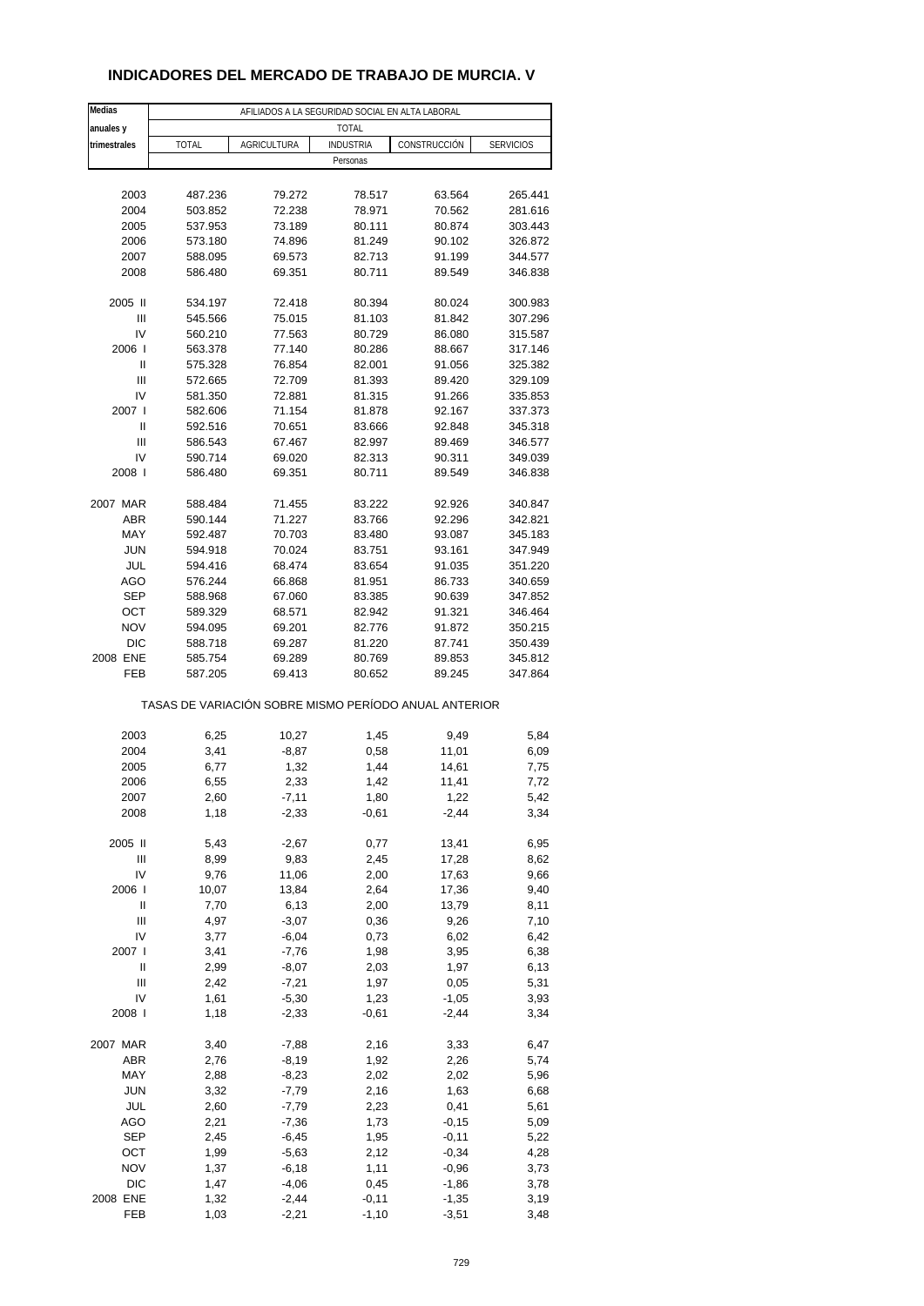## **INDICADORES DEL MERCADO DE TRABAJO DE MURCIA. V**

| Medias       |                                                       |                    | AFILIADOS A LA SEGURIDAD SOCIAL EN ALTA LABORAL |              |                  |
|--------------|-------------------------------------------------------|--------------------|-------------------------------------------------|--------------|------------------|
| anuales y    |                                                       |                    | <b>TOTAL</b>                                    |              |                  |
| trimestrales | <b>TOTAL</b>                                          | <b>AGRICULTURA</b> | <b>INDUSTRIA</b>                                | CONSTRUCCIÓN | <b>SERVICIOS</b> |
|              |                                                       |                    | Personas                                        |              |                  |
|              |                                                       |                    |                                                 |              |                  |
| 2003         | 487.236                                               | 79.272             | 78.517                                          | 63.564       | 265.441          |
| 2004         | 503.852                                               | 72.238             | 78.971                                          | 70.562       | 281.616          |
| 2005         | 537.953                                               | 73.189             | 80.111                                          | 80.874       | 303.443          |
| 2006         | 573.180                                               | 74.896             | 81.249                                          | 90.102       | 326.872          |
| 2007         | 588.095                                               | 69.573             | 82.713                                          | 91.199       | 344.577          |
| 2008         | 586.480                                               | 69.351             | 80.711                                          | 89.549       | 346.838          |
|              |                                                       |                    |                                                 |              |                  |
| 2005 II      | 534.197                                               | 72.418             | 80.394                                          | 80.024       | 300.983          |
| Ш            | 545.566                                               | 75.015             | 81.103                                          | 81.842       | 307.296          |
| IV           | 560.210                                               | 77.563             | 80.729                                          | 86.080       | 315.587          |
| 2006         | 563.378                                               | 77.140             | 80.286                                          | 88.667       | 317.146          |
| Ш            | 575.328                                               | 76.854             | 82.001                                          | 91.056       | 325.382          |
| Ш            | 572.665                                               | 72.709             | 81.393                                          | 89.420       | 329.109          |
| IV           | 581.350                                               | 72.881             | 81.315                                          | 91.266       | 335.853          |
| 2007 l       | 582.606                                               | 71.154             | 81.878                                          | 92.167       | 337.373          |
| Ш            | 592.516                                               | 70.651             | 83.666                                          | 92.848       | 345.318          |
| Ш            | 586.543                                               | 67.467             | 82.997                                          | 89.469       | 346.577          |
| IV           | 590.714                                               | 69.020             | 82.313                                          | 90.311       | 349.039          |
| 2008         | 586.480                                               | 69.351             | 80.711                                          | 89.549       | 346.838          |
|              |                                                       |                    |                                                 |              |                  |
| 2007 MAR     | 588.484                                               | 71.455             | 83.222                                          | 92.926       | 340.847          |
| <b>ABR</b>   | 590.144                                               | 71.227             | 83.766                                          | 92.296       | 342.821          |
| MAY          | 592.487                                               | 70.703             | 83.480                                          | 93.087       | 345.183          |
| <b>JUN</b>   | 594.918                                               | 70.024             | 83.751                                          | 93.161       | 347.949          |
| JUL          | 594.416                                               | 68.474             | 83.654                                          | 91.035       | 351.220          |
| AGO          | 576.244                                               | 66.868             | 81.951                                          | 86.733       | 340.659          |
| <b>SEP</b>   | 588.968                                               | 67.060             | 83.385                                          | 90.639       | 347.852          |
| OCT          | 589.329                                               | 68.571             | 82.942                                          | 91.321       | 346.464          |
| <b>NOV</b>   | 594.095                                               | 69.201             | 82.776                                          | 91.872       | 350.215          |
| <b>DIC</b>   | 588.718                                               | 69.287             | 81.220                                          | 87.741       | 350.439          |
| 2008 ENE     | 585.754                                               | 69.289             | 80.769                                          | 89.853       | 345.812          |
| FEB          | 587.205                                               | 69.413             | 80.652                                          | 89.245       | 347.864          |
|              |                                                       |                    |                                                 |              |                  |
|              | TASAS DE VARIACIÓN SOBRE MISMO PERÍODO ANUAL ANTERIOR |                    |                                                 |              |                  |
|              |                                                       |                    |                                                 |              |                  |
| 2003         | 6,25                                                  | 10,27              | 1,45                                            | 9,49         | 5,84             |
| 2004         | 3,41                                                  | $-8,87$            | 0,58                                            | 11,01        | 6,09             |
| 2005         | 6,77                                                  | 1,32               | 1,44                                            | 14,61        | 7,75             |
| 2006         | 6,55                                                  | 2,33               | 1,42                                            | 11,41        | 7,72             |
| 2007         | 2,60                                                  | -7,11              | 1,80                                            | 1,22         | 5,42             |
| 2008         | 1,18                                                  | $-2,33$            | $-0,61$                                         | $-2,44$      | 3,34             |
|              |                                                       |                    |                                                 |              |                  |
| 2005 II      | 5,43                                                  | $-2,67$            | 0,77                                            | 13,41        | 6,95             |
| Ш            | 8,99                                                  | 9,83               | 2,45                                            | 17,28        | 8,62             |
| IV           | 9,76                                                  | 11,06              | 2,00                                            | 17,63        | 9,66             |
| 2006         | 10,07                                                 | 13,84              | 2,64                                            | 17,36        | 9,40             |
| Ш            | 7,70                                                  | 6,13               | 2,00                                            | 13,79        | 8,11             |
| Ш            | 4,97                                                  | $-3,07$            | 0,36                                            | 9,26         | 7,10             |
| IV           | 3,77                                                  | $-6,04$            | 0,73                                            | 6,02         | 6,42             |
| 2007 l       | 3,41                                                  | $-7,76$            | 1,98                                            | 3,95         | 6,38             |
| Ш            | 2,99                                                  | $-8,07$            | 2,03                                            | 1,97         | 6,13             |
| Ш            | 2,42                                                  | $-7,21$            | 1,97                                            | 0,05         | 5,31             |
| IV           | 1,61                                                  | $-5,30$            | 1,23                                            | $-1,05$      | 3,93             |
| 2008         | 1,18                                                  | $-2,33$            | $-0,61$                                         | $-2,44$      | 3,34             |
|              |                                                       |                    |                                                 |              |                  |
| 2007 MAR     | 3,40                                                  | $-7,88$            | 2,16                                            | 3,33         | 6,47             |
| ABR          | 2,76                                                  | $-8,19$            | 1,92                                            | 2,26         | 5,74             |
| MAY          | 2,88                                                  | $-8,23$            | 2,02                                            | 2,02         | 5,96             |
| <b>JUN</b>   | 3,32                                                  | $-7,79$            | 2,16                                            | 1,63         | 6,68             |
| JUL          | 2,60                                                  | $-7,79$            | 2,23                                            | 0,41         | 5,61             |
| AGO          | 2,21                                                  | $-7,36$            | 1,73                                            | $-0,15$      | 5,09             |
| <b>SEP</b>   | 2,45                                                  | $-6,45$            | 1,95                                            | $-0,11$      | 5,22             |
| OCT          | 1,99                                                  | $-5,63$            | 2,12                                            | $-0,34$      | 4,28             |
| <b>NOV</b>   | 1,37                                                  | $-6,18$            | 1,11                                            | $-0,96$      | 3,73             |
| <b>DIC</b>   | 1,47                                                  | $-4,06$            | 0,45                                            | $-1,86$      | 3,78             |
| 2008 ENE     | 1,32                                                  | $-2,44$            | $-0,11$                                         | $-1,35$      | 3,19             |
| FEB          | 1,03                                                  | $-2,21$            | $-1,10$                                         | $-3,51$      | 3,48             |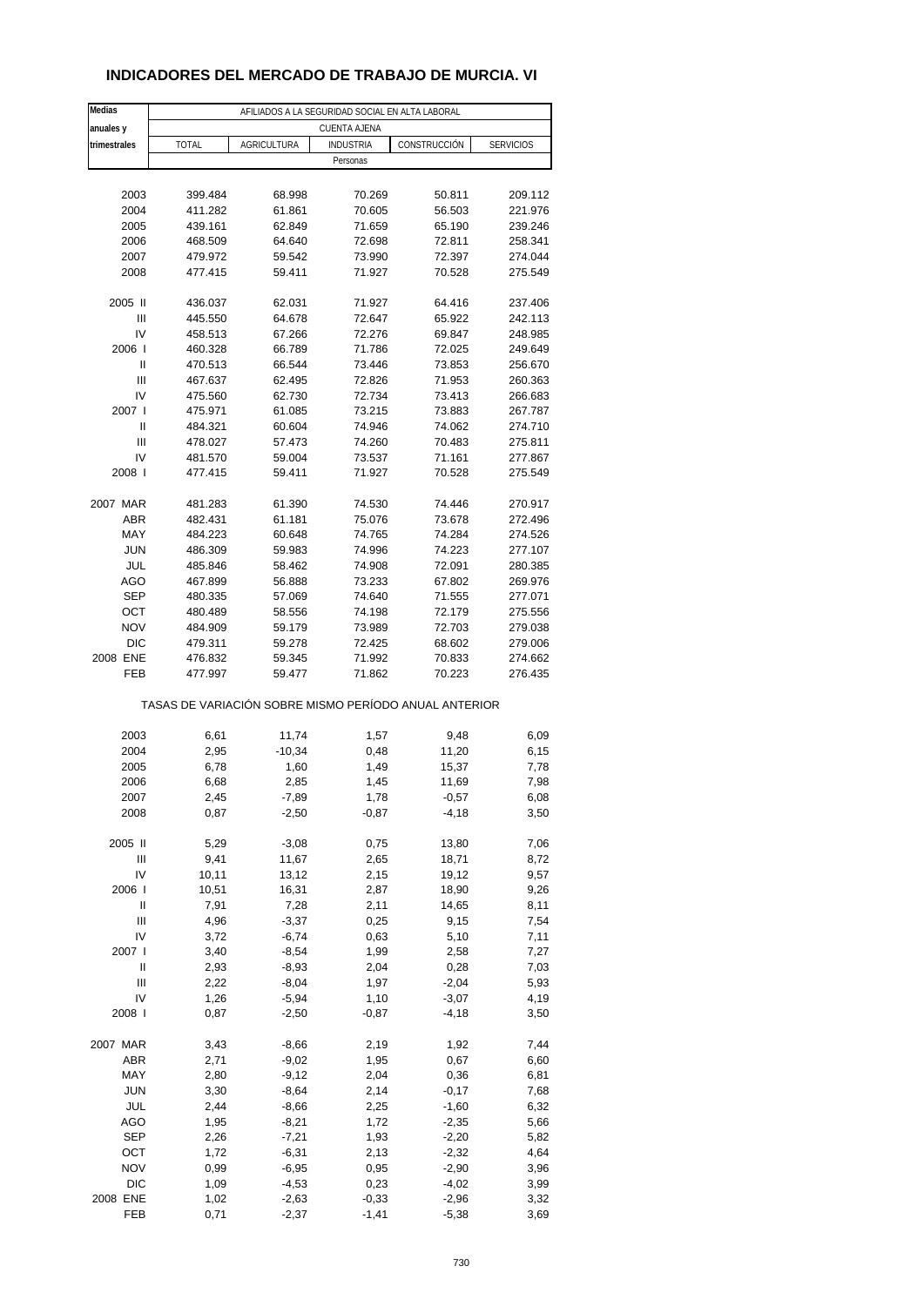## **INDICADORES DEL MERCADO DE TRABAJO DE MURCIA. VI**

| Medias         |              |                    | AFILIADOS A LA SEGURIDAD SOCIAL EN ALTA LABORAL       |              |                  |
|----------------|--------------|--------------------|-------------------------------------------------------|--------------|------------------|
| anuales y      |              |                    | CUENTA AJENA                                          |              |                  |
| trimestrales   | <b>TOTAL</b> | <b>AGRICULTURA</b> | <b>INDUSTRIA</b>                                      | CONSTRUCCIÓN | <b>SERVICIOS</b> |
|                |              |                    | Personas                                              |              |                  |
|                |              |                    |                                                       |              |                  |
| 2003           | 399.484      | 68.998             | 70.269                                                | 50.811       | 209.112          |
| 2004           | 411.282      | 61.861             | 70.605                                                | 56.503       | 221.976          |
| 2005           | 439.161      | 62.849             | 71.659                                                | 65.190       | 239.246          |
| 2006           | 468.509      | 64.640             | 72.698                                                | 72.811       | 258.341          |
| 2007           | 479.972      | 59.542             | 73.990                                                | 72.397       | 274.044          |
| 2008           | 477.415      | 59.411             | 71.927                                                | 70.528       | 275.549          |
|                |              |                    |                                                       |              |                  |
| 2005 II        | 436.037      | 62.031             | 71.927                                                | 64.416       | 237.406          |
| Ш              | 445.550      | 64.678             | 72.647                                                | 65.922       | 242.113          |
| IV             | 458.513      | 67.266             | 72.276                                                | 69.847       | 248.985          |
| 2006           | 460.328      | 66.789             | 71.786                                                | 72.025       | 249.649          |
| Ш              | 470.513      | 66.544             | 73.446                                                | 73.853       | 256.670          |
| $\mathsf{III}$ | 467.637      | 62.495             | 72.826                                                | 71.953       | 260.363          |
| IV             | 475.560      | 62.730             | 72.734                                                | 73.413       | 266.683          |
| 2007 l         | 475.971      | 61.085             | 73.215                                                | 73.883       | 267.787          |
| Ш              | 484.321      | 60.604             | 74.946                                                | 74.062       | 274.710          |
| Ш              | 478.027      | 57.473             | 74.260                                                | 70.483       | 275.811          |
| IV             | 481.570      | 59.004             | 73.537                                                | 71.161       | 277.867          |
| 2008 l         | 477.415      | 59.411             | 71.927                                                | 70.528       | 275.549          |
|                |              |                    |                                                       |              |                  |
| 2007 MAR       | 481.283      | 61.390             | 74.530                                                | 74.446       | 270.917          |
| <b>ABR</b>     | 482.431      | 61.181             | 75.076                                                | 73.678       | 272.496          |
| MAY            | 484.223      | 60.648             | 74.765                                                | 74.284       | 274.526          |
| <b>JUN</b>     | 486.309      | 59.983             | 74.996                                                | 74.223       | 277.107          |
| JUL            | 485.846      | 58.462             | 74.908                                                | 72.091       | 280.385          |
| AGO            | 467.899      | 56.888             | 73.233                                                | 67.802       | 269.976          |
| <b>SEP</b>     | 480.335      | 57.069             | 74.640                                                | 71.555       | 277.071          |
| OCT            | 480.489      | 58.556             | 74.198                                                | 72.179       | 275.556          |
| <b>NOV</b>     | 484.909      | 59.179             | 73.989                                                | 72.703       | 279.038          |
| <b>DIC</b>     | 479.311      | 59.278             | 72.425                                                | 68.602       | 279.006          |
| 2008 ENE       | 476.832      | 59.345             | 71.992                                                | 70.833       | 274.662          |
| FEB            | 477.997      | 59.477             | 71.862                                                | 70.223       | 276.435          |
|                |              |                    |                                                       |              |                  |
|                |              |                    | TASAS DE VARIACIÓN SOBRE MISMO PERÍODO ANUAL ANTERIOR |              |                  |
|                |              |                    |                                                       |              |                  |
| 2003           | 6,61         | 11,74              | 1,57                                                  | 9,48         | 6,09             |
| 2004           | 2,95         | $-10,34$           | 0,48                                                  | 11,20        | 6, 15            |
| 2005           | 6,78         | 1,60               | 1,49                                                  | 15,37        | 7,78             |
| 2006           | 6,68         | 2,85               | 1,45                                                  | 11,69        | 7,98             |
| 2007           | 2,45         | -7,89              | 1,78                                                  | $-0,57$      | 6,08             |
| 2008           | 0,87         | $-2,50$            | $-0,87$                                               | $-4,18$      | 3,50             |
|                |              |                    |                                                       |              |                  |
| 2005 II        | 5,29         | $-3,08$            | 0,75                                                  | 13,80        | 7,06             |
| Ш              | 9,41         | 11,67              | 2,65                                                  | 18,71        | 8,72             |
| IV             | 10,11        | 13,12              | 2,15                                                  | 19,12        | 9,57             |
| 2006           | 10,51        | 16,31              | 2,87                                                  | 18,90        | 9,26             |
| Ш              | 7,91         | 7,28               | 2,11                                                  | 14,65        | 8,11             |
| Ш              | 4,96         | $-3,37$            | 0,25                                                  | 9,15         | 7,54             |
| IV             | 3,72         | $-6,74$            | 0,63                                                  | 5,10         | 7,11             |
| 2007 l         | 3,40         | $-8,54$            | 1,99                                                  | 2,58         | 7,27             |
| Ш              | 2,93         | $-8,93$            | 2,04                                                  | 0,28         | 7,03             |
| Ш              | 2,22         | $-8,04$            | 1,97                                                  | $-2,04$      | 5,93             |
| IV             | 1,26         | $-5,94$            | 1,10                                                  | $-3,07$      | 4,19             |
| 2008           | 0,87         | $-2,50$            | $-0,87$                                               | -4,18        | 3,50             |
|                |              |                    |                                                       |              |                  |
| 2007 MAR       | 3,43         | $-8,66$            | 2,19                                                  | 1,92         | 7,44             |
| ABR            | 2,71         | $-9,02$            | 1,95                                                  | 0,67         | 6,60             |
| MAY            | 2,80         | $-9,12$            | 2,04                                                  | 0,36         | 6,81             |
| <b>JUN</b>     | 3,30         | $-8,64$            | 2,14                                                  | $-0,17$      | 7,68             |
| JUL            | 2,44         | $-8,66$            | 2,25                                                  | $-1,60$      | 6,32             |
| AGO            | 1,95         | $-8,21$            | 1,72                                                  | $-2,35$      | 5,66             |
| SEP            | 2,26         | $-7,21$            | 1,93                                                  | $-2,20$      | 5,82             |
| ост            | 1,72         | $-6,31$            | 2,13                                                  | $-2,32$      | 4,64             |
| <b>NOV</b>     | 0,99         | $-6,95$            | 0,95                                                  | $-2,90$      | 3,96             |
| <b>DIC</b>     | 1,09         | $-4,53$            | 0,23                                                  | $-4,02$      | 3,99             |
| 2008 ENE       | 1,02         | $-2,63$            | $-0,33$                                               | $-2,96$      | 3,32             |
| FEB            | 0,71         | $-2,37$            | $-1,41$                                               | $-5,38$      | 3,69             |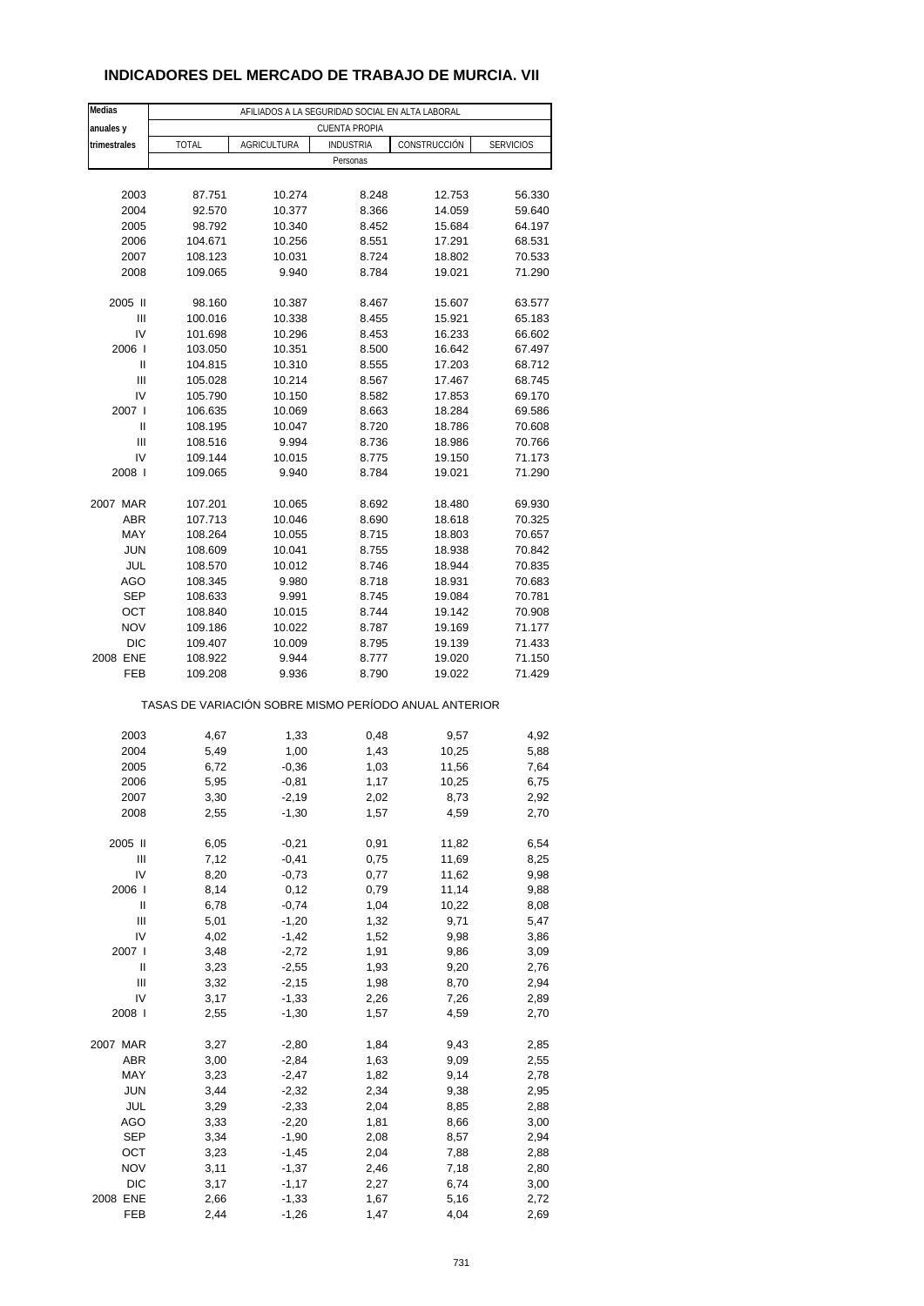## **INDICADORES DEL MERCADO DE TRABAJO DE MURCIA. VII**

| Medias                                                | AFILIADOS A LA SEGURIDAD SOCIAL EN ALTA LABORAL |                    |                      |              |                  |  |  |
|-------------------------------------------------------|-------------------------------------------------|--------------------|----------------------|--------------|------------------|--|--|
| anuales y                                             |                                                 |                    | <b>CUENTA PROPIA</b> |              |                  |  |  |
| trimestrales                                          | <b>TOTAL</b>                                    | <b>AGRICULTURA</b> | <b>INDUSTRIA</b>     | CONSTRUCCIÓN | <b>SERVICIOS</b> |  |  |
|                                                       |                                                 |                    | Personas             |              |                  |  |  |
|                                                       |                                                 |                    |                      |              |                  |  |  |
| 2003                                                  | 87.751                                          | 10.274             | 8.248                | 12.753       | 56.330           |  |  |
| 2004                                                  | 92.570                                          | 10.377             | 8.366                | 14.059       | 59.640           |  |  |
| 2005                                                  | 98.792                                          | 10.340             | 8.452                | 15.684       | 64.197           |  |  |
| 2006                                                  | 104.671                                         | 10.256             | 8.551                | 17.291       | 68.531           |  |  |
| 2007                                                  | 108.123                                         | 10.031             | 8.724                | 18.802       | 70.533           |  |  |
| 2008                                                  | 109.065                                         | 9.940              | 8.784                | 19.021       | 71.290           |  |  |
| 2005 II                                               | 98.160                                          | 10.387             | 8.467                | 15.607       | 63.577           |  |  |
| Ш                                                     | 100.016                                         | 10.338             | 8.455                | 15.921       | 65.183           |  |  |
| IV                                                    | 101.698                                         | 10.296             | 8.453                | 16.233       | 66.602           |  |  |
| 2006                                                  | 103.050                                         | 10.351             | 8.500                | 16.642       | 67.497           |  |  |
| Ш                                                     | 104.815                                         | 10.310             | 8.555                | 17.203       | 68.712           |  |  |
| Ш                                                     | 105.028                                         | 10.214             | 8.567                | 17.467       | 68.745           |  |  |
| IV                                                    | 105.790                                         | 10.150             | 8.582                | 17.853       | 69.170           |  |  |
| 2007 l                                                | 106.635                                         | 10.069             | 8.663                | 18.284       | 69.586           |  |  |
| Ш                                                     | 108.195                                         | 10.047             | 8.720                | 18.786       | 70.608           |  |  |
| Ш                                                     | 108.516                                         | 9.994              | 8.736                | 18.986       | 70.766           |  |  |
| IV                                                    | 109.144                                         | 10.015             | 8.775                | 19.150       | 71.173           |  |  |
| 2008                                                  | 109.065                                         | 9.940              | 8.784                | 19.021       | 71.290           |  |  |
| 2007 MAR                                              | 107.201                                         | 10.065             | 8.692                | 18.480       | 69.930           |  |  |
| ABR                                                   | 107.713                                         | 10.046             | 8.690                | 18.618       | 70.325           |  |  |
| MAY                                                   | 108.264                                         | 10.055             | 8.715                | 18.803       | 70.657           |  |  |
| <b>JUN</b>                                            | 108.609                                         | 10.041             | 8.755                | 18.938       | 70.842           |  |  |
| JUL                                                   | 108.570                                         | 10.012             | 8.746                | 18.944       | 70.835           |  |  |
| AGO                                                   | 108.345                                         | 9.980              | 8.718                | 18.931       | 70.683           |  |  |
| <b>SEP</b>                                            | 108.633                                         | 9.991              | 8.745                | 19.084       | 70.781           |  |  |
| OCT                                                   | 108.840                                         | 10.015             | 8.744                | 19.142       | 70.908           |  |  |
| <b>NOV</b>                                            | 109.186                                         | 10.022             | 8.787                | 19.169       | 71.177           |  |  |
| <b>DIC</b>                                            | 109.407                                         | 10.009             | 8.795                | 19.139       | 71.433           |  |  |
| 2008 ENE                                              | 108.922                                         | 9.944              | 8.777                | 19.020       | 71.150           |  |  |
| FEB                                                   | 109.208                                         | 9.936              | 8.790                | 19.022       | 71.429           |  |  |
| TASAS DE VARIACIÓN SOBRE MISMO PERÍODO ANUAL ANTERIOR |                                                 |                    |                      |              |                  |  |  |
|                                                       |                                                 |                    |                      |              |                  |  |  |
| 2003<br>2004                                          | 4,67<br>5,49                                    | 1,33               | 0,48<br>1,43         | 9,57         | 4,92             |  |  |
|                                                       |                                                 | 1,00               |                      | 10,25        | 5,88             |  |  |
| 2005<br>2006                                          | 6,72<br>5,95                                    | $-0,36$            | 1,03<br>1,17         | 11,56        | 7,64             |  |  |
|                                                       |                                                 | $-0,81$            |                      | 10,25        | 6,75             |  |  |
| 2007<br>2008                                          | 3,30<br>2,55                                    | -2,19<br>$-1,30$   | 2,02<br>1,57         | 8,73<br>4,59 | 2,92<br>2,70     |  |  |
|                                                       |                                                 |                    |                      |              |                  |  |  |
| 2005 II                                               | 6,05                                            | $-0,21$            | 0,91                 | 11,82        | 6,54             |  |  |
| Ш                                                     | 7,12                                            | $-0,41$            | 0,75                 | 11,69        | 8,25             |  |  |
| IV                                                    | 8,20                                            | $-0,73$            | 0,77                 | 11,62        | 9,98             |  |  |
| 2006                                                  | 8,14                                            | 0,12               | 0,79                 | 11,14        | 9,88             |  |  |
| Ш                                                     | 6,78                                            | $-0,74$            | 1,04                 | 10,22        | 8,08             |  |  |
| Ш                                                     | 5,01                                            | $-1,20$            | 1,32                 | 9,71         | 5,47             |  |  |
| IV                                                    | 4,02                                            | $-1,42$            | 1,52                 | 9,98         | 3,86             |  |  |
| 2007 l                                                | 3,48                                            | $-2,72$            | 1,91                 | 9,86         | 3,09             |  |  |
| Ш                                                     | 3,23                                            | $-2,55$            | 1,93                 | 9,20         | 2,76             |  |  |
| Ш                                                     | 3,32                                            | $-2,15$            | 1,98                 | 8,70         | 2,94             |  |  |
| IV                                                    | 3,17                                            | $-1,33$            | 2,26                 | 7,26         | 2,89             |  |  |
| 2008                                                  | 2,55                                            | $-1,30$            | 1,57                 | 4,59         | 2,70             |  |  |
| 2007 MAR                                              | 3,27                                            | $-2,80$            | 1,84                 | 9,43         | 2,85             |  |  |
| ABR                                                   | 3,00                                            | $-2,84$            | 1,63                 | 9,09         | 2,55             |  |  |
| MAY                                                   | 3,23                                            | $-2,47$            | 1,82                 | 9,14         | 2,78             |  |  |
| <b>JUN</b>                                            | 3,44                                            | $-2,32$            | 2,34                 | 9,38         | 2,95             |  |  |
| JUL                                                   | 3,29                                            | $-2,33$            | 2,04                 | 8,85         | 2,88             |  |  |
| AGO                                                   | 3,33                                            | $-2,20$            | 1,81                 | 8,66         | 3,00             |  |  |
| <b>SEP</b>                                            | 3,34                                            | $-1,90$            | 2,08                 | 8,57         | 2,94             |  |  |
| OCT                                                   | 3,23                                            | $-1,45$            | 2,04                 | 7,88         | 2,88             |  |  |
| <b>NOV</b>                                            | 3,11                                            | $-1,37$            | 2,46                 | 7,18         | 2,80             |  |  |
| DIC                                                   | 3,17                                            | $-1,17$            | 2,27                 | 6,74         | 3,00             |  |  |
| 2008 ENE                                              | 2,66                                            | $-1,33$            | 1,67                 | 5,16         | 2,72             |  |  |
| FEB                                                   | 2,44                                            | $-1,26$            | 1,47                 | 4,04         | 2,69             |  |  |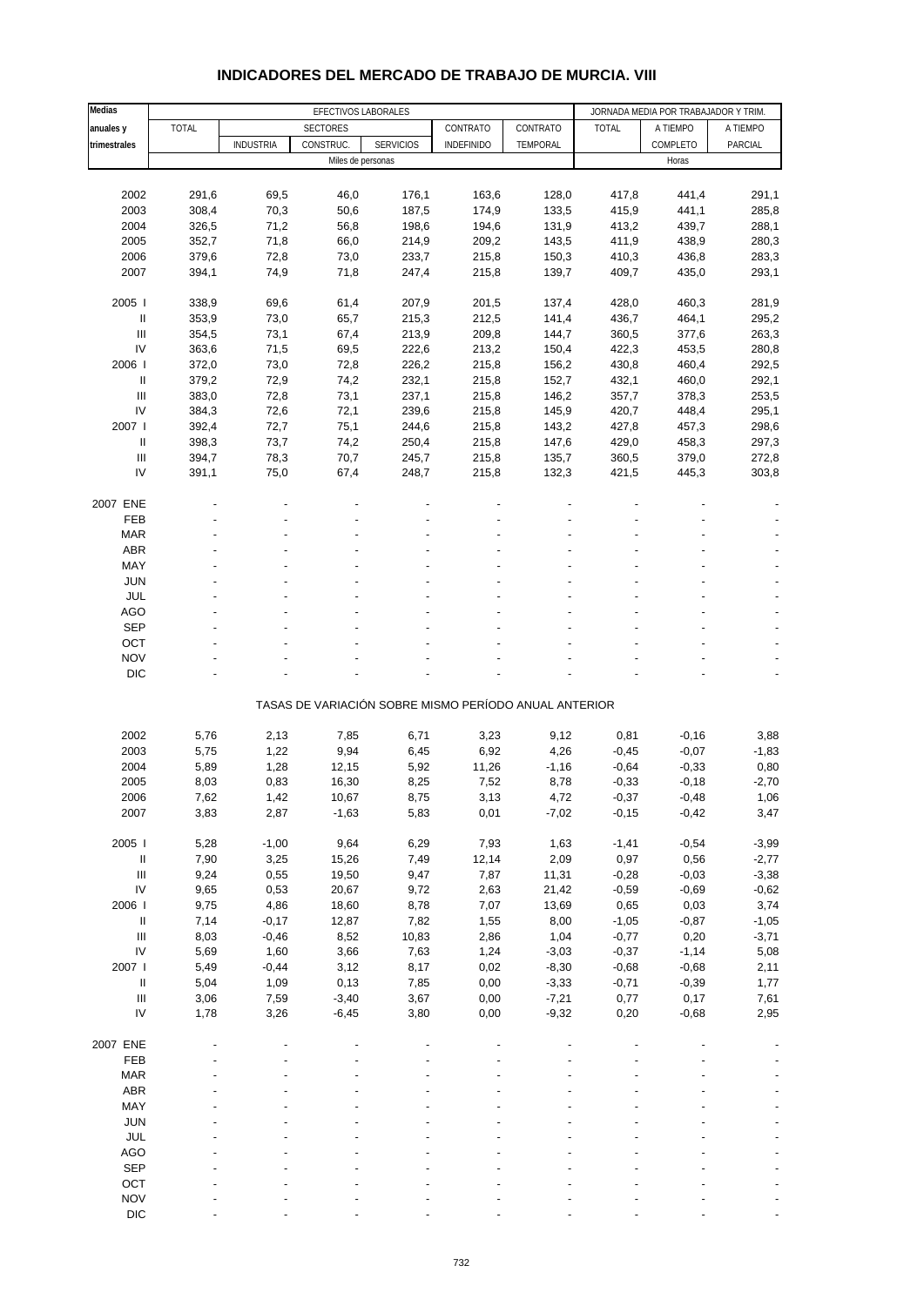| Medias                             |              |                  | EFECTIVOS LABORALES |                  |                                                       |          |              | JORNADA MEDIA POR TRABAJADOR Y TRIM |          |
|------------------------------------|--------------|------------------|---------------------|------------------|-------------------------------------------------------|----------|--------------|-------------------------------------|----------|
| anuales y                          | <b>TOTAL</b> |                  | <b>SECTORES</b>     |                  | CONTRATO                                              | CONTRATO | <b>TOTAL</b> | A TIEMPO                            | A TIEMPO |
| trimestrales                       |              | <b>INDUSTRIA</b> | CONSTRUC.           | <b>SERVICIOS</b> | <b>INDEFINIDO</b>                                     | TEMPORAL |              | COMPLETO                            | PARCIAL  |
|                                    |              |                  | Miles de personas   |                  |                                                       |          |              | Horas                               |          |
|                                    |              |                  |                     |                  |                                                       |          |              |                                     |          |
| 2002                               | 291,6        | 69,5             | 46,0                | 176,1            | 163,6                                                 | 128,0    | 417,8        | 441,4                               | 291,1    |
| 2003                               | 308,4        | 70,3             | 50,6                | 187,5            | 174,9                                                 | 133,5    | 415,9        | 441,1                               | 285,8    |
| 2004                               | 326,5        | 71,2             | 56,8                | 198,6            | 194,6                                                 | 131,9    | 413,2        | 439,7                               | 288,1    |
| 2005                               | 352,7        | 71,8             | 66,0                | 214,9            | 209,2                                                 | 143,5    | 411,9        | 438,9                               | 280,3    |
| 2006                               | 379,6        | 72,8             | 73,0                | 233,7            | 215,8                                                 | 150,3    | 410,3        | 436,8                               | 283,3    |
| 2007                               | 394,1        | 74,9             | 71,8                | 247,4            | 215,8                                                 | 139,7    | 409,7        | 435,0                               | 293,1    |
|                                    |              |                  |                     |                  |                                                       |          |              |                                     |          |
| 2005                               | 338,9        | 69,6             | 61,4                | 207,9            | 201,5                                                 | 137,4    | 428,0        | 460,3                               | 281,9    |
| Ш                                  | 353,9        | 73,0             | 65,7                | 215,3            | 212,5                                                 | 141,4    | 436,7        | 464,1                               | 295,2    |
| $\ensuremath{\mathsf{III}}\xspace$ | 354,5        | 73,1             | 67,4                | 213,9            | 209,8                                                 | 144,7    | 360,5        | 377,6                               | 263,3    |
| IV                                 | 363,6        | 71,5             | 69,5                | 222,6            | 213,2                                                 |          | 422,3        | 453,5                               | 280,8    |
| 2006                               | 372,0        | 73,0             | 72,8                | 226,2            | 215,8                                                 | 150,4    | 430,8        | 460,4                               | 292,5    |
| Ш                                  |              |                  |                     |                  |                                                       | 156,2    |              |                                     |          |
|                                    | 379,2        | 72,9             | 74,2                | 232,1            | 215,8                                                 | 152,7    | 432,1        | 460,0                               | 292,1    |
| $\ensuremath{\mathsf{III}}\xspace$ | 383,0        | 72,8             | 73,1                | 237,1            | 215,8                                                 | 146,2    | 357,7        | 378,3                               | 253,5    |
| IV                                 | 384,3        | 72,6             | 72,1                | 239,6            | 215,8                                                 | 145,9    | 420,7        | 448,4                               | 295,1    |
| 2007 l                             | 392,4        | 72,7             | 75,1                | 244,6            | 215,8                                                 | 143,2    | 427,8        | 457,3                               | 298,6    |
| $\ensuremath{\mathsf{II}}$         | 398,3        | 73,7             | 74,2                | 250,4            | 215,8                                                 | 147,6    | 429,0        | 458,3                               | 297,3    |
| Ш                                  | 394,7        | 78,3             | 70,7                | 245,7            | 215,8                                                 | 135,7    | 360,5        | 379,0                               | 272,8    |
| IV                                 | 391,1        | 75,0             | 67,4                | 248,7            | 215,8                                                 | 132,3    | 421,5        | 445,3                               | 303,8    |
|                                    |              |                  |                     |                  |                                                       |          |              |                                     |          |
| 2007 ENE                           |              |                  |                     |                  |                                                       |          |              |                                     |          |
| FEB                                |              |                  |                     |                  |                                                       |          |              |                                     |          |
| <b>MAR</b>                         |              |                  |                     |                  |                                                       |          |              |                                     |          |
| ABR                                |              |                  |                     |                  |                                                       |          |              |                                     |          |
| MAY                                |              |                  |                     |                  |                                                       |          |              |                                     |          |
| <b>JUN</b>                         |              |                  |                     |                  |                                                       |          |              |                                     |          |
| <b>JUL</b>                         |              |                  |                     |                  |                                                       |          |              |                                     |          |
| <b>AGO</b>                         |              |                  |                     |                  |                                                       |          |              |                                     |          |
| <b>SEP</b>                         |              |                  |                     |                  |                                                       |          |              |                                     |          |
| OCT                                |              |                  |                     |                  |                                                       |          |              |                                     |          |
| <b>NOV</b>                         |              |                  |                     |                  |                                                       |          |              |                                     |          |
| <b>DIC</b>                         |              |                  |                     |                  |                                                       |          |              |                                     |          |
|                                    |              |                  |                     |                  |                                                       |          |              |                                     |          |
|                                    |              |                  |                     |                  | TASAS DE VARIACIÓN SOBRE MISMO PERÍODO ANUAL ANTERIOR |          |              |                                     |          |
|                                    |              |                  |                     |                  |                                                       |          |              |                                     |          |
| 2002                               | 5,76         | 2,13             | 7,85                | 6,71             | 3,23                                                  | 9,12     | 0,81         | $-0,16$                             | 3,88     |
| 2003                               | 5,75         | 1,22             | 9,94                | 6,45             | 6,92                                                  | 4,26     | $-0,45$      | $-0,07$                             | $-1,83$  |
| 2004                               | 5,89         | 1,28             | 12,15               | 5,92             | 11,26                                                 | $-1,16$  | $-0,64$      | $-0,33$                             | 0,80     |
| 2005                               | 8,03         | 0,83             | 16,30               | 8,25             | 7,52                                                  | 8,78     | $-0,33$      | $-0,18$                             | $-2,70$  |
| 2006                               | 7,62         | 1,42             | 10,67               | 8,75             | 3,13                                                  | 4,72     | $-0,37$      | $-0,48$                             | 1,06     |
| 2007                               | 3,83         | 2,87             | $-1,63$             | 5,83             | 0,01                                                  | $-7,02$  | $-0,15$      | $-0,42$                             | 3,47     |
|                                    |              |                  |                     |                  |                                                       |          |              |                                     |          |
| 2005 l                             | 5,28         | $-1,00$          | 9,64                | 6,29             | 7,93                                                  | 1,63     | $-1,41$      | $-0,54$                             | $-3,99$  |
| $\sf II$                           | 7,90         | 3,25             | 15,26               | 7,49             | 12,14                                                 | 2,09     | 0,97         | 0,56                                | $-2,77$  |
| Ш                                  | 9,24         | 0,55             | 19,50               | 9,47             | 7,87                                                  | 11,31    | $-0,28$      | $-0,03$                             | $-3,38$  |
| IV                                 | 9,65         | 0,53             | 20,67               | 9,72             | 2,63                                                  | 21,42    | $-0,59$      | $-0,69$                             | $-0,62$  |
| 2006                               | 9,75         | 4,86             | 18,60               | 8,78             | 7,07                                                  | 13,69    | 0,65         | 0,03                                | 3,74     |
| $\sf II$                           | 7,14         | $-0,17$          | 12,87               | 7,82             | 1,55                                                  | 8,00     | $-1,05$      | $-0,87$                             | $-1,05$  |
| $\ensuremath{\mathsf{III}}\xspace$ | 8,03         | $-0,46$          | 8,52                | 10,83            | 2,86                                                  | 1,04     | $-0,77$      | 0,20                                | $-3,71$  |
| IV                                 | 5,69         | 1,60             | 3,66                | 7,63             | 1,24                                                  | $-3,03$  | $-0,37$      | $-1,14$                             | 5,08     |
| 2007                               | 5,49         | $-0,44$          | 3,12                | 8,17             | 0,02                                                  | $-8,30$  | $-0,68$      | $-0,68$                             | 2,11     |
| $\ensuremath{\mathsf{II}}$         | 5,04         | 1,09             | 0,13                | 7,85             | 0,00                                                  | $-3,33$  | $-0,71$      | $-0,39$                             | 1,77     |
| $\ensuremath{\mathsf{III}}\xspace$ | 3,06         | 7,59             | $-3,40$             | 3,67             | 0,00                                                  | $-7,21$  | 0,77         | 0,17                                | 7,61     |
| IV                                 | 1,78         | 3,26             | $-6,45$             | 3,80             | 0,00                                                  | $-9,32$  | 0,20         | $-0,68$                             | 2,95     |
|                                    |              |                  |                     |                  |                                                       |          |              |                                     |          |
| 2007 ENE                           |              |                  |                     |                  |                                                       |          |              |                                     |          |
| FEB                                |              |                  |                     |                  |                                                       |          |              |                                     |          |
| <b>MAR</b>                         |              |                  |                     |                  |                                                       |          |              |                                     |          |
| ABR                                |              |                  |                     |                  |                                                       |          |              |                                     |          |
| MAY                                |              |                  |                     |                  |                                                       |          |              |                                     |          |
| <b>JUN</b>                         |              |                  |                     |                  |                                                       |          |              |                                     |          |
| JUL                                |              |                  |                     |                  |                                                       |          |              |                                     |          |
| AGO                                |              |                  |                     |                  |                                                       |          |              |                                     |          |
| <b>SEP</b>                         |              |                  |                     |                  |                                                       |          |              |                                     |          |
| OCT                                |              |                  |                     |                  |                                                       |          |              |                                     |          |
| <b>NOV</b>                         |              |                  |                     |                  |                                                       |          |              |                                     |          |
|                                    |              |                  |                     |                  |                                                       |          |              |                                     |          |

#### **INDICADORES DEL MERCADO DE TRABAJO DE MURCIA. VIII**

DIC  $\qquad \qquad \qquad \qquad \qquad \qquad \qquad \qquad \qquad \qquad \qquad \qquad \qquad \qquad \qquad \qquad \qquad \qquad -$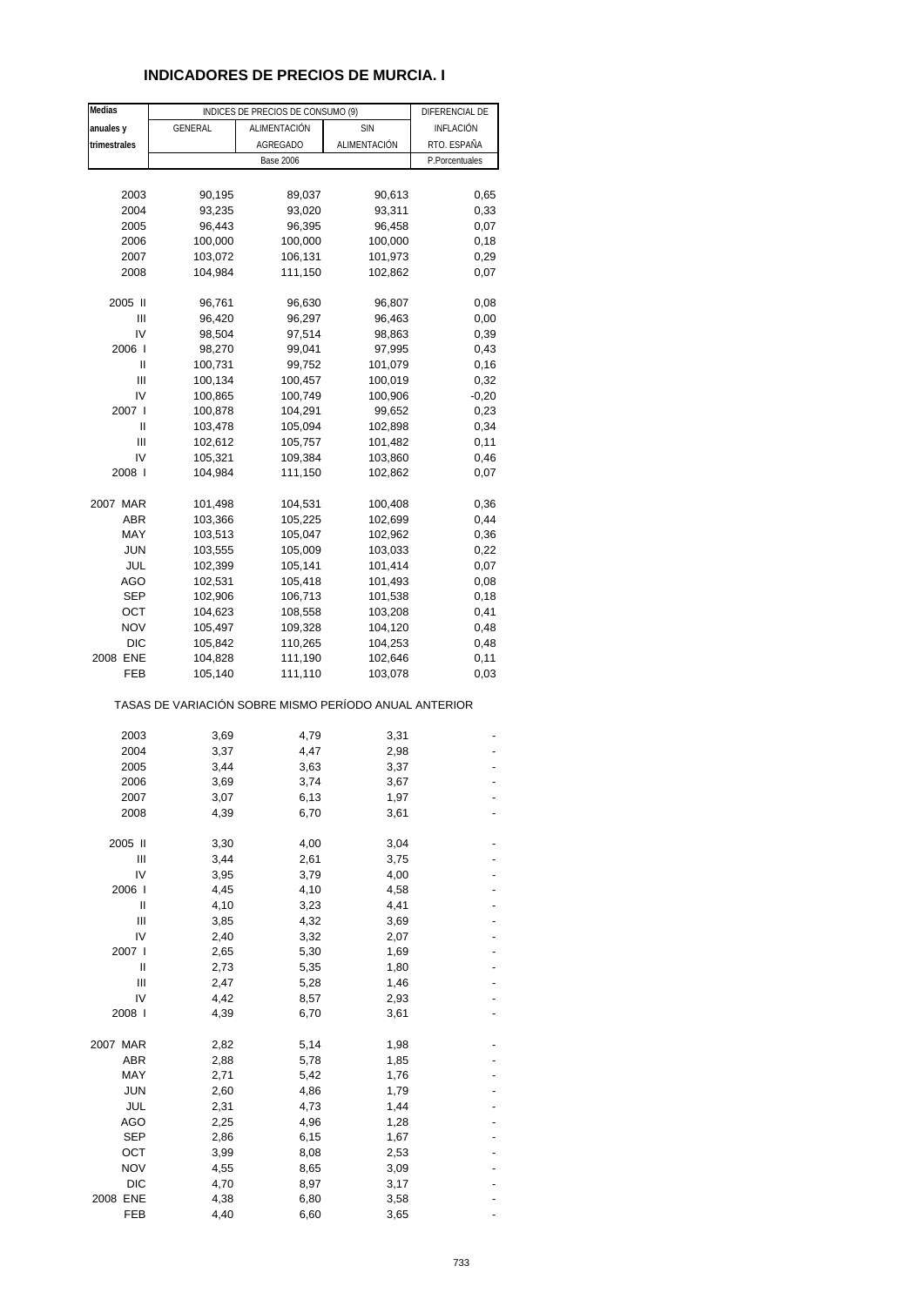## **INDICADORES DE PRECIOS DE MURCIA. I**

| Medias            |                                                       | INDICES DE PRECIOS DE CONSUMO (9) |                    | DIFERENCIAL DE |
|-------------------|-------------------------------------------------------|-----------------------------------|--------------------|----------------|
| anuales y         | GENERAL                                               | ALIMENTACIÓN                      | <b>SIN</b>         | INFLACIÓN      |
| trimestrales      |                                                       | AGREGADO                          | ALIMENTACIÓN       | RTO. ESPAÑA    |
|                   |                                                       | <b>Base 2006</b>                  |                    | P.Porcentuales |
|                   |                                                       |                                   |                    |                |
| 2003              | 90,195                                                | 89,037                            | 90,613             | 0,65           |
| 2004              | 93,235                                                | 93,020                            | 93,311             | 0,33           |
| 2005              | 96,443                                                | 96,395                            | 96,458             | 0,07           |
| 2006              | 100,000                                               | 100,000                           | 100,000            | 0,18           |
| 2007              | 103,072                                               | 106,131                           | 101,973            | 0,29           |
| 2008              | 104,984                                               | 111,150                           | 102,862            | 0,07           |
| 2005 II           | 96,761                                                | 96,630                            | 96,807             | 0,08           |
| Ш                 | 96,420                                                | 96,297                            | 96,463             | 0,00           |
| IV                | 98,504                                                | 97,514                            | 98,863             | 0,39           |
| 2006              | 98,270                                                | 99,041                            | 97,995             | 0,43           |
| Ш                 | 100,731                                               | 99,752                            | 101,079            | 0, 16          |
| Ш                 | 100,134                                               | 100,457                           | 100,019            | 0,32           |
| IV                | 100,865                                               | 100,749                           | 100,906            | $-0,20$        |
| 2007 l            | 100,878                                               | 104,291                           | 99,652             | 0,23           |
| Ш                 | 103,478                                               | 105,094                           | 102,898            | 0,34           |
| Ш                 | 102,612                                               | 105,757                           | 101,482            | 0,11           |
| IV                | 105,321                                               | 109,384                           | 103,860            | 0,46           |
| 2008 l            | 104,984                                               | 111,150                           | 102,862            | 0,07           |
|                   |                                                       |                                   |                    |                |
| 2007 MAR<br>ABR   | 101,498<br>103,366                                    | 104,531<br>105,225                | 100,408<br>102,699 | 0,36<br>0,44   |
| MAY               | 103,513                                               | 105,047                           | 102,962            | 0,36           |
| <b>JUN</b>        | 103,555                                               | 105,009                           | 103,033            | 0,22           |
| JUL               | 102,399                                               | 105,141                           | 101,414            | 0,07           |
| AGO               | 102,531                                               | 105,418                           | 101,493            | 0,08           |
| <b>SEP</b>        | 102,906                                               | 106,713                           | 101,538            | 0,18           |
| OCT               | 104,623                                               | 108,558                           | 103,208            | 0,41           |
| <b>NOV</b>        | 105,497                                               | 109,328                           | 104,120            | 0,48           |
| <b>DIC</b>        | 105,842                                               | 110,265                           | 104,253            | 0,48           |
| 2008 ENE          | 104,828                                               | 111,190                           | 102,646            | 0,11           |
| FEB               | 105,140                                               | 111,110                           | 103,078            | 0,03           |
|                   | TASAS DE VARIACIÓN SOBRE MISMO PERÍODO ANUAL ANTERIOR |                                   |                    |                |
| 2003              | 3,69                                                  | 4,79                              | 3,31               |                |
| 2004              | 3,37                                                  | 4,47                              | 2,98               |                |
| 2005              | 3,44                                                  | 3,63                              | 3,37               |                |
| 2006              | 3,69                                                  | 3,74                              | 3,67               |                |
| 2007              | 3,07                                                  | 6,13                              | 1,97               |                |
| 2008              | 4,39                                                  | 6,70                              | 3,61               |                |
|                   |                                                       |                                   |                    |                |
| 2005 II           | 3,30                                                  | 4,00                              | 3,04               |                |
| Ш                 | 3,44                                                  | 2,61                              | 3,75               |                |
| IV                | 3,95                                                  | 3,79                              | 4,00               |                |
| 2006 l<br>Ш       | 4,45<br>4,10                                          | 4,10<br>3,23                      | 4,58<br>4,41       |                |
| Ш                 | 3,85                                                  | 4,32                              | 3,69               |                |
| IV                | 2,40                                                  | 3,32                              | 2,07               |                |
| 2007 l            | 2,65                                                  | 5,30                              | 1,69               |                |
| Ш                 | 2,73                                                  | 5,35                              | 1,80               |                |
| Ш                 | 2,47                                                  | 5,28                              | 1,46               |                |
| IV                | 4,42                                                  | 8,57                              | 2,93               |                |
| 2008 l            | 4,39                                                  | 6,70                              | 3,61               |                |
|                   |                                                       |                                   |                    |                |
| 2007 MAR          | 2,82                                                  | 5,14                              | 1,98               |                |
| ABR               | 2,88                                                  | 5,78                              | 1,85               |                |
| MAY               | 2,71                                                  | 5,42                              | 1,76               |                |
| <b>JUN</b>        | 2,60                                                  | 4,86                              | 1,79               |                |
| JUL<br><b>AGO</b> | 2,31<br>2,25                                          | 4,73<br>4,96                      | 1,44<br>1,28       |                |
| <b>SEP</b>        | 2,86                                                  | 6,15                              | 1,67               |                |
| ост               | 3,99                                                  | 8,08                              | 2,53               |                |
| <b>NOV</b>        | 4,55                                                  | 8,65                              | 3,09               |                |
| <b>DIC</b>        | 4,70                                                  | 8,97                              | 3,17               |                |
| 2008 ENE          | 4,38                                                  | 6,80                              | 3,58               |                |
| FEB               | 4,40                                                  | 6,60                              | 3,65               |                |
|                   |                                                       |                                   |                    |                |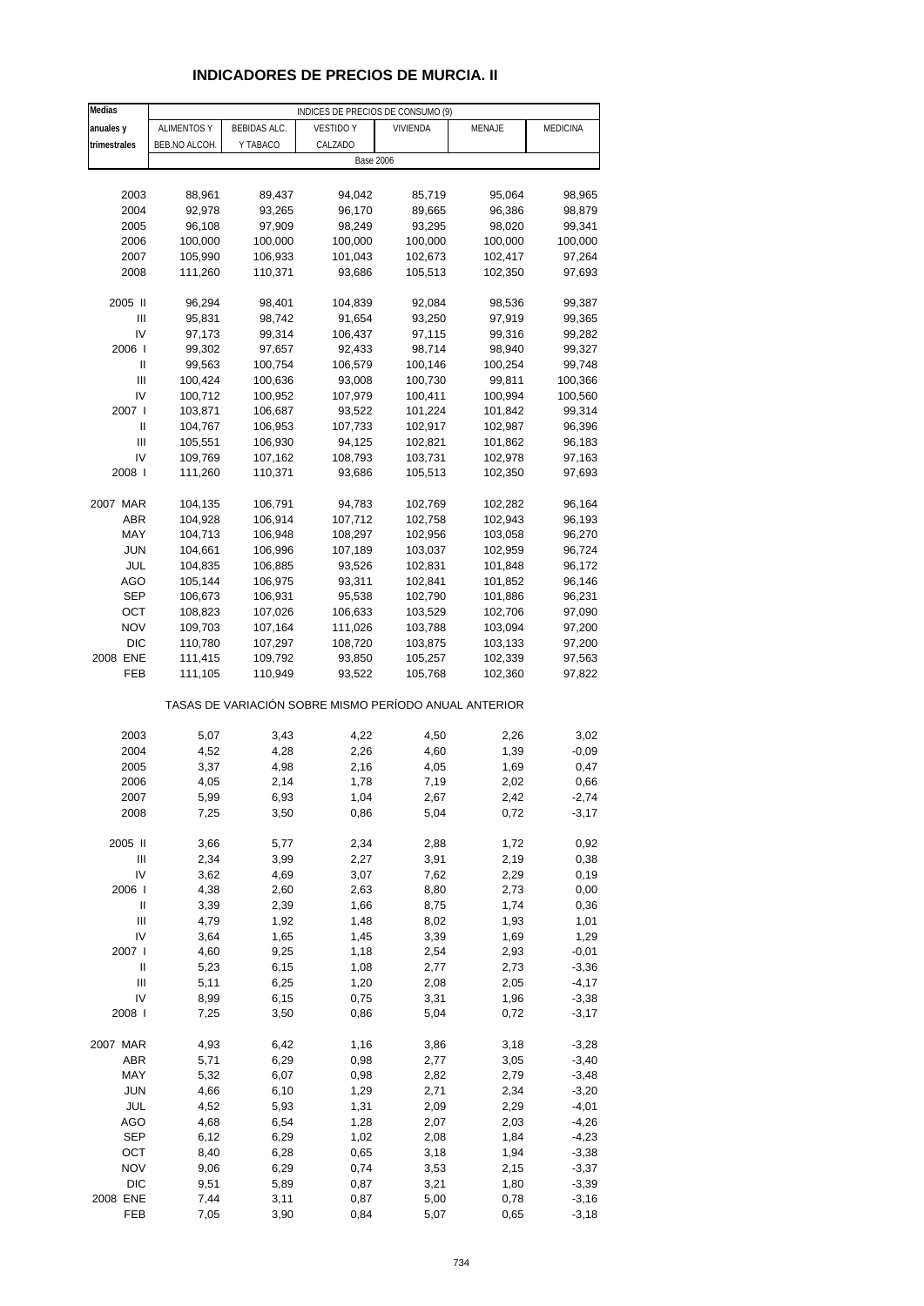# **INDICADORES DE PRECIOS DE MURCIA. II**

| Medias         | INDICES DE PRECIOS DE CONSUMO (9) |              |                                                       |          |         |          |
|----------------|-----------------------------------|--------------|-------------------------------------------------------|----------|---------|----------|
| anuales y      | <b>ALIMENTOS Y</b>                | BEBIDAS ALC. | <b>VESTIDO Y</b>                                      | VIVIENDA | MENAJE  | MEDICINA |
| trimestrales   | BEB.NO ALCOH.                     | Y TABACO     | CALZADO                                               |          |         |          |
|                |                                   |              | <b>Base 2006</b>                                      |          |         |          |
|                |                                   |              |                                                       |          |         |          |
| 2003           | 88,961                            | 89,437       | 94,042                                                | 85,719   | 95,064  | 98,965   |
| 2004           | 92,978                            | 93,265       | 96,170                                                | 89,665   | 96,386  | 98,879   |
| 2005           | 96,108                            | 97,909       | 98,249                                                | 93,295   | 98,020  | 99,341   |
| 2006           | 100,000                           | 100,000      | 100,000                                               | 100,000  | 100,000 | 100,000  |
| 2007           | 105,990                           | 106,933      | 101,043                                               | 102,673  | 102,417 | 97,264   |
| 2008           | 111,260                           | 110,371      | 93,686                                                |          | 102,350 | 97,693   |
|                |                                   |              |                                                       | 105,513  |         |          |
| 2005 II        | 96,294                            | 98,401       | 104,839                                               | 92,084   | 98,536  | 99,387   |
| Ш              | 95,831                            | 98,742       | 91,654                                                | 93,250   | 97,919  | 99,365   |
| IV             | 97,173                            | 99,314       | 106,437                                               | 97,115   | 99,316  | 99,282   |
| 2006           | 99,302                            | 97,657       | 92,433                                                | 98,714   | 98,940  | 99,327   |
| Ш              | 99,563                            | 100,754      | 106,579                                               | 100,146  | 100,254 | 99,748   |
| $\mathbf{III}$ | 100,424                           | 100,636      | 93,008                                                | 100,730  | 99,811  | 100,366  |
| IV             | 100,712                           | 100,952      | 107,979                                               | 100,411  | 100,994 | 100,560  |
| 2007 l         |                                   |              |                                                       | 101,224  |         |          |
|                | 103,871                           | 106,687      | 93,522                                                |          | 101,842 | 99,314   |
| Ш<br>Ш         | 104,767                           | 106,953      | 107,733                                               | 102,917  | 102,987 | 96,396   |
| IV             | 105,551                           | 106,930      | 94,125                                                | 102,821  | 101,862 | 96,183   |
|                | 109,769                           | 107,162      | 108,793                                               | 103,731  | 102,978 | 97,163   |
| 2008           | 111,260                           | 110,371      | 93,686                                                | 105,513  | 102,350 | 97,693   |
|                |                                   |              |                                                       |          |         |          |
| 2007 MAR       | 104,135                           | 106,791      | 94,783                                                | 102,769  | 102,282 | 96,164   |
| ABR            | 104,928                           | 106,914      | 107,712                                               | 102,758  | 102,943 | 96,193   |
| MAY            | 104,713                           | 106,948      | 108,297                                               | 102,956  | 103,058 | 96,270   |
| JUN            | 104,661                           | 106,996      | 107,189                                               | 103,037  | 102,959 | 96,724   |
| <b>JUL</b>     | 104,835                           | 106,885      | 93,526                                                | 102,831  | 101,848 | 96,172   |
| <b>AGO</b>     | 105,144                           | 106,975      | 93,311                                                | 102,841  | 101,852 | 96,146   |
| <b>SEP</b>     | 106,673                           | 106,931      | 95,538                                                | 102,790  | 101,886 | 96,231   |
| OCT            | 108,823                           | 107,026      | 106,633                                               | 103,529  | 102,706 | 97,090   |
| <b>NOV</b>     | 109,703                           | 107,164      | 111,026                                               | 103,788  | 103,094 | 97,200   |
| <b>DIC</b>     | 110,780                           | 107,297      | 108,720                                               | 103,875  | 103,133 | 97,200   |
| 2008 ENE       | 111,415                           | 109,792      | 93,850                                                | 105,257  | 102,339 | 97,563   |
| FEB            | 111,105                           | 110,949      | 93,522                                                | 105,768  | 102,360 | 97,822   |
|                |                                   |              | TASAS DE VARIACIÓN SOBRE MISMO PERÍODO ANUAL ANTERIOR |          |         |          |
|                |                                   |              |                                                       |          |         |          |
| 2003           | 5,07                              | 3,43         | 4,22                                                  | 4,50     | 2,26    | 3,02     |
| 2004           | 4,52                              | 4,28         | 2,26                                                  | 4,60     | 1,39    | -0,09    |
| 2005           | 3,37                              | 4,98         | 2,16                                                  | 4,05     | 1,69    | 0,47     |
| 2006           | 4,05                              | 2,14         | 1,78                                                  | 7,19     | 2,02    | 0,66     |
| 2007           | 5,99                              | 6,93         | 1,04                                                  | 2,67     | 2,42    | $-2,74$  |
| 2008           | 7,25                              | 3,50         | 0,86                                                  | 5,04     | 0,72    | $-3,17$  |
| 2005 II        | 3,66                              | 5,77         | 2,34                                                  | 2,88     | 1,72    | 0,92     |
| $\mathsf{III}$ | 2,34                              | 3,99         | 2,27                                                  | 3,91     | 2,19    | 0,38     |
| IV             | 3,62                              | 4,69         | 3,07                                                  | 7,62     | 2,29    | 0, 19    |
| 2006           | 4,38                              | 2,60         | 2,63                                                  | 8,80     | 2,73    | 0,00     |
| $\sf II$       | 3,39                              | 2,39         | 1,66                                                  | 8,75     | 1,74    | 0,36     |
| Ш              | 4,79                              | 1,92         | 1,48                                                  | 8,02     | 1,93    | 1,01     |
| IV             | 3,64                              | 1,65         | 1,45                                                  | 3,39     | 1,69    | 1,29     |
| 2007 l         | 4,60                              | 9,25         | 1,18                                                  | 2,54     | 2,93    | $-0,01$  |
| Ш              | 5,23                              | 6, 15        | 1,08                                                  | 2,77     | 2,73    | $-3,36$  |
| $\mathsf{III}$ | 5,11                              | 6,25         | 1,20                                                  | 2,08     | 2,05    | $-4,17$  |
| IV             | 8,99                              | 6, 15        | 0,75                                                  | 3,31     | 1,96    | $-3,38$  |
| 2008 l         | 7,25                              | 3,50         | 0,86                                                  | 5,04     | 0,72    | $-3,17$  |
| 2007 MAR       | 4,93                              | 6,42         | 1,16                                                  | 3,86     | 3,18    | $-3,28$  |
| ABR            | 5,71                              | 6,29         | 0,98                                                  | 2,77     | 3,05    | $-3,40$  |
| MAY            | 5,32                              | 6,07         | 0,98                                                  | 2,82     | 2,79    | $-3,48$  |
| <b>JUN</b>     | 4,66                              | 6, 10        | 1,29                                                  | 2,71     | 2,34    | $-3,20$  |
| JUL            | 4,52                              | 5,93         | 1,31                                                  | 2,09     | 2,29    | $-4,01$  |
| <b>AGO</b>     | 4,68                              | 6,54         | 1,28                                                  | 2,07     | 2,03    | $-4,26$  |
| <b>SEP</b>     | 6, 12                             | 6,29         | 1,02                                                  | 2,08     | 1,84    | $-4,23$  |
| OCT            | 8,40                              | 6,28         | 0,65                                                  | 3,18     | 1,94    | $-3,38$  |
| <b>NOV</b>     | 9,06                              | 6,29         | 0,74                                                  | 3,53     | 2,15    | $-3,37$  |
| <b>DIC</b>     | 9,51                              | 5,89         | 0,87                                                  | 3,21     | 1,80    | $-3,39$  |
| 2008 ENE       | 7,44                              | 3,11         | 0,87                                                  | 5,00     | 0,78    | $-3,16$  |
| FEB            | 7,05                              | 3,90         | 0,84                                                  | 5,07     | 0,65    | $-3,18$  |
|                |                                   |              |                                                       |          |         |          |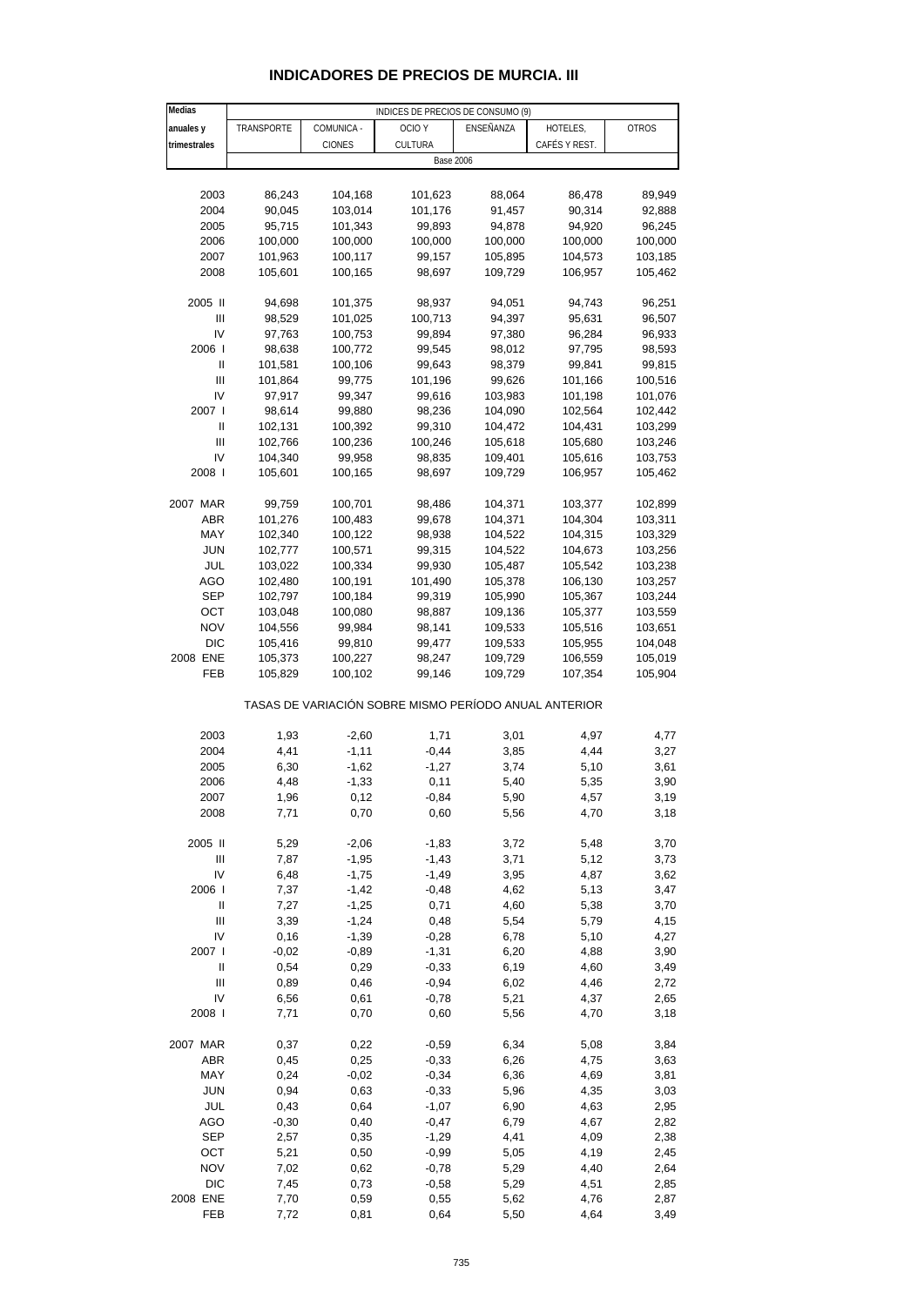| <b>INDICADORES DE PRECIOS DE MURCIA. III</b> |  |
|----------------------------------------------|--|
|----------------------------------------------|--|

| Medias                                  |                                                       |                    | INDICES DE PRECIOS DE CONSUMO (9) |                  |                    |                  |  |  |
|-----------------------------------------|-------------------------------------------------------|--------------------|-----------------------------------|------------------|--------------------|------------------|--|--|
| anuales y                               | TRANSPORTE                                            | COMUNICA -         | OCIO Y                            | ENSEÑANZA        | HOTELES,           | <b>OTROS</b>     |  |  |
| trimestrales                            |                                                       | CIONES             | CULTURA                           |                  | CAFÉS Y REST.      |                  |  |  |
|                                         |                                                       |                    | <b>Base 2006</b>                  |                  |                    |                  |  |  |
|                                         |                                                       |                    |                                   |                  |                    |                  |  |  |
|                                         |                                                       |                    |                                   |                  |                    |                  |  |  |
| 2003<br>2004                            | 86,243                                                | 104,168            | 101,623                           | 88,064           | 86,478<br>90,314   | 89,949           |  |  |
| 2005                                    | 90,045<br>95,715                                      | 103,014<br>101,343 | 101,176<br>99,893                 | 91,457<br>94,878 | 94,920             | 92,888<br>96,245 |  |  |
|                                         |                                                       |                    |                                   |                  |                    |                  |  |  |
| 2006<br>2007                            | 100,000<br>101,963                                    | 100,000            | 100,000                           | 100,000          | 100,000<br>104,573 | 100,000          |  |  |
|                                         |                                                       | 100,117            | 99,157                            | 105,895          |                    | 103,185          |  |  |
| 2008                                    | 105,601                                               | 100,165            | 98,697                            | 109,729          | 106,957            | 105,462          |  |  |
| 2005 II                                 | 94,698                                                | 101,375            | 98,937                            | 94,051           | 94,743             | 96,251           |  |  |
| Ш                                       | 98,529                                                | 101,025            | 100,713                           | 94,397           | 95,631             | 96,507           |  |  |
| IV                                      | 97,763                                                | 100,753            | 99,894                            | 97,380           | 96,284             | 96,933           |  |  |
| 2006                                    | 98,638                                                | 100,772            | 99,545                            | 98,012           | 97,795             | 98,593           |  |  |
| $\mathbf{II}$                           | 101,581                                               | 100,106            | 99,643                            | 98,379           | 99,841             | 99,815           |  |  |
| $\mathbf{III}$                          |                                                       | 99,775             |                                   |                  |                    |                  |  |  |
| IV                                      | 101,864                                               |                    | 101,196                           | 99,626           | 101,166            | 100,516          |  |  |
| 2007 l                                  | 97,917                                                | 99,347             | 99,616                            | 103,983          | 101,198            | 101,076          |  |  |
|                                         | 98,614                                                | 99,880             | 98,236                            | 104,090          | 102,564            | 102,442          |  |  |
| Ш                                       | 102,131                                               | 100,392            | 99,310                            | 104,472          | 104,431            | 103,299          |  |  |
| Ш                                       | 102,766                                               | 100,236            | 100,246                           | 105,618          | 105,680            | 103,246          |  |  |
| IV                                      | 104,340                                               | 99,958             | 98,835                            | 109,401          | 105,616            | 103,753          |  |  |
| 2008                                    | 105,601                                               | 100,165            | 98,697                            | 109,729          | 106,957            | 105,462          |  |  |
|                                         |                                                       |                    |                                   |                  |                    |                  |  |  |
| 2007 MAR                                | 99,759                                                | 100,701            | 98,486                            | 104,371          | 103,377            | 102,899          |  |  |
| ABR                                     | 101,276                                               | 100,483            | 99,678                            | 104,371          | 104,304            | 103,311          |  |  |
| MAY                                     | 102,340                                               | 100,122            | 98,938                            | 104,522          | 104,315            | 103,329          |  |  |
| <b>JUN</b>                              | 102,777                                               | 100,571            | 99,315                            | 104,522          | 104,673            | 103,256          |  |  |
| JUL                                     | 103,022                                               | 100,334            | 99,930                            | 105,487          | 105,542            | 103,238          |  |  |
| <b>AGO</b>                              | 102,480                                               | 100,191            | 101,490                           | 105,378          | 106,130            | 103,257          |  |  |
| SEP                                     | 102,797                                               | 100,184            | 99,319                            | 105,990          | 105,367            | 103,244          |  |  |
| OCT                                     | 103,048                                               | 100,080            | 98,887                            | 109,136          | 105,377            | 103,559          |  |  |
| <b>NOV</b>                              | 104,556                                               | 99,984             | 98,141                            | 109,533          | 105,516            | 103,651          |  |  |
| <b>DIC</b>                              | 105,416                                               | 99,810             | 99,477                            | 109,533          | 105,955            | 104,048          |  |  |
| 2008 ENE                                | 105,373                                               | 100,227            | 98,247                            | 109,729          | 106,559            | 105,019          |  |  |
| FEB                                     | 105,829                                               | 100,102            | 99,146                            | 109,729          | 107,354            | 105,904          |  |  |
|                                         | TASAS DE VARIACIÓN SOBRE MISMO PERÍODO ANUAL ANTERIOR |                    |                                   |                  |                    |                  |  |  |
| 2003                                    | 1,93                                                  |                    | 1,71                              | 3,01             | 4,97               | 4,77             |  |  |
|                                         |                                                       | $-2,60$            |                                   |                  |                    |                  |  |  |
| 2004                                    | 4,41                                                  | $-1, 11$           | $-0,44$                           | 3,85             | 4,44               | 3,27             |  |  |
| 2005                                    | 6,30                                                  | $-1,62$            | $-1,27$                           | 3,74             | 5,10               | 3,61             |  |  |
| 2006                                    | 4,48                                                  | $-1,33$            | 0,11                              | 5,40             | 5,35               | 3,90             |  |  |
| 2007                                    | 1,96                                                  | 0,12               | $-0,84$                           | 5,90             | 4,57               | 3,19             |  |  |
| 2008                                    | 7,71                                                  | 0,70               | 0,60                              | 5,56             | 4,70               | 3,18             |  |  |
| 2005 II                                 | 5,29                                                  | $-2,06$            | $-1,83$                           | 3,72             | 5,48               | 3,70             |  |  |
| $\ensuremath{\mathsf{III}}\xspace$      | 7,87                                                  | $-1,95$            | $-1,43$                           | 3,71             | 5,12               | 3,73             |  |  |
| IV                                      | 6,48                                                  | $-1,75$            | $-1,49$                           | 3,95             | 4,87               | 3,62             |  |  |
| 2006 l                                  | 7,37                                                  | $-1,42$            | $-0,48$                           | 4,62             | 5,13               | 3,47             |  |  |
| Ш                                       | 7,27                                                  | $-1,25$            | 0,71                              | 4,60             | 5,38               | 3,70             |  |  |
| Ш                                       | 3,39                                                  | $-1,24$            | 0,48                              | 5,54             | 5,79               | 4,15             |  |  |
| IV                                      | 0, 16                                                 | $-1,39$            | $-0,28$                           | 6,78             | 5,10               | 4,27             |  |  |
| 2007 l                                  | $-0,02$                                               | $-0,89$            | $-1,31$                           | 6,20             | 4,88               | 3,90             |  |  |
|                                         |                                                       |                    |                                   |                  |                    |                  |  |  |
| Ш<br>$\ensuremath{\mathsf{III}}\xspace$ | 0,54                                                  | 0,29               | $-0,33$                           | 6,19             | 4,60               | 3,49             |  |  |
|                                         | 0,89                                                  | 0,46               | $-0,94$                           | 6,02             | 4,46               | 2,72             |  |  |
| IV                                      | 6,56                                                  | 0,61               | $-0,78$                           | 5,21             | 4,37               | 2,65             |  |  |
| 2008                                    | 7,71                                                  | 0,70               | 0,60                              | 5,56             | 4,70               | 3,18             |  |  |
| 2007 MAR                                | 0,37                                                  | 0,22               | $-0,59$                           | 6,34             | 5,08               | 3,84             |  |  |
| ABR                                     | 0,45                                                  | 0,25               | $-0,33$                           | 6,26             | 4,75               | 3,63             |  |  |
| MAY                                     | 0,24                                                  | $-0,02$            | $-0,34$                           | 6,36             | 4,69               | 3,81             |  |  |
|                                         |                                                       |                    |                                   |                  |                    |                  |  |  |
| <b>JUN</b>                              | 0,94                                                  | 0,63               | $-0,33$                           | 5,96             | 4,35               | 3,03             |  |  |
| JUL                                     | 0,43                                                  | 0,64               | $-1,07$                           | 6,90             | 4,63               | 2,95             |  |  |
| AGO                                     | $-0,30$                                               | 0,40               | $-0,47$                           | 6,79             | 4,67               | 2,82             |  |  |
| <b>SEP</b>                              | 2,57                                                  | 0,35               | $-1,29$                           | 4,41             | 4,09               | 2,38             |  |  |
| OCT                                     | 5,21                                                  | 0,50               | $-0,99$                           | 5,05             | 4,19               | 2,45             |  |  |
| <b>NOV</b>                              | 7,02                                                  | 0,62               | $-0,78$                           | 5,29             | 4,40               | 2,64             |  |  |
| DIC                                     | 7,45                                                  | 0,73               | $-0,58$                           | 5,29             | 4,51               | 2,85             |  |  |
| 2008 ENE                                | 7,70                                                  | 0,59               | 0,55                              | 5,62             | 4,76               | 2,87             |  |  |
| FEB                                     | 7,72                                                  | 0,81               | 0,64                              | 5,50             | 4,64               | 3,49             |  |  |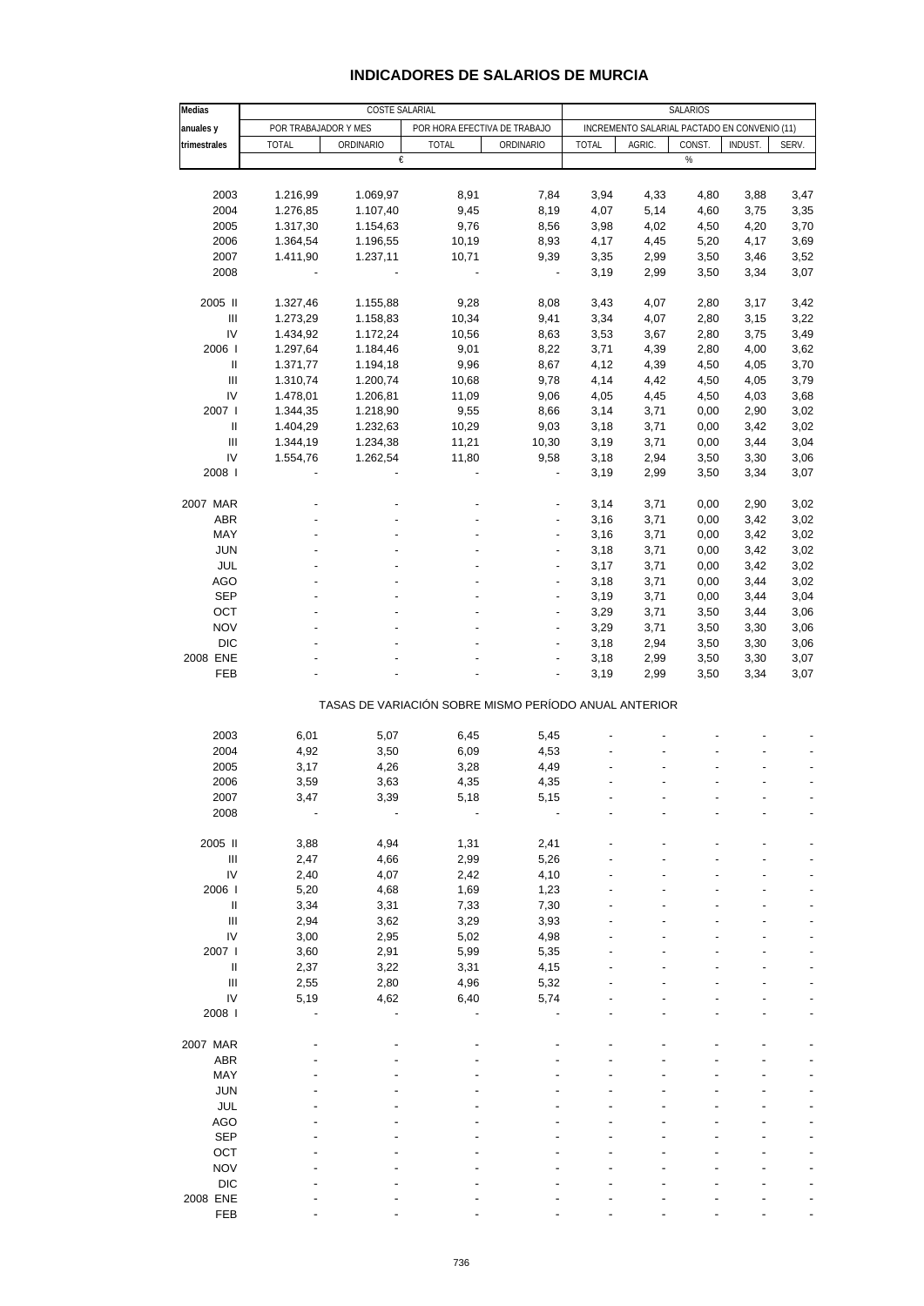| Medias                             | COSTE SALARIAL       |           |                              |                                                       |                                              | SALARIOS |        |         |       |  |  |
|------------------------------------|----------------------|-----------|------------------------------|-------------------------------------------------------|----------------------------------------------|----------|--------|---------|-------|--|--|
| anuales y                          | POR TRABAJADOR Y MES |           | POR HORA EFECTIVA DE TRABAJO |                                                       | INCREMENTO SALARIAL PACTADO EN CONVENIO (11) |          |        |         |       |  |  |
| trimestrales                       | <b>TOTAL</b>         | ORDINARIO | <b>TOTAL</b>                 | ORDINARIO                                             | <b>TOTAL</b>                                 | AGRIC.   | CONST. | INDUST. | SERV. |  |  |
|                                    |                      | €         |                              |                                                       |                                              |          | %      |         |       |  |  |
|                                    |                      |           |                              |                                                       |                                              |          |        |         |       |  |  |
| 2003                               | 1.216,99             | 1.069,97  | 8,91                         | 7,84                                                  | 3,94                                         | 4,33     | 4,80   | 3,88    | 3,47  |  |  |
| 2004                               | 1.276,85             | 1.107,40  | 9,45                         | 8,19                                                  | 4,07                                         | 5,14     | 4,60   | 3,75    | 3,35  |  |  |
| 2005                               | 1.317,30             | 1.154,63  | 9,76                         | 8,56                                                  | 3,98                                         | 4,02     | 4,50   | 4,20    | 3,70  |  |  |
| 2006                               | 1.364,54             | 1.196,55  | 10,19                        | 8,93                                                  | 4,17                                         | 4,45     | 5,20   | 4,17    | 3,69  |  |  |
| 2007                               | 1.411,90             | 1.237,11  | 10,71                        | 9,39                                                  | 3,35                                         | 2,99     | 3,50   | 3,46    | 3,52  |  |  |
| 2008                               |                      |           | $\overline{\phantom{a}}$     | $\overline{\phantom{a}}$                              | 3,19                                         | 2,99     | 3,50   | 3,34    | 3,07  |  |  |
| 2005 II                            | 1.327,46             | 1.155,88  | 9,28                         | 8,08                                                  | 3,43                                         | 4,07     | 2,80   | 3,17    | 3,42  |  |  |
| Ш                                  | 1.273,29             | 1.158,83  | 10,34                        | 9,41                                                  | 3,34                                         | 4,07     | 2,80   | 3,15    | 3,22  |  |  |
| IV                                 | 1.434,92             | 1.172,24  | 10,56                        | 8,63                                                  | 3,53                                         | 3,67     | 2,80   | 3,75    | 3,49  |  |  |
| 2006                               | 1.297,64             | 1.184,46  | 9,01                         | 8,22                                                  | 3,71                                         | 4,39     | 2,80   | 4,00    | 3,62  |  |  |
| $\ensuremath{\mathsf{II}}$         | 1.371,77             | 1.194,18  | 9,96                         | 8,67                                                  | 4,12                                         | 4,39     | 4,50   | 4,05    | 3,70  |  |  |
| $\ensuremath{\mathsf{III}}\xspace$ | 1.310,74             | 1.200,74  | 10,68                        | 9,78                                                  | 4,14                                         | 4,42     | 4,50   | 4,05    | 3,79  |  |  |
| IV                                 | 1.478,01             | 1.206,81  | 11,09                        | 9,06                                                  | 4,05                                         | 4,45     | 4,50   | 4,03    | 3,68  |  |  |
| 2007                               | 1.344,35             | 1.218,90  | 9,55                         | 8,66                                                  | 3,14                                         | 3,71     | 0,00   | 2,90    | 3,02  |  |  |
|                                    | 1.404,29             |           |                              |                                                       |                                              |          |        |         |       |  |  |
| Ш                                  |                      | 1.232,63  | 10,29                        | 9,03                                                  | 3,18                                         | 3,71     | 0,00   | 3,42    | 3,02  |  |  |
| Ш                                  | 1.344,19             | 1.234,38  | 11,21                        | 10,30                                                 | 3,19                                         | 3,71     | 0,00   | 3,44    | 3,04  |  |  |
| IV                                 | 1.554,76             | 1.262,54  | 11,80                        | 9,58                                                  | 3,18                                         | 2,94     | 3,50   | 3,30    | 3,06  |  |  |
| 2008                               |                      |           | ÷,                           |                                                       | 3,19                                         | 2,99     | 3,50   | 3,34    | 3,07  |  |  |
| 2007 MAR                           |                      |           |                              | ٠                                                     | 3,14                                         | 3,71     | 0,00   | 2,90    | 3,02  |  |  |
| <b>ABR</b>                         |                      |           |                              |                                                       | 3,16                                         | 3,71     | 0,00   | 3,42    | 3,02  |  |  |
| MAY                                |                      |           |                              | ٠                                                     | 3,16                                         | 3,71     | 0,00   | 3,42    | 3,02  |  |  |
| <b>JUN</b>                         |                      |           |                              | $\overline{\phantom{0}}$                              | 3,18                                         | 3,71     | 0,00   | 3,42    | 3,02  |  |  |
| JUL                                |                      |           |                              |                                                       | 3,17                                         | 3,71     | 0,00   | 3,42    | 3,02  |  |  |
| <b>AGO</b>                         |                      |           |                              | $\overline{a}$                                        | 3,18                                         | 3,71     | 0,00   | 3,44    | 3,02  |  |  |
| <b>SEP</b>                         |                      |           |                              | $\overline{\phantom{a}}$                              | 3,19                                         | 3,71     | 0,00   | 3,44    | 3,04  |  |  |
| OCT                                |                      |           |                              |                                                       | 3,29                                         | 3,71     | 3,50   | 3,44    | 3,06  |  |  |
| <b>NOV</b>                         |                      |           |                              | $\overline{a}$                                        | 3,29                                         | 3,71     | 3,50   | 3,30    | 3,06  |  |  |
| <b>DIC</b>                         |                      |           |                              |                                                       | 3,18                                         | 2,94     | 3,50   | 3,30    | 3,06  |  |  |
| 2008 ENE                           |                      |           |                              |                                                       | 3,18                                         | 2,99     | 3,50   | 3,30    | 3,07  |  |  |
| FEB                                |                      |           |                              | $\overline{a}$                                        | 3,19                                         | 2,99     | 3,50   | 3,34    | 3,07  |  |  |
|                                    |                      |           |                              | TASAS DE VARIACIÓN SOBRE MISMO PERÍODO ANUAL ANTERIOR |                                              |          |        |         |       |  |  |
|                                    |                      |           |                              |                                                       |                                              |          |        |         |       |  |  |
| 2003                               | 6,01                 | 5,07      | 6,45                         | 5,45                                                  |                                              |          |        |         |       |  |  |
| 2004                               | 4,92                 | 3,50      | 6,09                         | 4,53                                                  |                                              |          |        |         |       |  |  |
| 2005                               | 3,17                 | 4,26      | 3,28                         | 4,49                                                  |                                              |          |        |         |       |  |  |
| 2006                               | 3,59                 | 3,63      | 4,35                         | 4,35                                                  |                                              |          |        |         |       |  |  |
| 2007                               | 3,47                 | 3,39      | 5,18                         | 5,15                                                  |                                              |          |        |         |       |  |  |
| 2008                               |                      |           |                              |                                                       |                                              |          |        |         |       |  |  |
| 2005 II                            | 3,88                 | 4,94      | 1,31                         | 2,41                                                  |                                              |          |        |         |       |  |  |
| Ш                                  | 2,47                 | 4,66      | 2,99                         | 5,26                                                  |                                              |          |        |         |       |  |  |
| IV                                 | 2,40                 | 4,07      | 2,42                         | 4,10                                                  |                                              |          |        |         |       |  |  |
| 2006                               | 5,20                 | 4,68      | 1,69                         | 1,23                                                  |                                              |          |        |         |       |  |  |
| Ш                                  | 3,34                 | 3,31      | 7,33                         | 7,30                                                  |                                              |          |        |         |       |  |  |
| Ш                                  | 2,94                 | 3,62      | 3,29                         | 3,93                                                  |                                              |          |        |         |       |  |  |
| IV                                 | 3,00                 | 2,95      | 5,02                         | 4,98                                                  |                                              |          |        |         |       |  |  |
| 2007                               | 3,60                 | 2,91      | 5,99                         | 5,35                                                  |                                              |          |        |         |       |  |  |
| Ш                                  | 2,37                 | 3,22      | 3,31                         | 4,15                                                  |                                              |          |        |         |       |  |  |
| $\ensuremath{\mathsf{III}}\xspace$ | 2,55                 | 2,80      | 4,96                         | 5,32                                                  |                                              |          |        |         |       |  |  |
| IV                                 | 5,19                 | 4,62      | 6,40                         | 5,74                                                  |                                              |          |        |         |       |  |  |
| 2008                               |                      |           |                              |                                                       |                                              |          |        |         |       |  |  |
|                                    |                      |           |                              |                                                       |                                              |          |        |         |       |  |  |
| 2007 MAR                           |                      |           |                              |                                                       |                                              |          |        |         |       |  |  |
| <b>ABR</b>                         |                      |           |                              |                                                       |                                              |          |        |         |       |  |  |
| MAY                                |                      |           |                              |                                                       |                                              |          |        |         |       |  |  |
| <b>JUN</b>                         |                      |           |                              |                                                       |                                              |          |        |         |       |  |  |
| <b>JUL</b>                         |                      |           |                              |                                                       |                                              |          |        |         |       |  |  |
| <b>AGO</b>                         |                      |           |                              |                                                       |                                              |          |        |         |       |  |  |
| <b>SEP</b>                         |                      |           |                              |                                                       |                                              |          |        |         |       |  |  |
| OCT                                |                      |           |                              |                                                       |                                              |          |        |         |       |  |  |
| <b>NOV</b>                         |                      |           |                              |                                                       |                                              |          |        |         |       |  |  |
| <b>DIC</b>                         |                      |           |                              |                                                       |                                              |          |        |         |       |  |  |
| 2008 ENE                           |                      |           |                              |                                                       |                                              |          |        |         |       |  |  |
| FEB                                |                      |           |                              |                                                       |                                              |          |        |         |       |  |  |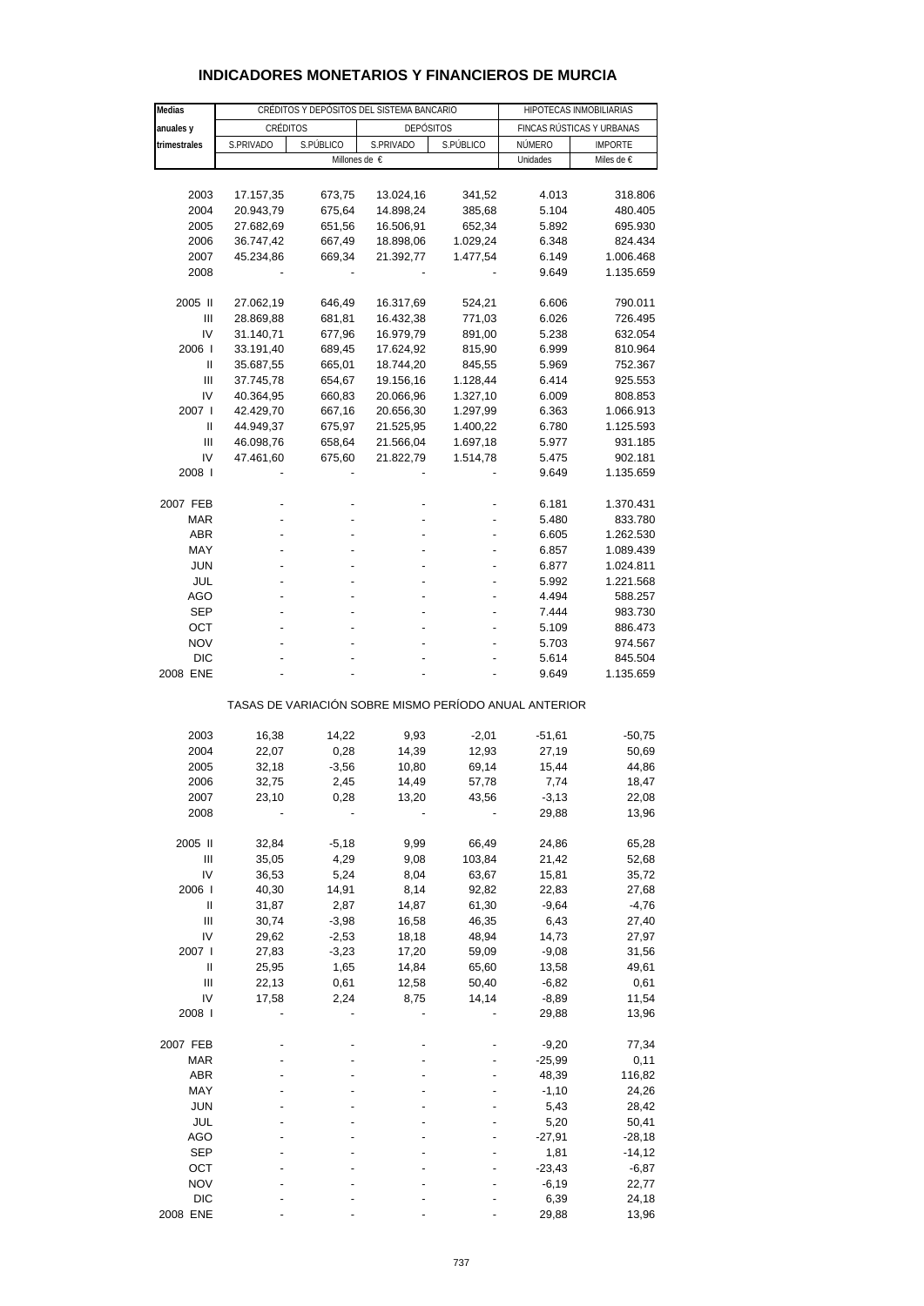| Medias       |           | CRÉDITOS Y DEPÓSITOS DEL SISTEMA BANCARIO | HIPOTECAS INMOBILIARIAS                               |           |                           |                |  |
|--------------|-----------|-------------------------------------------|-------------------------------------------------------|-----------|---------------------------|----------------|--|
| anuales y    | CRÉDITOS  |                                           | <b>DEPÓSITOS</b>                                      |           | FINCAS RÚSTICAS Y URBANAS |                |  |
| trimestrales | S.PRIVADO | S.PÚBLICO                                 | S.PRIVADO                                             | S.PÚBLICO | NÚMERO                    | <b>IMPORTE</b> |  |
|              |           |                                           | Millones de €                                         |           | Unidades                  | Miles de €     |  |
|              |           |                                           |                                                       |           |                           |                |  |
| 2003         | 17.157,35 | 673,75                                    | 13.024,16                                             | 341,52    | 4.013                     | 318.806        |  |
| 2004         | 20.943,79 | 675,64                                    | 14.898,24                                             | 385,68    | 5.104                     | 480.405        |  |
| 2005         | 27.682,69 | 651,56                                    | 16.506,91                                             | 652,34    | 5.892                     | 695.930        |  |
| 2006         | 36.747,42 | 667,49                                    | 18.898,06                                             | 1.029,24  | 6.348                     | 824.434        |  |
| 2007         | 45.234,86 | 669,34                                    | 21.392,77                                             | 1.477,54  | 6.149                     | 1.006.468      |  |
| 2008         |           |                                           |                                                       |           | 9.649                     | 1.135.659      |  |
|              |           |                                           |                                                       |           |                           |                |  |
| 2005 II      | 27.062,19 | 646,49                                    | 16.317,69                                             | 524,21    | 6.606                     | 790.011        |  |
| Ш            | 28.869,88 | 681,81                                    | 16.432,38                                             | 771,03    | 6.026                     | 726.495        |  |
| IV           | 31.140,71 | 677,96                                    | 16.979,79                                             | 891,00    | 5.238                     | 632.054        |  |
| 2006         | 33.191,40 | 689,45                                    | 17.624,92                                             | 815,90    | 6.999                     | 810.964        |  |
| Ш            | 35.687,55 | 665,01                                    | 18.744,20                                             | 845,55    | 5.969                     | 752.367        |  |
| Ш            | 37.745,78 | 654,67                                    | 19.156,16                                             | 1.128,44  | 6.414                     | 925.553        |  |
| IV           | 40.364,95 | 660,83                                    | 20.066,96                                             | 1.327,10  | 6.009                     | 808.853        |  |
| 2007 l       | 42.429,70 |                                           |                                                       |           | 6.363                     | 1.066.913      |  |
|              |           | 667,16                                    | 20.656,30                                             | 1.297,99  |                           | 1.125.593      |  |
| Ш            | 44.949,37 | 675,97                                    | 21.525,95                                             | 1.400,22  | 6.780                     |                |  |
| Ш            | 46.098,76 | 658,64                                    | 21.566,04                                             | 1.697,18  | 5.977                     | 931.185        |  |
| IV           | 47.461,60 | 675,60                                    | 21.822,79                                             | 1.514,78  | 5.475                     | 902.181        |  |
| 2008         |           |                                           |                                                       |           | 9.649                     | 1.135.659      |  |
| 2007 FEB     |           |                                           |                                                       |           |                           |                |  |
| <b>MAR</b>   |           |                                           |                                                       |           | 6.181                     | 1.370.431      |  |
|              |           |                                           |                                                       |           | 5.480                     | 833.780        |  |
| <b>ABR</b>   |           |                                           |                                                       |           | 6.605                     | 1.262.530      |  |
| MAY          |           |                                           |                                                       |           | 6.857                     | 1.089.439      |  |
| <b>JUN</b>   |           |                                           |                                                       |           | 6.877                     | 1.024.811      |  |
| JUL          |           |                                           |                                                       |           | 5.992                     | 1.221.568      |  |
| AGO          |           |                                           |                                                       |           | 4.494                     | 588.257        |  |
| <b>SEP</b>   |           |                                           |                                                       |           | 7.444                     | 983.730        |  |
| OCT          |           |                                           |                                                       |           | 5.109                     | 886.473        |  |
| <b>NOV</b>   |           |                                           |                                                       |           | 5.703                     | 974.567        |  |
| <b>DIC</b>   |           |                                           |                                                       |           | 5.614                     | 845.504        |  |
| 2008 ENE     |           |                                           |                                                       |           | 9.649                     | 1.135.659      |  |
|              |           |                                           | TASAS DE VARIACIÓN SOBRE MISMO PERÍODO ANUAL ANTERIOR |           |                           |                |  |
|              |           |                                           |                                                       |           |                           |                |  |
| 2003         | 16,38     | 14,22                                     | 9,93                                                  | $-2,01$   | $-51,61$                  | $-50,75$       |  |
| 2004         | 22,07     | 0,28                                      | 14,39                                                 | 12,93     | 27,19                     | 50,69          |  |
| 2005         | 32,18     | $-3,56$                                   | 10,80                                                 | 69,14     | 15,44                     | 44,86          |  |
| 2006         | 32,75     | 2,45                                      | 14,49                                                 | 57,78     | 7,74                      | 18,47          |  |
| 2007         | 23,10     | 0,28                                      | 13,20                                                 | 43,56     | $-3,13$                   | 22,08          |  |
| 2008         |           |                                           |                                                       |           | 29,88                     | 13,96          |  |
|              |           |                                           |                                                       |           |                           |                |  |
| 2005 II      | 32,84     | $-5,18$                                   | 9,99                                                  | 66,49     | 24,86                     | 65,28          |  |
| Ш            | 35,05     | 4,29                                      | 9,08                                                  | 103,84    | 21,42                     | 52,68          |  |
| IV           | 36,53     | 5,24                                      | 8,04                                                  | 63,67     | 15,81                     | 35,72          |  |
| 2006         | 40,30     | 14,91                                     | 8,14                                                  | 92,82     | 22,83                     | 27,68          |  |
| Ш            | 31,87     | 2,87                                      | 14,87                                                 | 61,30     | $-9,64$                   | $-4,76$        |  |
| Ш            | 30,74     | $-3,98$                                   | 16,58                                                 | 46,35     | 6,43                      | 27,40          |  |
| I٧           | 29,62     | $-2,53$                                   | 18,18                                                 | 48,94     | 14,73                     | 27,97          |  |
| 2007 l       | 27,83     | $-3,23$                                   | 17,20                                                 | 59,09     | $-9,08$                   | 31,56          |  |
| Ш            | 25,95     | 1,65                                      | 14,84                                                 | 65,60     | 13,58                     | 49,61          |  |
| Ш            | 22,13     | 0,61                                      | 12,58                                                 | 50,40     | $-6,82$                   | 0,61           |  |
| IV           | 17,58     | 2,24                                      | 8,75                                                  | 14,14     | $-8,89$                   | 11,54          |  |
| 2008 l       |           |                                           |                                                       |           | 29,88                     | 13,96          |  |
|              |           |                                           |                                                       |           |                           |                |  |
| 2007 FEB     |           |                                           |                                                       |           | $-9,20$                   | 77,34          |  |
| <b>MAR</b>   |           |                                           |                                                       |           | $-25,99$                  | 0,11           |  |
| <b>ABR</b>   |           |                                           |                                                       |           | 48,39                     | 116,82         |  |
| MAY          |           |                                           |                                                       |           | $-1,10$                   | 24,26          |  |
| JUN          |           |                                           |                                                       |           | 5,43                      | 28,42          |  |
| JUL          |           |                                           |                                                       |           | 5,20                      | 50,41          |  |
| AGO          |           |                                           |                                                       |           | $-27,91$                  | $-28,18$       |  |
| <b>SEP</b>   |           |                                           |                                                       |           | 1,81                      | $-14,12$       |  |
| OCT          |           |                                           |                                                       |           | $-23,43$                  | $-6,87$        |  |

### **INDICADORES MONETARIOS Y FINANCIEROS DE MURCIA**

 NOV - - - - -6,19 22,77 DIC - - - - 6,39 24,18 2008 ENE ---- 29,88 13,96